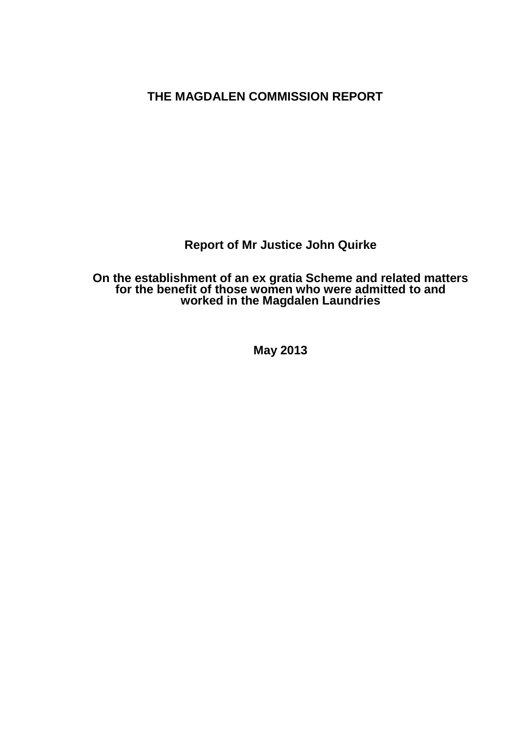**THE MAGDALEN COMMISSION REPORT**

**Report of Mr Justice John Quirke**

**On the establishment of an ex gratia Scheme and related matters for the benefit of those women who were admitted to and worked in the Magdalen Laundries**

**May 2013**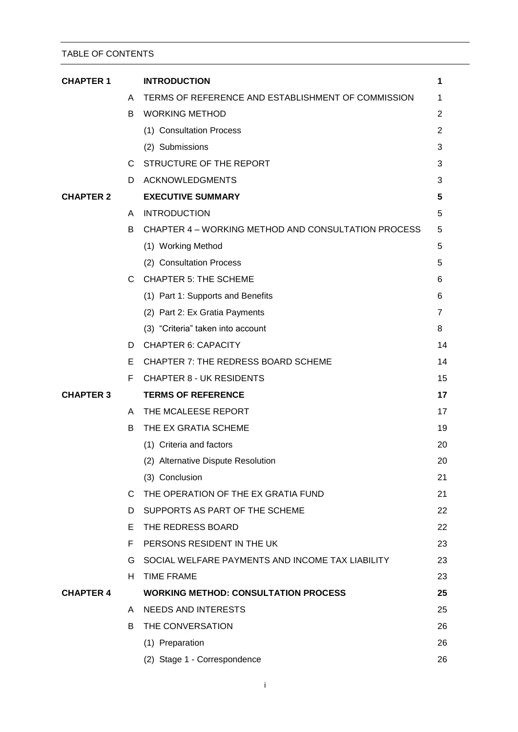# TABLE OF CONTENTS

| <b>CHAPTER 1</b> |    | <b>INTRODUCTION</b>                                 | 1              |
|------------------|----|-----------------------------------------------------|----------------|
|                  | A  | TERMS OF REFERENCE AND ESTABLISHMENT OF COMMISSION  | 1              |
|                  | B  | <b>WORKING METHOD</b>                               | $\overline{c}$ |
|                  |    | (1) Consultation Process                            | 2              |
|                  |    | (2) Submissions                                     | 3              |
|                  | C. | STRUCTURE OF THE REPORT                             | 3              |
|                  | D  | <b>ACKNOWLEDGMENTS</b>                              | 3              |
| <b>CHAPTER 2</b> |    | <b>EXECUTIVE SUMMARY</b>                            | 5              |
|                  | A  | <b>INTRODUCTION</b>                                 | 5              |
|                  | B  | CHAPTER 4 – WORKING METHOD AND CONSULTATION PROCESS | 5              |
|                  |    | (1) Working Method                                  | 5              |
|                  |    | (2) Consultation Process                            | 5              |
|                  | C. | <b>CHAPTER 5: THE SCHEME</b>                        | 6              |
|                  |    | (1) Part 1: Supports and Benefits                   | 6              |
|                  |    | (2) Part 2: Ex Gratia Payments                      | $\overline{7}$ |
|                  |    | (3) "Criteria" taken into account                   | 8              |
|                  | D  | <b>CHAPTER 6: CAPACITY</b>                          | 14             |
|                  | Е  | <b>CHAPTER 7: THE REDRESS BOARD SCHEME</b>          | 14             |
|                  | F. | <b>CHAPTER 8 - UK RESIDENTS</b>                     | 15             |
| <b>CHAPTER 3</b> |    | <b>TERMS OF REFERENCE</b>                           | 17             |
|                  | A  | THE MCALEESE REPORT                                 | 17             |
|                  | B  | THE EX GRATIA SCHEME                                | 19             |
|                  |    | (1) Criteria and factors                            | 20             |
|                  |    | (2) Alternative Dispute Resolution                  | 20             |
|                  |    | (3) Conclusion                                      | 21             |
|                  |    | C THE OPERATION OF THE EX GRATIA FUND               | 21             |
|                  | D. | SUPPORTS AS PART OF THE SCHEME                      | 22             |
|                  | E. | THE REDRESS BOARD                                   | 22             |
|                  | F  | PERSONS RESIDENT IN THE UK                          | 23             |
|                  | G. | SOCIAL WELFARE PAYMENTS AND INCOME TAX LIABILITY    | 23             |
|                  | H. | <b>TIME FRAME</b>                                   | 23             |
| <b>CHAPTER 4</b> |    | <b>WORKING METHOD: CONSULTATION PROCESS</b>         | 25             |
|                  | A  | <b>NEEDS AND INTERESTS</b>                          | 25             |
|                  | B. | THE CONVERSATION                                    | 26             |
|                  |    | (1) Preparation                                     | 26             |
|                  |    | (2) Stage 1 - Correspondence                        | 26             |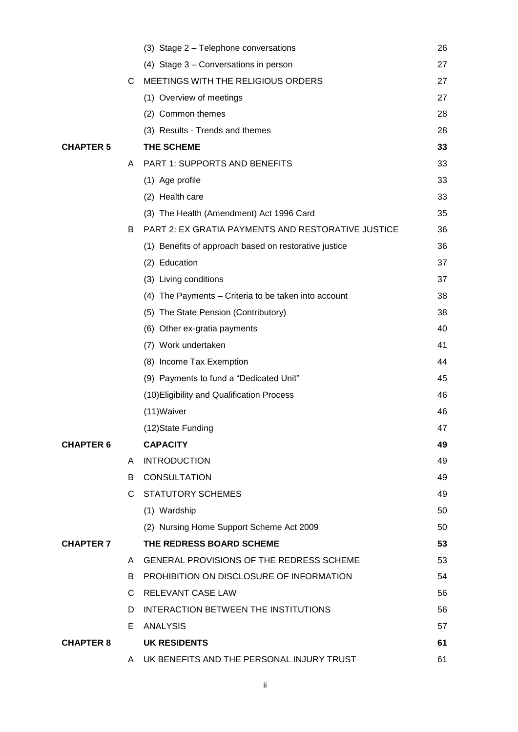|                  |              | (3) Stage 2 - Telephone conversations                 | 26 |
|------------------|--------------|-------------------------------------------------------|----|
|                  |              | (4) Stage 3 – Conversations in person                 | 27 |
|                  | C            | MEETINGS WITH THE RELIGIOUS ORDERS                    | 27 |
|                  |              | (1) Overview of meetings                              | 27 |
|                  |              | (2) Common themes                                     | 28 |
|                  |              | (3) Results - Trends and themes                       | 28 |
| <b>CHAPTER 5</b> |              | THE SCHEME                                            | 33 |
|                  | A            | PART 1: SUPPORTS AND BENEFITS                         | 33 |
|                  |              | (1) Age profile                                       | 33 |
|                  |              | (2) Health care                                       | 33 |
|                  |              | (3) The Health (Amendment) Act 1996 Card              | 35 |
|                  | B            | PART 2: EX GRATIA PAYMENTS AND RESTORATIVE JUSTICE    | 36 |
|                  |              | (1) Benefits of approach based on restorative justice | 36 |
|                  |              | (2) Education                                         | 37 |
|                  |              | (3) Living conditions                                 | 37 |
|                  |              | (4) The Payments - Criteria to be taken into account  | 38 |
|                  |              | (5) The State Pension (Contributory)                  | 38 |
|                  |              | (6) Other ex-gratia payments                          | 40 |
|                  |              | (7) Work undertaken                                   | 41 |
|                  |              | (8) Income Tax Exemption                              | 44 |
|                  |              | (9) Payments to fund a "Dedicated Unit"               | 45 |
|                  |              | (10) Eligibility and Qualification Process            | 46 |
|                  |              | (11) Waiver                                           | 46 |
|                  |              | (12)State Funding                                     | 47 |
| <b>CHAPTER 6</b> |              | <b>CAPACITY</b>                                       | 49 |
|                  | A            | <b>INTRODUCTION</b>                                   | 49 |
|                  | B            | <b>CONSULTATION</b>                                   | 49 |
|                  |              | C STATUTORY SCHEMES                                   | 49 |
|                  |              | (1) Wardship                                          | 50 |
|                  |              | (2) Nursing Home Support Scheme Act 2009              | 50 |
| <b>CHAPTER 7</b> |              | THE REDRESS BOARD SCHEME                              | 53 |
|                  |              | A GENERAL PROVISIONS OF THE REDRESS SCHEME            | 53 |
|                  | B            | PROHIBITION ON DISCLOSURE OF INFORMATION              | 54 |
|                  | $\mathsf{C}$ | RELEVANT CASE LAW                                     | 56 |
|                  | D.           | INTERACTION BETWEEN THE INSTITUTIONS                  | 56 |
|                  | E.           | <b>ANALYSIS</b>                                       | 57 |
| <b>CHAPTER 8</b> |              | <b>UK RESIDENTS</b>                                   | 61 |
|                  |              | A UK BENEFITS AND THE PERSONAL INJURY TRUST           | 61 |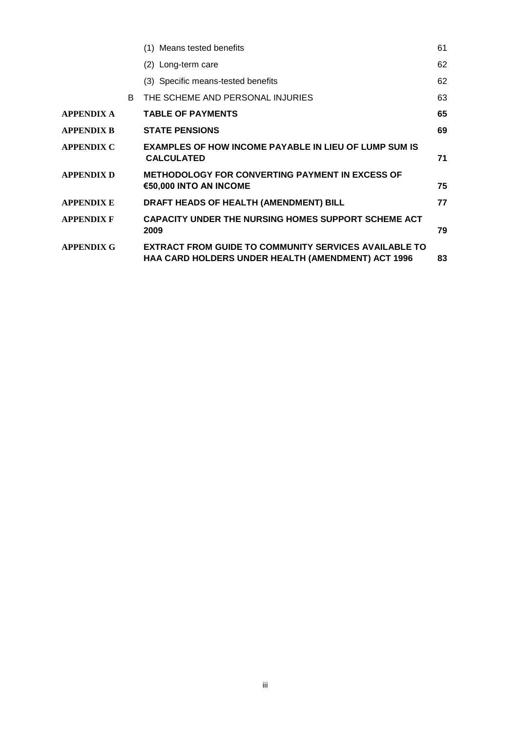|                   |    | (1) Means tested benefits                                                                                          | 61 |
|-------------------|----|--------------------------------------------------------------------------------------------------------------------|----|
|                   |    | (2) Long-term care                                                                                                 | 62 |
|                   |    | (3) Specific means-tested benefits                                                                                 | 62 |
|                   | B. | THE SCHEME AND PERSONAL INJURIES                                                                                   | 63 |
| <b>APPENDIX A</b> |    | <b>TABLE OF PAYMENTS</b>                                                                                           | 65 |
| APPENDIX B        |    | <b>STATE PENSIONS</b>                                                                                              | 69 |
| APPENDIX C        |    | <b>EXAMPLES OF HOW INCOME PAYABLE IN LIEU OF LUMP SUM IS</b><br><b>CALCULATED</b>                                  | 71 |
| <b>APPENDIX D</b> |    | <b>METHODOLOGY FOR CONVERTING PAYMENT IN EXCESS OF</b><br>€50,000 INTO AN INCOME                                   | 75 |
| APPENDIX E        |    | DRAFT HEADS OF HEALTH (AMENDMENT) BILL                                                                             | 77 |
| APPENDIX F        |    | <b>CAPACITY UNDER THE NURSING HOMES SUPPORT SCHEME ACT</b><br>2009                                                 | 79 |
| <b>APPENDIX G</b> |    | <b>EXTRACT FROM GUIDE TO COMMUNITY SERVICES AVAILABLE TO</b><br>HAA CARD HOLDERS UNDER HEALTH (AMENDMENT) ACT 1996 | 83 |
|                   |    |                                                                                                                    |    |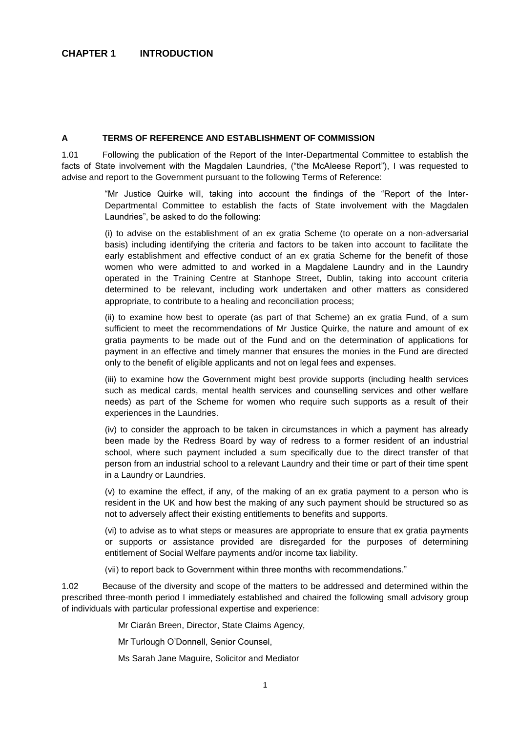#### <span id="page-4-0"></span>**A TERMS OF REFERENCE AND ESTABLISHMENT OF COMMISSION**

1.01 Following the publication of the Report of the Inter-Departmental Committee to establish the facts of State involvement with the Magdalen Laundries, ("the McAleese Report"), I was requested to advise and report to the Government pursuant to the following Terms of Reference:

> "Mr Justice Quirke will, taking into account the findings of the "Report of the Inter-Departmental Committee to establish the facts of State involvement with the Magdalen Laundries", be asked to do the following:

> (i) to advise on the establishment of an ex gratia Scheme (to operate on a non-adversarial basis) including identifying the criteria and factors to be taken into account to facilitate the early establishment and effective conduct of an ex gratia Scheme for the benefit of those women who were admitted to and worked in a Magdalene Laundry and in the Laundry operated in the Training Centre at Stanhope Street, Dublin, taking into account criteria determined to be relevant, including work undertaken and other matters as considered appropriate, to contribute to a healing and reconciliation process;

> (ii) to examine how best to operate (as part of that Scheme) an ex gratia Fund, of a sum sufficient to meet the recommendations of Mr Justice Quirke, the nature and amount of ex gratia payments to be made out of the Fund and on the determination of applications for payment in an effective and timely manner that ensures the monies in the Fund are directed only to the benefit of eligible applicants and not on legal fees and expenses.

> (iii) to examine how the Government might best provide supports (including health services such as medical cards, mental health services and counselling services and other welfare needs) as part of the Scheme for women who require such supports as a result of their experiences in the Laundries.

> (iv) to consider the approach to be taken in circumstances in which a payment has already been made by the Redress Board by way of redress to a former resident of an industrial school, where such payment included a sum specifically due to the direct transfer of that person from an industrial school to a relevant Laundry and their time or part of their time spent in a Laundry or Laundries.

> (v) to examine the effect, if any, of the making of an ex gratia payment to a person who is resident in the UK and how best the making of any such payment should be structured so as not to adversely affect their existing entitlements to benefits and supports.

> (vi) to advise as to what steps or measures are appropriate to ensure that ex gratia payments or supports or assistance provided are disregarded for the purposes of determining entitlement of Social Welfare payments and/or income tax liability.

(vii) to report back to Government within three months with recommendations."

1.02 Because of the diversity and scope of the matters to be addressed and determined within the prescribed three-month period I immediately established and chaired the following small advisory group of individuals with particular professional expertise and experience:

Mr Ciarán Breen, Director, State Claims Agency,

Mr Turlough O'Donnell, Senior Counsel,

Ms Sarah Jane Maguire, Solicitor and Mediator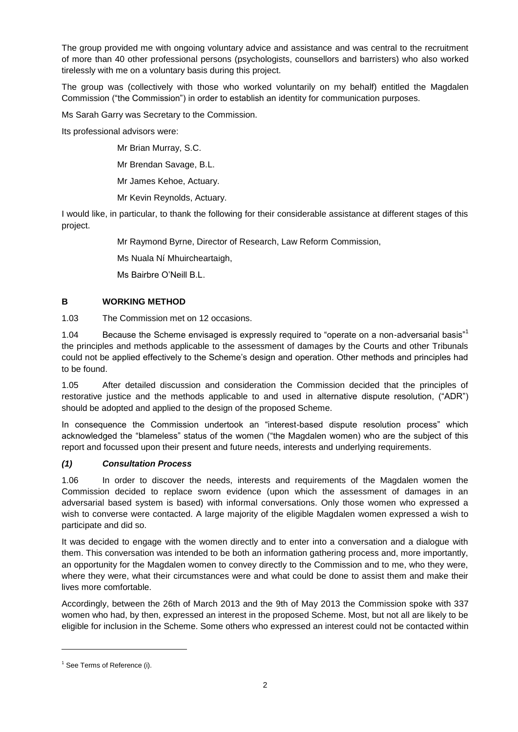The group provided me with ongoing voluntary advice and assistance and was central to the recruitment of more than 40 other professional persons (psychologists, counsellors and barristers) who also worked tirelessly with me on a voluntary basis during this project.

The group was (collectively with those who worked voluntarily on my behalf) entitled the Magdalen Commission ("the Commission") in order to establish an identity for communication purposes.

Ms Sarah Garry was Secretary to the Commission.

Its professional advisors were:

Mr Brian Murray, S.C.

Mr Brendan Savage, B.L.

Mr James Kehoe, Actuary.

Mr Kevin Reynolds, Actuary.

I would like, in particular, to thank the following for their considerable assistance at different stages of this project.

Mr Raymond Byrne, Director of Research, Law Reform Commission,

Ms Nuala Ní Mhuircheartaigh,

Ms Bairbre O'Neill B.L.

# <span id="page-5-0"></span>**B WORKING METHOD**

1.03 The Commission met on 12 occasions.

1.04 Because the Scheme envisaged is expressly required to "operate on a non-adversarial basis"<sup>1</sup> the principles and methods applicable to the assessment of damages by the Courts and other Tribunals could not be applied effectively to the Scheme's design and operation. Other methods and principles had to be found.

1.05 After detailed discussion and consideration the Commission decided that the principles of restorative justice and the methods applicable to and used in alternative dispute resolution, ("ADR") should be adopted and applied to the design of the proposed Scheme.

In consequence the Commission undertook an "interest-based dispute resolution process" which acknowledged the "blameless" status of the women ("the Magdalen women) who are the subject of this report and focussed upon their present and future needs, interests and underlying requirements.

### <span id="page-5-1"></span>*(1) Consultation Process*

1.06 In order to discover the needs, interests and requirements of the Magdalen women the Commission decided to replace sworn evidence (upon which the assessment of damages in an adversarial based system is based) with informal conversations. Only those women who expressed a wish to converse were contacted. A large majority of the eligible Magdalen women expressed a wish to participate and did so.

It was decided to engage with the women directly and to enter into a conversation and a dialogue with them. This conversation was intended to be both an information gathering process and, more importantly, an opportunity for the Magdalen women to convey directly to the Commission and to me, who they were, where they were, what their circumstances were and what could be done to assist them and make their lives more comfortable.

Accordingly, between the 26th of March 2013 and the 9th of May 2013 the Commission spoke with 337 women who had, by then, expressed an interest in the proposed Scheme. Most, but not all are likely to be eligible for inclusion in the Scheme. Some others who expressed an interest could not be contacted within

 $<sup>1</sup>$  See Terms of Reference (i).</sup>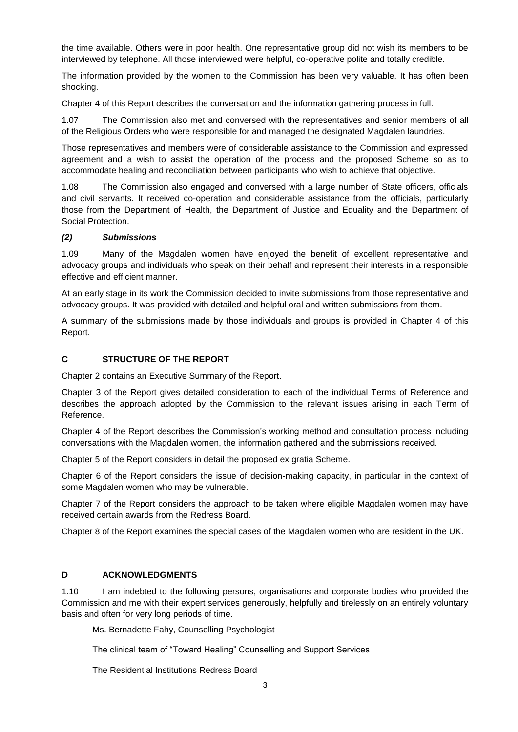the time available. Others were in poor health. One representative group did not wish its members to be interviewed by telephone. All those interviewed were helpful, co-operative polite and totally credible.

The information provided by the women to the Commission has been very valuable. It has often been shocking.

Chapter 4 of this Report describes the conversation and the information gathering process in full.

1.07 The Commission also met and conversed with the representatives and senior members of all of the Religious Orders who were responsible for and managed the designated Magdalen laundries.

Those representatives and members were of considerable assistance to the Commission and expressed agreement and a wish to assist the operation of the process and the proposed Scheme so as to accommodate healing and reconciliation between participants who wish to achieve that objective.

1.08 The Commission also engaged and conversed with a large number of State officers, officials and civil servants. It received co-operation and considerable assistance from the officials, particularly those from the Department of Health, the Department of Justice and Equality and the Department of Social Protection.

### <span id="page-6-0"></span>*(2) Submissions*

1.09 Many of the Magdalen women have enjoyed the benefit of excellent representative and advocacy groups and individuals who speak on their behalf and represent their interests in a responsible effective and efficient manner.

At an early stage in its work the Commission decided to invite submissions from those representative and advocacy groups. It was provided with detailed and helpful oral and written submissions from them.

A summary of the submissions made by those individuals and groups is provided in Chapter 4 of this Report.

#### <span id="page-6-1"></span>**C STRUCTURE OF THE REPORT**

Chapter 2 contains an Executive Summary of the Report.

Chapter 3 of the Report gives detailed consideration to each of the individual Terms of Reference and describes the approach adopted by the Commission to the relevant issues arising in each Term of Reference.

Chapter 4 of the Report describes the Commission's working method and consultation process including conversations with the Magdalen women, the information gathered and the submissions received.

Chapter 5 of the Report considers in detail the proposed ex gratia Scheme.

Chapter 6 of the Report considers the issue of decision-making capacity, in particular in the context of some Magdalen women who may be vulnerable.

Chapter 7 of the Report considers the approach to be taken where eligible Magdalen women may have received certain awards from the Redress Board.

Chapter 8 of the Report examines the special cases of the Magdalen women who are resident in the UK.

### <span id="page-6-2"></span>**D ACKNOWLEDGMENTS**

1.10 I am indebted to the following persons, organisations and corporate bodies who provided the Commission and me with their expert services generously, helpfully and tirelessly on an entirely voluntary basis and often for very long periods of time.

Ms. Bernadette Fahy, Counselling Psychologist

The clinical team of "Toward Healing" Counselling and Support Services

The Residential Institutions Redress Board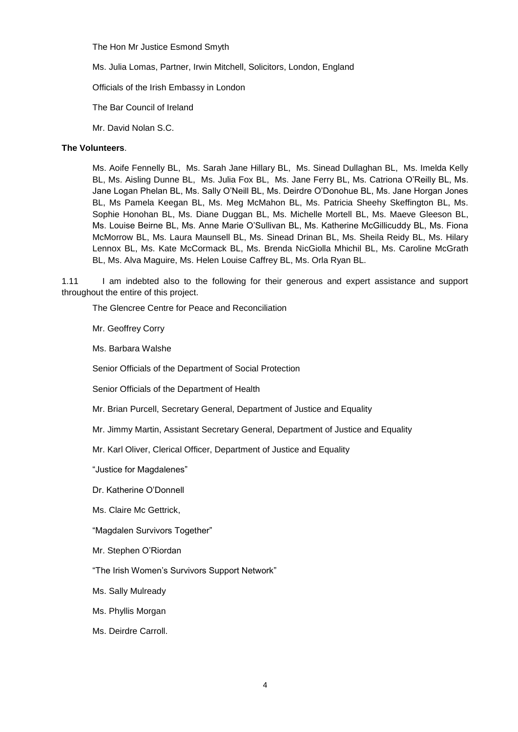The Hon Mr Justice Esmond Smyth

Ms. Julia Lomas, Partner, Irwin Mitchell, Solicitors, London, England

Officials of the Irish Embassy in London

The Bar Council of Ireland

Mr. David Nolan S.C.

# **The Volunteers**.

Ms. Aoife Fennelly BL, Ms. Sarah Jane Hillary BL, Ms. Sinead Dullaghan BL, Ms. Imelda Kelly BL, Ms. Aisling Dunne BL, Ms. Julia Fox BL, Ms. Jane Ferry BL, Ms. Catriona O'Reilly BL, Ms. Jane Logan Phelan BL, Ms. Sally O'Neill BL, Ms. Deirdre O'Donohue BL, Ms. Jane Horgan Jones BL, Ms Pamela Keegan BL, Ms. Meg McMahon BL, Ms. Patricia Sheehy Skeffington BL, Ms. Sophie Honohan BL, Ms. Diane Duggan BL, Ms. Michelle Mortell BL, Ms. Maeve Gleeson BL, Ms. Louise Beirne BL, Ms. Anne Marie O'Sullivan BL, Ms. Katherine McGillicuddy BL, Ms. Fiona McMorrow BL, Ms. Laura Maunsell BL, Ms. Sinead Drinan BL, Ms. Sheila Reidy BL, Ms. Hilary Lennox BL, Ms. Kate McCormack BL, Ms. Brenda NicGiolla Mhichil BL, Ms. Caroline McGrath BL, Ms. Alva Maguire, Ms. Helen Louise Caffrey BL, Ms. Orla Ryan BL.

1.11 I am indebted also to the following for their generous and expert assistance and support throughout the entire of this project.

The Glencree Centre for Peace and Reconciliation

Mr. Geoffrey Corry

Ms. Barbara Walshe

Senior Officials of the Department of Social Protection

Senior Officials of the Department of Health

Mr. Brian Purcell, Secretary General, Department of Justice and Equality

Mr. Jimmy Martin, Assistant Secretary General, Department of Justice and Equality

Mr. Karl Oliver, Clerical Officer, Department of Justice and Equality

"Justice for Magdalenes"

Dr. Katherine O'Donnell

Ms. Claire Mc Gettrick,

"Magdalen Survivors Together"

Mr. Stephen O'Riordan

"The Irish Women's Survivors Support Network"

Ms. Sally Mulready

Ms. Phyllis Morgan

Ms. Deirdre Carroll.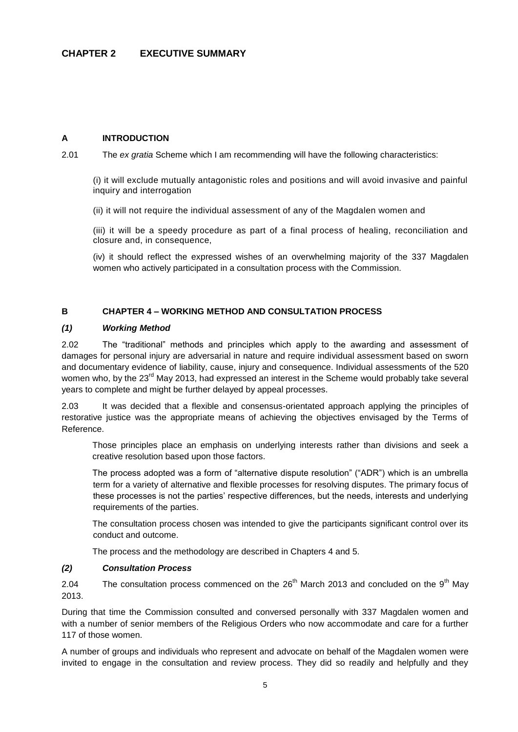### <span id="page-8-1"></span><span id="page-8-0"></span>**A INTRODUCTION**

2.01 The *ex gratia* Scheme which I am recommending will have the following characteristics:

(i) it will exclude mutually antagonistic roles and positions and will avoid invasive and painful inquiry and interrogation

(ii) it will not require the individual assessment of any of the Magdalen women and

(iii) it will be a speedy procedure as part of a final process of healing, reconciliation and closure and, in consequence,

(iv) it should reflect the expressed wishes of an overwhelming majority of the 337 Magdalen women who actively participated in a consultation process with the Commission.

### <span id="page-8-2"></span>**B CHAPTER 4 – WORKING METHOD AND CONSULTATION PROCESS**

#### <span id="page-8-3"></span>*(1) Working Method*

2.02 The "traditional" methods and principles which apply to the awarding and assessment of damages for personal injury are adversarial in nature and require individual assessment based on sworn and documentary evidence of liability, cause, injury and consequence. Individual assessments of the 520 women who, by the 23<sup>rd</sup> May 2013, had expressed an interest in the Scheme would probably take several years to complete and might be further delayed by appeal processes.

2.03 It was decided that a flexible and consensus-orientated approach applying the principles of restorative justice was the appropriate means of achieving the objectives envisaged by the Terms of Reference.

Those principles place an emphasis on underlying interests rather than divisions and seek a creative resolution based upon those factors.

The process adopted was a form of "alternative dispute resolution" ("ADR") which is an umbrella term for a variety of alternative and flexible processes for resolving disputes. The primary focus of these processes is not the parties' respective differences, but the needs, interests and underlying requirements of the parties.

The consultation process chosen was intended to give the participants significant control over its conduct and outcome.

The process and the methodology are described in Chapters 4 and 5.

#### <span id="page-8-4"></span>*(2) Consultation Process*

2.04 The consultation process commenced on the  $26<sup>th</sup>$  March 2013 and concluded on the 9<sup>th</sup> May 2013.

During that time the Commission consulted and conversed personally with 337 Magdalen women and with a number of senior members of the Religious Orders who now accommodate and care for a further 117 of those women.

A number of groups and individuals who represent and advocate on behalf of the Magdalen women were invited to engage in the consultation and review process. They did so readily and helpfully and they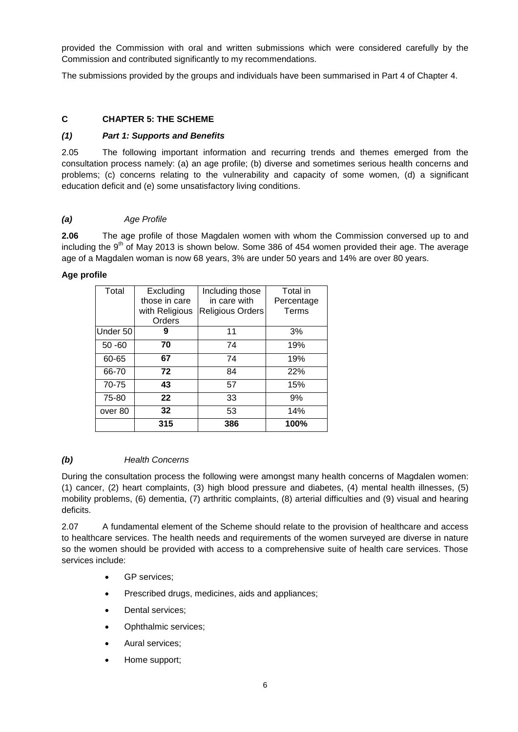provided the Commission with oral and written submissions which were considered carefully by the Commission and contributed significantly to my recommendations.

The submissions provided by the groups and individuals have been summarised in Part 4 of Chapter 4.

### <span id="page-9-0"></span>**C CHAPTER 5: THE SCHEME**

### <span id="page-9-1"></span>*(1) Part 1: Supports and Benefits*

2.05 The following important information and recurring trends and themes emerged from the consultation process namely: (a) an age profile; (b) diverse and sometimes serious health concerns and problems; (c) concerns relating to the vulnerability and capacity of some women, (d) a significant education deficit and (e) some unsatisfactory living conditions.

### *(a) Age Profile*

**2.06** The age profile of those Magdalen women with whom the Commission conversed up to and including the 9<sup>th</sup> of May 2013 is shown below. Some 386 of 454 women provided their age. The average age of a Magdalen woman is now 68 years, 3% are under 50 years and 14% are over 80 years.

### **Age profile**

| Total     | Excluding       | Including those  | Total in   |
|-----------|-----------------|------------------|------------|
|           | those in care   | in care with     | Percentage |
|           | with Religious  | Religious Orders | Terms      |
|           | Orders          |                  |            |
| Under 50  | 9               | 11               | 3%         |
| $50 - 60$ | 70              | 74               | 19%        |
| 60-65     | 67              | 74               | 19%        |
| 66-70     | 72              | 84               | 22%        |
| 70-75     | 43              | 57               | 15%        |
| 75-80     | 22              | 33               | 9%         |
| over 80   | 32 <sub>2</sub> | 53               | 14%        |
|           | 315             | 386              | 100%       |

### *(b) Health Concerns*

During the consultation process the following were amongst many health concerns of Magdalen women: (1) cancer, (2) heart complaints, (3) high blood pressure and diabetes, (4) mental health illnesses, (5) mobility problems, (6) dementia, (7) arthritic complaints, (8) arterial difficulties and (9) visual and hearing deficits.

2.07 A fundamental element of the Scheme should relate to the provision of healthcare and access to healthcare services. The health needs and requirements of the women surveyed are diverse in nature so the women should be provided with access to a comprehensive suite of health care services. Those services include:

- GP services;
- Prescribed drugs, medicines, aids and appliances;
- Dental services;
- Ophthalmic services;
- Aural services:
- Home support;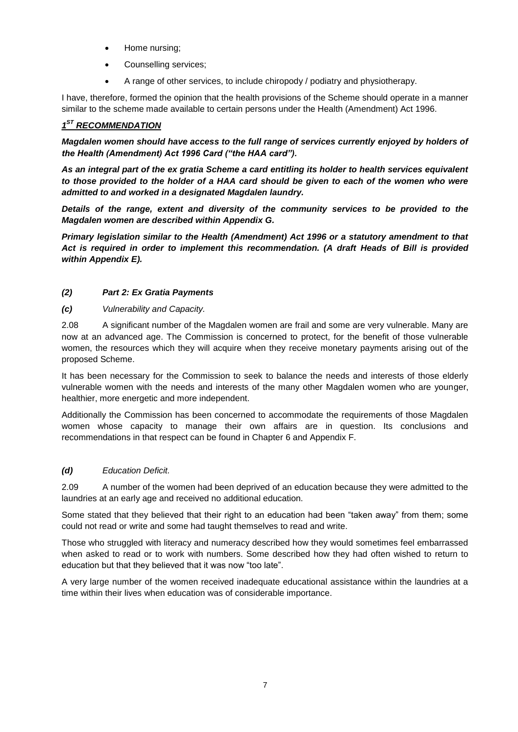- Home nursing;
- Counselling services;
- A range of other services, to include chiropody / podiatry and physiotherapy.

I have, therefore, formed the opinion that the health provisions of the Scheme should operate in a manner similar to the scheme made available to certain persons under the Health (Amendment) Act 1996.

# *1 ST RECOMMENDATION*

*Magdalen women should have access to the full range of services currently enjoyed by holders of the Health (Amendment) Act 1996 Card ("the HAA card").*

*As an integral part of the ex gratia Scheme a card entitling its holder to health services equivalent to those provided to the holder of a HAA card should be given to each of the women who were admitted to and worked in a designated Magdalen laundry.*

*Details of the range, extent and diversity of the community services to be provided to the Magdalen women are described within Appendix G.*

*Primary legislation similar to the Health (Amendment) Act 1996 or a statutory amendment to that Act is required in order to implement this recommendation. (A draft Heads of Bill is provided within Appendix E).*

# <span id="page-10-0"></span>*(2) Part 2: Ex Gratia Payments*

*(c) Vulnerability and Capacity.*

2.08 A significant number of the Magdalen women are frail and some are very vulnerable. Many are now at an advanced age. The Commission is concerned to protect, for the benefit of those vulnerable women, the resources which they will acquire when they receive monetary payments arising out of the proposed Scheme.

It has been necessary for the Commission to seek to balance the needs and interests of those elderly vulnerable women with the needs and interests of the many other Magdalen women who are younger, healthier, more energetic and more independent.

Additionally the Commission has been concerned to accommodate the requirements of those Magdalen women whose capacity to manage their own affairs are in question. Its conclusions and recommendations in that respect can be found in Chapter 6 and Appendix F.

# *(d) Education Deficit.*

2.09 A number of the women had been deprived of an education because they were admitted to the laundries at an early age and received no additional education.

Some stated that they believed that their right to an education had been "taken away" from them; some could not read or write and some had taught themselves to read and write.

Those who struggled with literacy and numeracy described how they would sometimes feel embarrassed when asked to read or to work with numbers. Some described how they had often wished to return to education but that they believed that it was now "too late".

A very large number of the women received inadequate educational assistance within the laundries at a time within their lives when education was of considerable importance.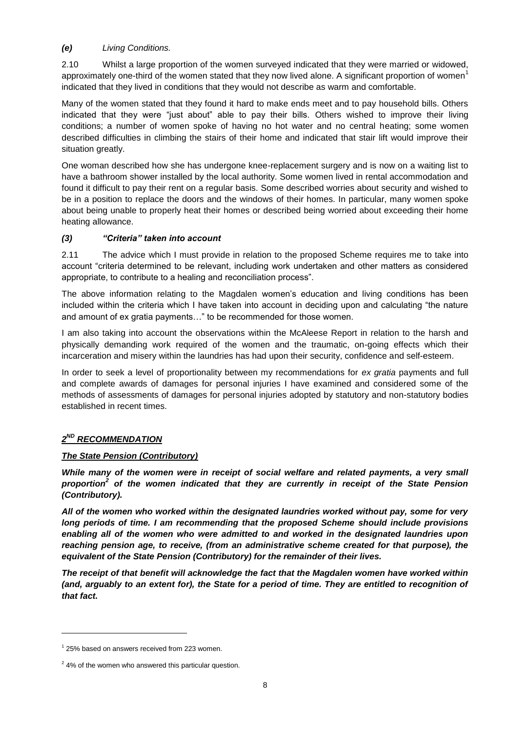### *(e) Living Conditions.*

2.10 Whilst a large proportion of the women surveyed indicated that they were married or widowed, approximately one-third of the women stated that they now lived alone. A significant proportion of women<sup>1</sup> indicated that they lived in conditions that they would not describe as warm and comfortable.

Many of the women stated that they found it hard to make ends meet and to pay household bills. Others indicated that they were "just about" able to pay their bills. Others wished to improve their living conditions; a number of women spoke of having no hot water and no central heating; some women described difficulties in climbing the stairs of their home and indicated that stair lift would improve their situation greatly.

One woman described how she has undergone knee-replacement surgery and is now on a waiting list to have a bathroom shower installed by the local authority. Some women lived in rental accommodation and found it difficult to pay their rent on a regular basis. Some described worries about security and wished to be in a position to replace the doors and the windows of their homes. In particular, many women spoke about being unable to properly heat their homes or described being worried about exceeding their home heating allowance.

# <span id="page-11-0"></span>*(3) "Criteria" taken into account*

2.11 The advice which I must provide in relation to the proposed Scheme requires me to take into account "criteria determined to be relevant, including work undertaken and other matters as considered appropriate, to contribute to a healing and reconciliation process".

The above information relating to the Magdalen women's education and living conditions has been included within the criteria which I have taken into account in deciding upon and calculating "the nature and amount of ex gratia payments…" to be recommended for those women.

I am also taking into account the observations within the McAleese Report in relation to the harsh and physically demanding work required of the women and the traumatic, on-going effects which their incarceration and misery within the laundries has had upon their security, confidence and self-esteem.

In order to seek a level of proportionality between my recommendations for *ex gratia* payments and full and complete awards of damages for personal injuries I have examined and considered some of the methods of assessments of damages for personal injuries adopted by statutory and non-statutory bodies established in recent times.

# *2 ND RECOMMENDATION*

### *The State Pension (Contributory)*

*While many of the women were in receipt of social welfare and related payments, a very small proportion<sup>2</sup> of the women indicated that they are currently in receipt of the State Pension (Contributory).* 

*All of the women who worked within the designated laundries worked without pay, some for very long periods of time. I am recommending that the proposed Scheme should include provisions enabling all of the women who were admitted to and worked in the designated laundries upon reaching pension age, to receive, (from an administrative scheme created for that purpose), the equivalent of the State Pension (Contributory) for the remainder of their lives.* 

*The receipt of that benefit will acknowledge the fact that the Magdalen women have worked within (and, arguably to an extent for), the State for a period of time. They are entitled to recognition of that fact.*

 $1$  25% based on answers received from 223 women.

 $2$  4% of the women who answered this particular question.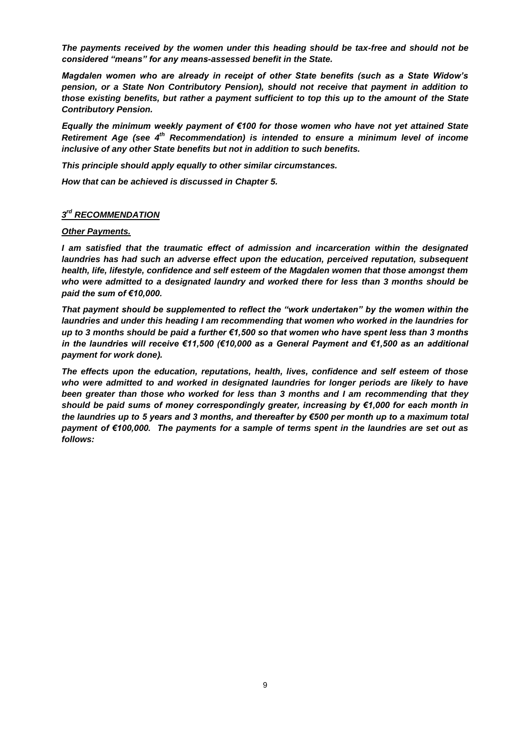*The payments received by the women under this heading should be tax-free and should not be considered "means" for any means-assessed benefit in the State.*

*Magdalen women who are already in receipt of other State benefits (such as a State Widow's pension, or a State Non Contributory Pension), should not receive that payment in addition to those existing benefits, but rather a payment sufficient to top this up to the amount of the State Contributory Pension.*

*Equally the minimum weekly payment of €100 for those women who have not yet attained State Retirement Age (see 4th Recommendation) is intended to ensure a minimum level of income inclusive of any other State benefits but not in addition to such benefits.* 

*This principle should apply equally to other similar circumstances.* 

*How that can be achieved is discussed in Chapter 5.*

### $3<sup>rd</sup>$  *RECOMMENDATION*

#### *Other Payments.*

*I am satisfied that the traumatic effect of admission and incarceration within the designated laundries has had such an adverse effect upon the education, perceived reputation, subsequent health, life, lifestyle, confidence and self esteem of the Magdalen women that those amongst them who were admitted to a designated laundry and worked there for less than 3 months should be paid the sum of €10,000.* 

*That payment should be supplemented to reflect the "work undertaken" by the women within the laundries and under this heading I am recommending that women who worked in the laundries for up to 3 months should be paid a further €1,500 so that women who have spent less than 3 months in the laundries will receive €11,500 (€10,000 as a General Payment and €1,500 as an additional payment for work done).*

*The effects upon the education, reputations, health, lives, confidence and self esteem of those who were admitted to and worked in designated laundries for longer periods are likely to have been greater than those who worked for less than 3 months and I am recommending that they should be paid sums of money correspondingly greater, increasing by €1,000 for each month in the laundries up to 5 years and 3 months, and thereafter by €500 per month up to a maximum total payment of €100,000. The payments for a sample of terms spent in the laundries are set out as follows:*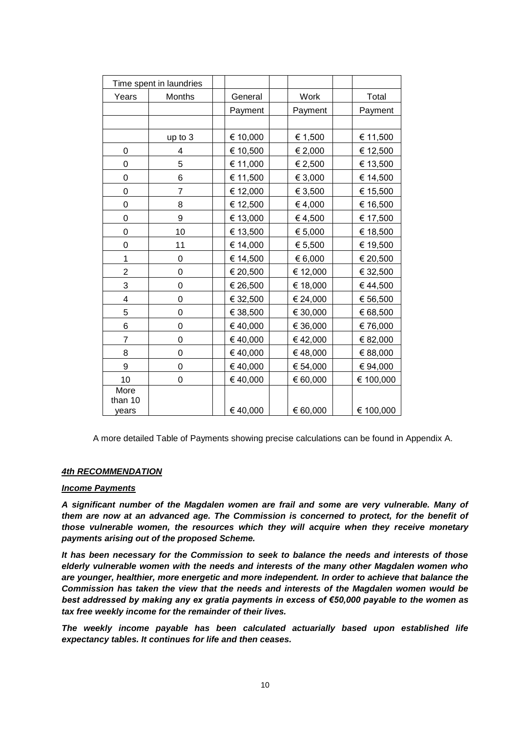| Time spent in laundries  |         |          |          |           |
|--------------------------|---------|----------|----------|-----------|
| Years                    | Months  | General  | Work     | Total     |
|                          |         | Payment  | Payment  | Payment   |
|                          |         |          |          |           |
|                          | up to 3 | € 10,000 | € 1,500  | € 11,500  |
| 0                        | 4       | € 10,500 | € 2,000  | € 12,500  |
| 0                        | 5       | € 11,000 | € 2,500  | € 13,500  |
| $\mathbf 0$              | 6       | € 11,500 | € 3,000  | € 14,500  |
| 0                        | 7       | € 12,000 | € 3,500  | € 15,500  |
| 0                        | 8       | € 12,500 | €4,000   | € 16,500  |
| 0                        | 9       | € 13,000 | €4,500   | € 17,500  |
| 0                        | 10      | € 13,500 | € 5,000  | € 18,500  |
| 0                        | 11      | € 14,000 | € 5,500  | € 19,500  |
| 1                        | 0       | € 14,500 | € 6,000  | € 20,500  |
| $\overline{2}$           | 0       | € 20,500 | € 12,000 | € 32,500  |
| 3                        | 0       | € 26,500 | € 18,000 | €44,500   |
| 4                        | 0       | € 32,500 | € 24,000 | € 56,500  |
| 5                        | 0       | € 38,500 | € 30,000 | € 68,500  |
| 6                        | 0       | €40,000  | € 36,000 | €76,000   |
| 7                        | 0       | €40,000  | €42,000  | € 82,000  |
| 8                        | 0       | € 40,000 | €48,000  | € 88,000  |
| 9                        | 0       | €40,000  | € 54,000 | € 94,000  |
| 10                       | 0       | €40,000  | € 60,000 | € 100,000 |
| More<br>than 10<br>years |         | €40,000  | € 60,000 | € 100,000 |

A more detailed Table of Payments showing precise calculations can be found in Appendix A.

### *4th RECOMMENDATION*

#### *Income Payments*

*A significant number of the Magdalen women are frail and some are very vulnerable. Many of them are now at an advanced age. The Commission is concerned to protect, for the benefit of those vulnerable women, the resources which they will acquire when they receive monetary payments arising out of the proposed Scheme.* 

*It has been necessary for the Commission to seek to balance the needs and interests of those elderly vulnerable women with the needs and interests of the many other Magdalen women who are younger, healthier, more energetic and more independent. In order to achieve that balance the Commission has taken the view that the needs and interests of the Magdalen women would be best addressed by making any ex gratia payments in excess of €50,000 payable to the women as tax free weekly income for the remainder of their lives.*

*The weekly income payable has been calculated actuarially based upon established life expectancy tables. It continues for life and then ceases.*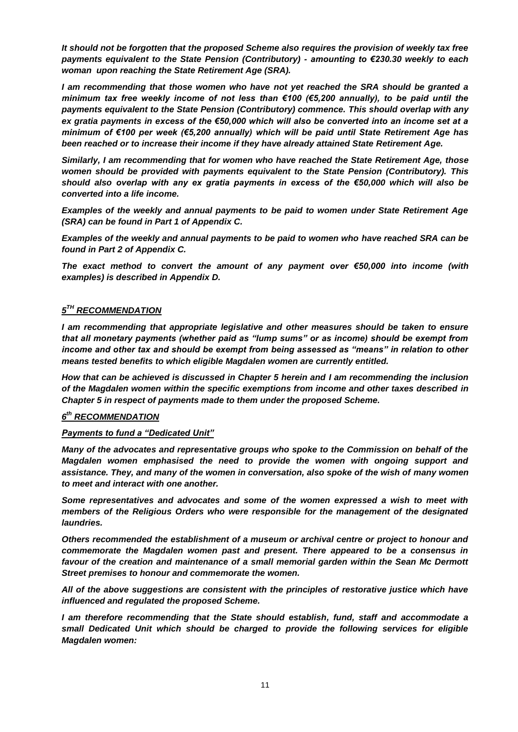*It should not be forgotten that the proposed Scheme also requires the provision of weekly tax free payments equivalent to the State Pension (Contributory) - amounting to €230.30 weekly to each woman upon reaching the State Retirement Age (SRA).*

*I am recommending that those women who have not yet reached the SRA should be granted a minimum tax free weekly income of not less than €100 (€5,200 annually), to be paid until the payments equivalent to the State Pension (Contributory) commence. This should overlap with any ex gratia payments in excess of the €50,000 which will also be converted into an income set at a minimum of €100 per week (€5,200 annually) which will be paid until State Retirement Age has been reached or to increase their income if they have already attained State Retirement Age.*

*Similarly, I am recommending that for women who have reached the State Retirement Age, those women should be provided with payments equivalent to the State Pension (Contributory). This should also overlap with any ex gratia payments in excess of the €50,000 which will also be converted into a life income.* 

*Examples of the weekly and annual payments to be paid to women under State Retirement Age (SRA) can be found in Part 1 of Appendix C.*

*Examples of the weekly and annual payments to be paid to women who have reached SRA can be found in Part 2 of Appendix C.*

*The exact method to convert the amount of any payment over €50,000 into income (with examples) is described in Appendix D.* 

### $5^{\text{\tiny{TH}}}$  *RECOMMENDATION*

*I am recommending that appropriate legislative and other measures should be taken to ensure that all monetary payments (whether paid as "lump sums" or as income) should be exempt from income and other tax and should be exempt from being assessed as "means" in relation to other means tested benefits to which eligible Magdalen women are currently entitled.*

*How that can be achieved is discussed in Chapter 5 herein and I am recommending the inclusion of the Magdalen women within the specific exemptions from income and other taxes described in Chapter 5 in respect of payments made to them under the proposed Scheme.* 

### *6 th RECOMMENDATION*

### *Payments to fund a "Dedicated Unit"*

*Many of the advocates and representative groups who spoke to the Commission on behalf of the Magdalen women emphasised the need to provide the women with ongoing support and assistance. They, and many of the women in conversation, also spoke of the wish of many women to meet and interact with one another.* 

*Some representatives and advocates and some of the women expressed a wish to meet with members of the Religious Orders who were responsible for the management of the designated laundries.* 

*Others recommended the establishment of a museum or archival centre or project to honour and commemorate the Magdalen women past and present. There appeared to be a consensus in*  favour of the creation and maintenance of a small memorial garden within the Sean Mc Dermott *Street premises to honour and commemorate the women.*

*All of the above suggestions are consistent with the principles of restorative justice which have influenced and regulated the proposed Scheme.*

*I am therefore recommending that the State should establish, fund, staff and accommodate a small Dedicated Unit which should be charged to provide the following services for eligible Magdalen women:*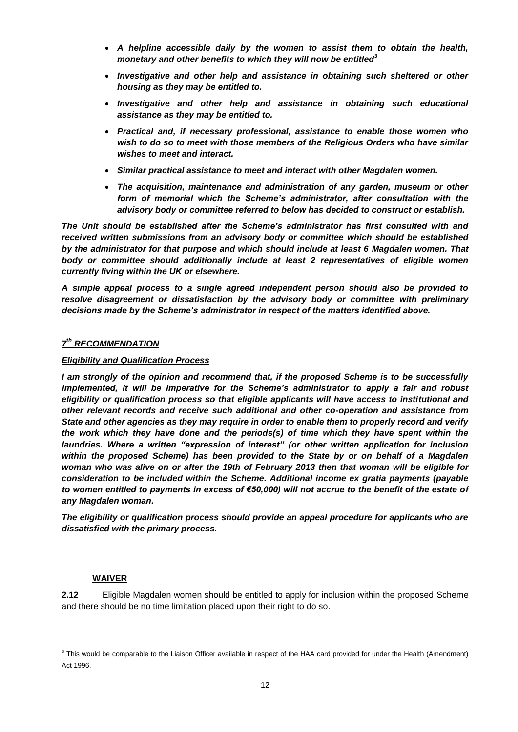- *A helpline accessible daily by the women to assist them to obtain the health, monetary and other benefits to which they will now be entitled<sup>3</sup>*
- *Investigative and other help and assistance in obtaining such sheltered or other housing as they may be entitled to.*
- *Investigative and other help and assistance in obtaining such educational assistance as they may be entitled to.*
- *Practical and, if necessary professional, assistance to enable those women who wish to do so to meet with those members of the Religious Orders who have similar wishes to meet and interact.*
- *Similar practical assistance to meet and interact with other Magdalen women.*
- *The acquisition, maintenance and administration of any garden, museum or other form of memorial which the Scheme's administrator, after consultation with the advisory body or committee referred to below has decided to construct or establish.*

*The Unit should be established after the Scheme's administrator has first consulted with and received written submissions from an advisory body or committee which should be established by the administrator for that purpose and which should include at least 6 Magdalen women. That body or committee should additionally include at least 2 representatives of eligible women currently living within the UK or elsewhere.*

*A simple appeal process to a single agreed independent person should also be provided to resolve disagreement or dissatisfaction by the advisory body or committee with preliminary decisions made by the Scheme's administrator in respect of the matters identified above.*

### *7 th RECOMMENDATION*

#### *Eligibility and Qualification Process*

*I am strongly of the opinion and recommend that, if the proposed Scheme is to be successfully implemented, it will be imperative for the Scheme's administrator to apply a fair and robust eligibility or qualification process so that eligible applicants will have access to institutional and other relevant records and receive such additional and other co-operation and assistance from State and other agencies as they may require in order to enable them to properly record and verify the work which they have done and the periods(s) of time which they have spent within the laundries. Where a written "expression of interest" (or other written application for inclusion within the proposed Scheme) has been provided to the State by or on behalf of a Magdalen woman who was alive on or after the 19th of February 2013 then that woman will be eligible for consideration to be included within the Scheme. Additional income ex gratia payments (payable to women entitled to payments in excess of €50,000) will not accrue to the benefit of the estate of any Magdalen woman.*

*The eligibility or qualification process should provide an appeal procedure for applicants who are dissatisfied with the primary process.*

### **WAIVER**

l

**2.12** Eligible Magdalen women should be entitled to apply for inclusion within the proposed Scheme and there should be no time limitation placed upon their right to do so.

 $3$  This would be comparable to the Liaison Officer available in respect of the HAA card provided for under the Health (Amendment) Act 1996.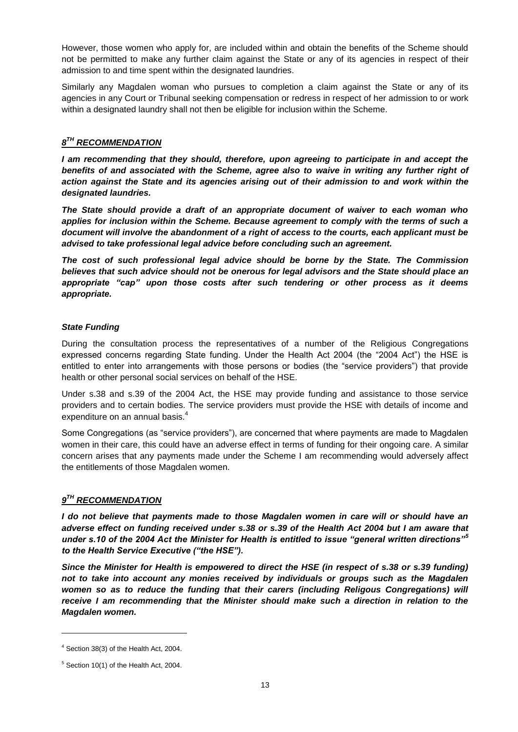However, those women who apply for, are included within and obtain the benefits of the Scheme should not be permitted to make any further claim against the State or any of its agencies in respect of their admission to and time spent within the designated laundries.

Similarly any Magdalen woman who pursues to completion a claim against the State or any of its agencies in any Court or Tribunal seeking compensation or redress in respect of her admission to or work within a designated laundry shall not then be eligible for inclusion within the Scheme.

# *8 TH RECOMMENDATION*

*I am recommending that they should, therefore, upon agreeing to participate in and accept the benefits of and associated with the Scheme, agree also to waive in writing any further right of action against the State and its agencies arising out of their admission to and work within the designated laundries.*

*The State should provide a draft of an appropriate document of waiver to each woman who applies for inclusion within the Scheme. Because agreement to comply with the terms of such a document will involve the abandonment of a right of access to the courts, each applicant must be advised to take professional legal advice before concluding such an agreement.*

*The cost of such professional legal advice should be borne by the State. The Commission believes that such advice should not be onerous for legal advisors and the State should place an appropriate "cap" upon those costs after such tendering or other process as it deems appropriate.*

#### *State Funding*

During the consultation process the representatives of a number of the Religious Congregations expressed concerns regarding State funding. Under the Health Act 2004 (the "2004 Act") the HSE is entitled to enter into arrangements with those persons or bodies (the "service providers") that provide health or other personal social services on behalf of the HSE.

Under s.38 and s.39 of the 2004 Act, the HSE may provide funding and assistance to those service providers and to certain bodies. The service providers must provide the HSE with details of income and expenditure on an annual basis.<sup>4</sup>

Some Congregations (as "service providers"), are concerned that where payments are made to Magdalen women in their care, this could have an adverse effect in terms of funding for their ongoing care. A similar concern arises that any payments made under the Scheme I am recommending would adversely affect the entitlements of those Magdalen women.

# $9^{TH}$  *RECOMMENDATION*

*I do not believe that payments made to those Magdalen women in care will or should have an adverse effect on funding received under s.38 or s.39 of the Health Act 2004 but I am aware that under s.10 of the 2004 Act the Minister for Health is entitled to issue "general written directions"<sup>5</sup> to the Health Service Executive ("the HSE").* 

*Since the Minister for Health is empowered to direct the HSE (in respect of s.38 or s.39 funding) not to take into account any monies received by individuals or groups such as the Magdalen women so as to reduce the funding that their carers (including Religous Congregations) will receive I am recommending that the Minister should make such a direction in relation to the Magdalen women.*

<sup>4</sup> Section 38(3) of the Health Act, 2004.

 $5$  Section 10(1) of the Health Act, 2004.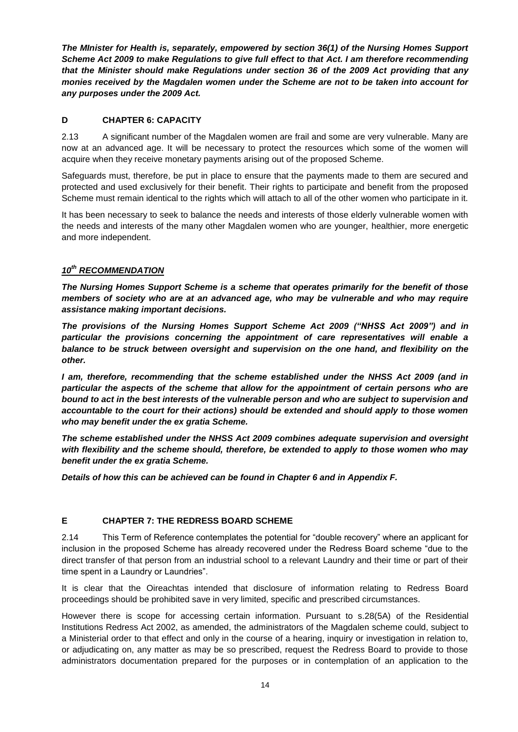*The MInister for Health is, separately, empowered by section 36(1) of the Nursing Homes Support Scheme Act 2009 to make Regulations to give full effect to that Act. I am therefore recommending that the Minister should make Regulations under section 36 of the 2009 Act providing that any monies received by the Magdalen women under the Scheme are not to be taken into account for any purposes under the 2009 Act.*

### <span id="page-17-0"></span>**D CHAPTER 6: CAPACITY**

2.13 A significant number of the Magdalen women are frail and some are very vulnerable. Many are now at an advanced age. It will be necessary to protect the resources which some of the women will acquire when they receive monetary payments arising out of the proposed Scheme.

Safeguards must, therefore, be put in place to ensure that the payments made to them are secured and protected and used exclusively for their benefit. Their rights to participate and benefit from the proposed Scheme must remain identical to the rights which will attach to all of the other women who participate in it.

It has been necessary to seek to balance the needs and interests of those elderly vulnerable women with the needs and interests of the many other Magdalen women who are younger, healthier, more energetic and more independent.

# *10th RECOMMENDATION*

*The Nursing Homes Support Scheme is a scheme that operates primarily for the benefit of those members of society who are at an advanced age, who may be vulnerable and who may require assistance making important decisions.* 

*The provisions of the Nursing Homes Support Scheme Act 2009 ("NHSS Act 2009") and in particular the provisions concerning the appointment of care representatives will enable a balance to be struck between oversight and supervision on the one hand, and flexibility on the other.* 

*I am, therefore, recommending that the scheme established under the NHSS Act 2009 (and in particular the aspects of the scheme that allow for the appointment of certain persons who are bound to act in the best interests of the vulnerable person and who are subject to supervision and accountable to the court for their actions) should be extended and should apply to those women who may benefit under the ex gratia Scheme.* 

*The scheme established under the NHSS Act 2009 combines adequate supervision and oversight with flexibility and the scheme should, therefore, be extended to apply to those women who may benefit under the ex gratia Scheme.* 

*Details of how this can be achieved can be found in Chapter 6 and in Appendix F.*

# <span id="page-17-1"></span>**E CHAPTER 7: THE REDRESS BOARD SCHEME**

2.14 This Term of Reference contemplates the potential for "double recovery" where an applicant for inclusion in the proposed Scheme has already recovered under the Redress Board scheme "due to the direct transfer of that person from an industrial school to a relevant Laundry and their time or part of their time spent in a Laundry or Laundries".

It is clear that the Oireachtas intended that disclosure of information relating to Redress Board proceedings should be prohibited save in very limited, specific and prescribed circumstances.

However there is scope for accessing certain information. Pursuant to s.28(5A) of the Residential Institutions Redress Act 2002, as amended, the administrators of the Magdalen scheme could, subject to a Ministerial order to that effect and only in the course of a hearing, inquiry or investigation in relation to, or adjudicating on, any matter as may be so prescribed, request the Redress Board to provide to those administrators documentation prepared for the purposes or in contemplation of an application to the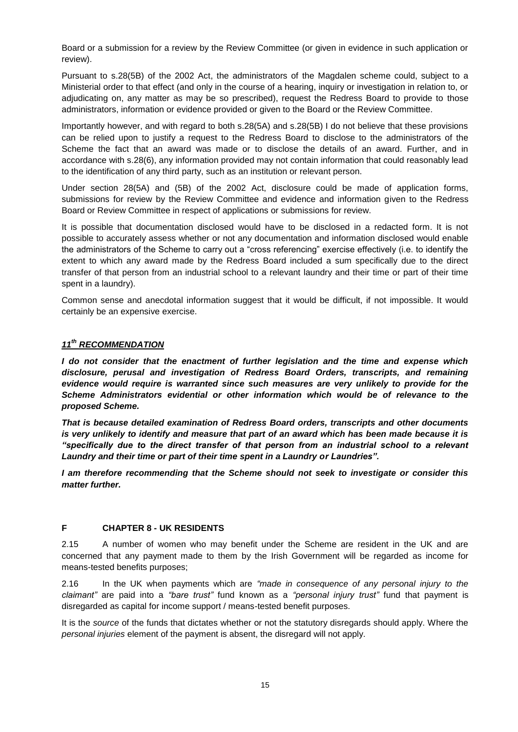Board or a submission for a review by the Review Committee (or given in evidence in such application or review).

Pursuant to s.28(5B) of the 2002 Act, the administrators of the Magdalen scheme could, subject to a Ministerial order to that effect (and only in the course of a hearing, inquiry or investigation in relation to, or adjudicating on, any matter as may be so prescribed), request the Redress Board to provide to those administrators, information or evidence provided or given to the Board or the Review Committee.

Importantly however, and with regard to both s.28(5A) and s.28(5B) I do not believe that these provisions can be relied upon to justify a request to the Redress Board to disclose to the administrators of the Scheme the fact that an award was made or to disclose the details of an award. Further, and in accordance with s.28(6), any information provided may not contain information that could reasonably lead to the identification of any third party, such as an institution or relevant person.

Under section 28(5A) and (5B) of the 2002 Act, disclosure could be made of application forms, submissions for review by the Review Committee and evidence and information given to the Redress Board or Review Committee in respect of applications or submissions for review.

It is possible that documentation disclosed would have to be disclosed in a redacted form. It is not possible to accurately assess whether or not any documentation and information disclosed would enable the administrators of the Scheme to carry out a "cross referencing" exercise effectively (i.e. to identify the extent to which any award made by the Redress Board included a sum specifically due to the direct transfer of that person from an industrial school to a relevant laundry and their time or part of their time spent in a laundry).

Common sense and anecdotal information suggest that it would be difficult, if not impossible. It would certainly be an expensive exercise.

### *11 th RECOMMENDATION*

*I do not consider that the enactment of further legislation and the time and expense which disclosure, perusal and investigation of Redress Board Orders, transcripts, and remaining evidence would require is warranted since such measures are very unlikely to provide for the Scheme Administrators evidential or other information which would be of relevance to the proposed Scheme.* 

*That is because detailed examination of Redress Board orders, transcripts and other documents is very unlikely to identify and measure that part of an award which has been made because it is "specifically due to the direct transfer of that person from an industrial school to a relevant Laundry and their time or part of their time spent in a Laundry or Laundries".* 

*I am therefore recommending that the Scheme should not seek to investigate or consider this matter further.*

### <span id="page-18-0"></span>**F CHAPTER 8 - UK RESIDENTS**

2.15 A number of women who may benefit under the Scheme are resident in the UK and are concerned that any payment made to them by the Irish Government will be regarded as income for means-tested benefits purposes;

2.16 In the UK when payments which are *"made in consequence of any personal injury to the claimant"* are paid into a *"bare trust"* fund known as a *"personal injury trust"* fund that payment is disregarded as capital for income support / means-tested benefit purposes.

It is the *source* of the funds that dictates whether or not the statutory disregards should apply. Where the *personal injuries* element of the payment is absent, the disregard will not apply.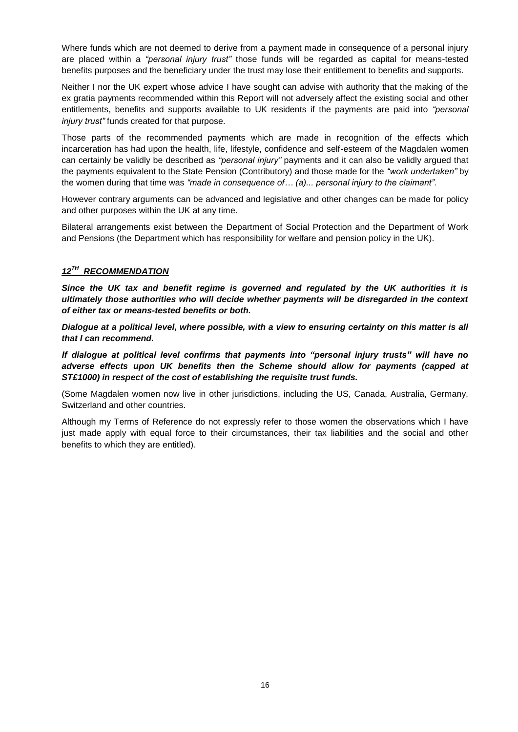Where funds which are not deemed to derive from a payment made in consequence of a personal injury are placed within a *"personal injury trust"* those funds will be regarded as capital for means-tested benefits purposes and the beneficiary under the trust may lose their entitlement to benefits and supports.

Neither I nor the UK expert whose advice I have sought can advise with authority that the making of the ex gratia payments recommended within this Report will not adversely affect the existing social and other entitlements, benefits and supports available to UK residents if the payments are paid into *"personal injury trust"* funds created for that purpose.

Those parts of the recommended payments which are made in recognition of the effects which incarceration has had upon the health, life, lifestyle, confidence and self-esteem of the Magdalen women can certainly be validly be described as *"personal injury"* payments and it can also be validly argued that the payments equivalent to the State Pension (Contributory) and those made for the *"work undertaken"* by the women during that time was *"made in consequence of… (a)... personal injury to the claimant".* 

However contrary arguments can be advanced and legislative and other changes can be made for policy and other purposes within the UK at any time.

Bilateral arrangements exist between the Department of Social Protection and the Department of Work and Pensions (the Department which has responsibility for welfare and pension policy in the UK).

# *12 TH RECOMMENDATION*

*Since the UK tax and benefit regime is governed and regulated by the UK authorities it is ultimately those authorities who will decide whether payments will be disregarded in the context of either tax or means-tested benefits or both.* 

*Dialogue at a political level, where possible, with a view to ensuring certainty on this matter is all that I can recommend.*

*If dialogue at political level confirms that payments into "personal injury trusts" will have no adverse effects upon UK benefits then the Scheme should allow for payments (capped at ST£1000) in respect of the cost of establishing the requisite trust funds.*

(Some Magdalen women now live in other jurisdictions, including the US, Canada, Australia, Germany, Switzerland and other countries.

Although my Terms of Reference do not expressly refer to those women the observations which I have just made apply with equal force to their circumstances, their tax liabilities and the social and other benefits to which they are entitled).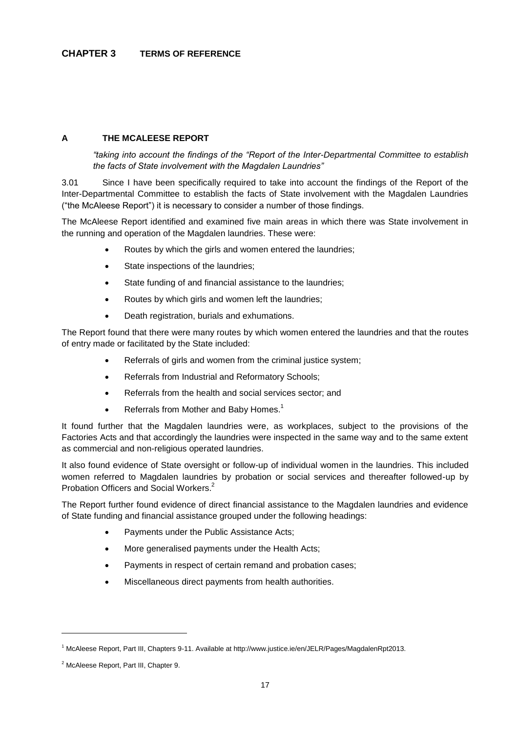### <span id="page-20-1"></span><span id="page-20-0"></span>**A THE MCALEESE REPORT**

*"taking into account the findings of the "Report of the Inter-Departmental Committee to establish the facts of State involvement with the Magdalen Laundries"*

3.01 Since I have been specifically required to take into account the findings of the Report of the Inter-Departmental Committee to establish the facts of State involvement with the Magdalen Laundries ("the McAleese Report") it is necessary to consider a number of those findings.

The McAleese Report identified and examined five main areas in which there was State involvement in the running and operation of the Magdalen laundries. These were:

- Routes by which the girls and women entered the laundries;
- State inspections of the laundries;
- State funding of and financial assistance to the laundries;
- Routes by which girls and women left the laundries;
- Death registration, burials and exhumations.

The Report found that there were many routes by which women entered the laundries and that the routes of entry made or facilitated by the State included:

- Referrals of girls and women from the criminal justice system;
- Referrals from Industrial and Reformatory Schools;
- Referrals from the health and social services sector; and
- Referrals from Mother and Baby Homes.<sup>1</sup>

It found further that the Magdalen laundries were, as workplaces, subject to the provisions of the Factories Acts and that accordingly the laundries were inspected in the same way and to the same extent as commercial and non-religious operated laundries.

It also found evidence of State oversight or follow-up of individual women in the laundries. This included women referred to Magdalen laundries by probation or social services and thereafter followed-up by Probation Officers and Social Workers.<sup>2</sup>

The Report further found evidence of direct financial assistance to the Magdalen laundries and evidence of State funding and financial assistance grouped under the following headings:

- Payments under the Public Assistance Acts;
- More generalised payments under the Health Acts;
- Payments in respect of certain remand and probation cases;
- Miscellaneous direct payments from health authorities.

<sup>1</sup> McAleese Report, Part III, Chapters 9-11. Available at http://www.justice.ie/en/JELR/Pages/MagdalenRpt2013.

<sup>2</sup> McAleese Report, Part III, Chapter 9.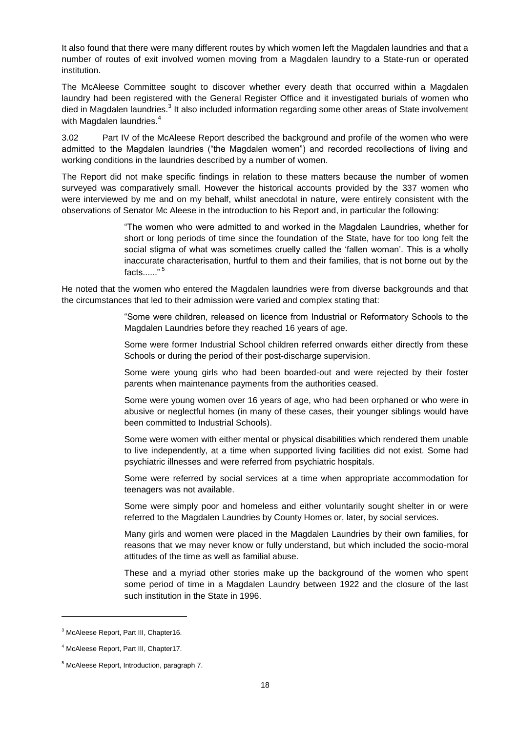It also found that there were many different routes by which women left the Magdalen laundries and that a number of routes of exit involved women moving from a Magdalen laundry to a State-run or operated institution.

The McAleese Committee sought to discover whether every death that occurred within a Magdalen laundry had been registered with the General Register Office and it investigated burials of women who died in Magdalen laundries.<sup>3</sup> It also included information regarding some other areas of State involvement with Magdalen laundries.<sup>4</sup>

3.02 Part IV of the McAleese Report described the background and profile of the women who were admitted to the Magdalen laundries ("the Magdalen women") and recorded recollections of living and working conditions in the laundries described by a number of women.

The Report did not make specific findings in relation to these matters because the number of women surveyed was comparatively small. However the historical accounts provided by the 337 women who were interviewed by me and on my behalf, whilst anecdotal in nature, were entirely consistent with the observations of Senator Mc Aleese in the introduction to his Report and, in particular the following:

> "The women who were admitted to and worked in the Magdalen Laundries, whether for short or long periods of time since the foundation of the State, have for too long felt the social stigma of what was sometimes cruelly called the 'fallen woman'. This is a wholly inaccurate characterisation, hurtful to them and their families, that is not borne out by the facts. $\ldots$ ."<sup>5</sup>

He noted that the women who entered the Magdalen laundries were from diverse backgrounds and that the circumstances that led to their admission were varied and complex stating that:

> "Some were children, released on licence from Industrial or Reformatory Schools to the Magdalen Laundries before they reached 16 years of age.

> Some were former Industrial School children referred onwards either directly from these Schools or during the period of their post-discharge supervision.

> Some were young girls who had been boarded-out and were rejected by their foster parents when maintenance payments from the authorities ceased.

> Some were young women over 16 years of age, who had been orphaned or who were in abusive or neglectful homes (in many of these cases, their younger siblings would have been committed to Industrial Schools).

> Some were women with either mental or physical disabilities which rendered them unable to live independently, at a time when supported living facilities did not exist. Some had psychiatric illnesses and were referred from psychiatric hospitals.

> Some were referred by social services at a time when appropriate accommodation for teenagers was not available.

> Some were simply poor and homeless and either voluntarily sought shelter in or were referred to the Magdalen Laundries by County Homes or, later, by social services.

> Many girls and women were placed in the Magdalen Laundries by their own families, for reasons that we may never know or fully understand, but which included the socio-moral attitudes of the time as well as familial abuse.

> These and a myriad other stories make up the background of the women who spent some period of time in a Magdalen Laundry between 1922 and the closure of the last such institution in the State in 1996.

<sup>&</sup>lt;sup>3</sup> McAleese Report, Part III, Chapter16.

<sup>4</sup> McAleese Report, Part III, Chapter17.

<sup>5</sup> McAleese Report, Introduction, paragraph 7.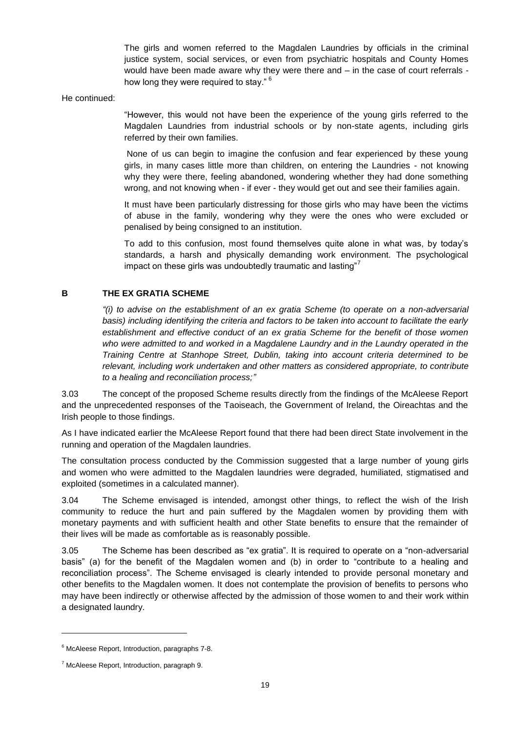The girls and women referred to the Magdalen Laundries by officials in the criminal justice system, social services, or even from psychiatric hospitals and County Homes would have been made aware why they were there and – in the case of court referrals how long they were required to stay."<sup>6</sup>

He continued:

"However, this would not have been the experience of the young girls referred to the Magdalen Laundries from industrial schools or by non-state agents, including girls referred by their own families.

None of us can begin to imagine the confusion and fear experienced by these young girls, in many cases little more than children, on entering the Laundries - not knowing why they were there, feeling abandoned, wondering whether they had done something wrong, and not knowing when - if ever - they would get out and see their families again.

It must have been particularly distressing for those girls who may have been the victims of abuse in the family, wondering why they were the ones who were excluded or penalised by being consigned to an institution.

To add to this confusion, most found themselves quite alone in what was, by today's standards, a harsh and physically demanding work environment. The psychological impact on these girls was undoubtedly traumatic and lasting"<sup>7</sup>

### <span id="page-22-0"></span>**B THE EX GRATIA SCHEME**

*"(i) to advise on the establishment of an ex gratia Scheme (to operate on a non-adversarial basis) including identifying the criteria and factors to be taken into account to facilitate the early establishment and effective conduct of an ex gratia Scheme for the benefit of those women who were admitted to and worked in a Magdalene Laundry and in the Laundry operated in the Training Centre at Stanhope Street, Dublin, taking into account criteria determined to be relevant, including work undertaken and other matters as considered appropriate, to contribute to a healing and reconciliation process;"*

3.03 The concept of the proposed Scheme results directly from the findings of the McAleese Report and the unprecedented responses of the Taoiseach, the Government of Ireland, the Oireachtas and the Irish people to those findings.

As I have indicated earlier the McAleese Report found that there had been direct State involvement in the running and operation of the Magdalen laundries.

The consultation process conducted by the Commission suggested that a large number of young girls and women who were admitted to the Magdalen laundries were degraded, humiliated, stigmatised and exploited (sometimes in a calculated manner).

3.04 The Scheme envisaged is intended, amongst other things, to reflect the wish of the Irish community to reduce the hurt and pain suffered by the Magdalen women by providing them with monetary payments and with sufficient health and other State benefits to ensure that the remainder of their lives will be made as comfortable as is reasonably possible.

3.05 The Scheme has been described as "ex gratia". It is required to operate on a "non-adversarial basis" (a) for the benefit of the Magdalen women and (b) in order to "contribute to a healing and reconciliation process". The Scheme envisaged is clearly intended to provide personal monetary and other benefits to the Magdalen women. It does not contemplate the provision of benefits to persons who may have been indirectly or otherwise affected by the admission of those women to and their work within a designated laundry.

<sup>&</sup>lt;sup>6</sup> McAleese Report, Introduction, paragraphs 7-8.

 $7$  McAleese Report, Introduction, paragraph 9.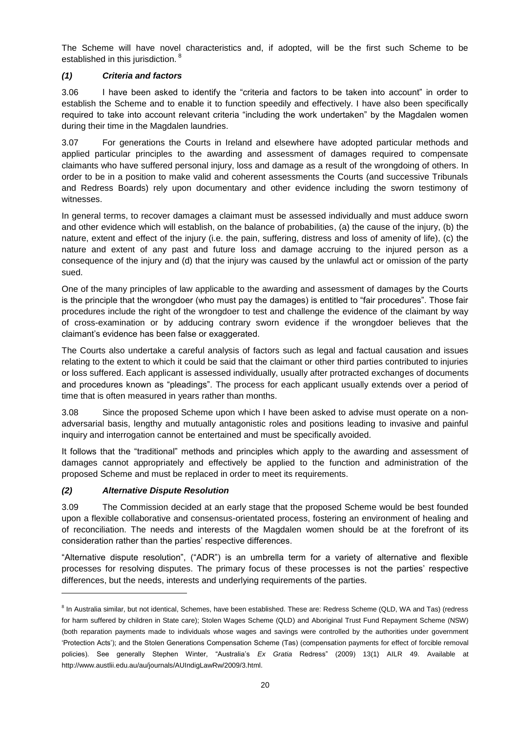The Scheme will have novel characteristics and, if adopted, will be the first such Scheme to be established in this jurisdiction.<sup>8</sup>

### <span id="page-23-0"></span>*(1) Criteria and factors*

3.06 I have been asked to identify the "criteria and factors to be taken into account" in order to establish the Scheme and to enable it to function speedily and effectively. I have also been specifically required to take into account relevant criteria "including the work undertaken" by the Magdalen women during their time in the Magdalen laundries.

3.07 For generations the Courts in Ireland and elsewhere have adopted particular methods and applied particular principles to the awarding and assessment of damages required to compensate claimants who have suffered personal injury, loss and damage as a result of the wrongdoing of others. In order to be in a position to make valid and coherent assessments the Courts (and successive Tribunals and Redress Boards) rely upon documentary and other evidence including the sworn testimony of witnesses.

In general terms, to recover damages a claimant must be assessed individually and must adduce sworn and other evidence which will establish, on the balance of probabilities, (a) the cause of the injury, (b) the nature, extent and effect of the injury (i.e. the pain, suffering, distress and loss of amenity of life), (c) the nature and extent of any past and future loss and damage accruing to the injured person as a consequence of the injury and (d) that the injury was caused by the unlawful act or omission of the party sued.

One of the many principles of law applicable to the awarding and assessment of damages by the Courts is the principle that the wrongdoer (who must pay the damages) is entitled to "fair procedures". Those fair procedures include the right of the wrongdoer to test and challenge the evidence of the claimant by way of cross-examination or by adducing contrary sworn evidence if the wrongdoer believes that the claimant's evidence has been false or exaggerated.

The Courts also undertake a careful analysis of factors such as legal and factual causation and issues relating to the extent to which it could be said that the claimant or other third parties contributed to injuries or loss suffered. Each applicant is assessed individually, usually after protracted exchanges of documents and procedures known as "pleadings". The process for each applicant usually extends over a period of time that is often measured in years rather than months.

3.08 Since the proposed Scheme upon which I have been asked to advise must operate on a nonadversarial basis, lengthy and mutually antagonistic roles and positions leading to invasive and painful inquiry and interrogation cannot be entertained and must be specifically avoided.

It follows that the "traditional" methods and principles which apply to the awarding and assessment of damages cannot appropriately and effectively be applied to the function and administration of the proposed Scheme and must be replaced in order to meet its requirements.

# <span id="page-23-1"></span>*(2) Alternative Dispute Resolution*

l

3.09 The Commission decided at an early stage that the proposed Scheme would be best founded upon a flexible collaborative and consensus-orientated process, fostering an environment of healing and of reconciliation. The needs and interests of the Magdalen women should be at the forefront of its consideration rather than the parties' respective differences.

"Alternative dispute resolution", ("ADR") is an umbrella term for a variety of alternative and flexible processes for resolving disputes. The primary focus of these processes is not the parties' respective differences, but the needs, interests and underlying requirements of the parties.

<sup>&</sup>lt;sup>8</sup> In Australia similar, but not identical, Schemes, have been established. These are: Redress Scheme (QLD, WA and Tas) (redress for harm suffered by children in State care); Stolen Wages Scheme (QLD) and Aboriginal Trust Fund Repayment Scheme (NSW) (both reparation payments made to individuals whose wages and savings were controlled by the authorities under government 'Protection Acts'); and the Stolen Generations Compensation Scheme (Tas) (compensation payments for effect of forcible removal policies). See generally Stephen Winter, "Australia's *Ex Gratia* Redress" (2009) 13(1) AILR 49. Available at http://www.austlii.edu.au/au/journals/AUIndigLawRw/2009/3.html.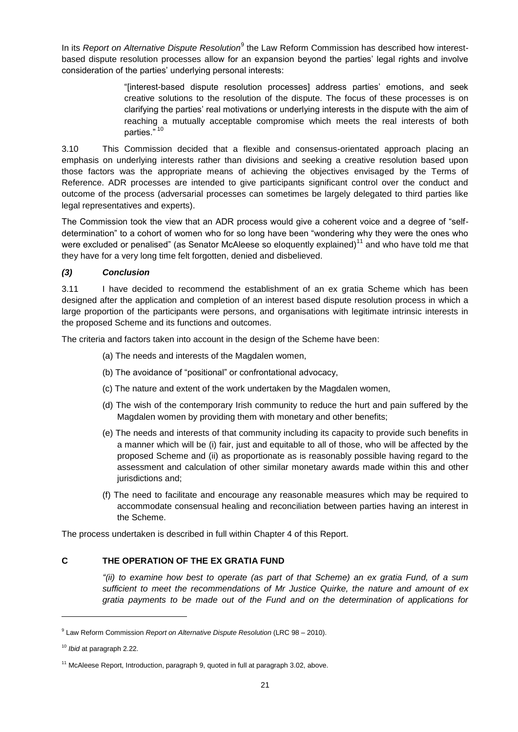In its *Report on Alternative Dispute Resolution*<sup>9</sup> the Law Reform Commission has described how interestbased dispute resolution processes allow for an expansion beyond the parties' legal rights and involve consideration of the parties' underlying personal interests:

> "[interest-based dispute resolution processes] address parties' emotions, and seek creative solutions to the resolution of the dispute. The focus of these processes is on clarifying the parties' real motivations or underlying interests in the dispute with the aim of reaching a mutually acceptable compromise which meets the real interests of both parties." 10

3.10 This Commission decided that a flexible and consensus-orientated approach placing an emphasis on underlying interests rather than divisions and seeking a creative resolution based upon those factors was the appropriate means of achieving the objectives envisaged by the Terms of Reference. ADR processes are intended to give participants significant control over the conduct and outcome of the process (adversarial processes can sometimes be largely delegated to third parties like legal representatives and experts).

The Commission took the view that an ADR process would give a coherent voice and a degree of "selfdetermination" to a cohort of women who for so long have been "wondering why they were the ones who were excluded or penalised" (as Senator McAleese so eloquently explained)<sup>11</sup> and who have told me that they have for a very long time felt forgotten, denied and disbelieved.

### <span id="page-24-0"></span>*(3) Conclusion*

3.11 I have decided to recommend the establishment of an ex gratia Scheme which has been designed after the application and completion of an interest based dispute resolution process in which a large proportion of the participants were persons, and organisations with legitimate intrinsic interests in the proposed Scheme and its functions and outcomes.

The criteria and factors taken into account in the design of the Scheme have been:

- (a) The needs and interests of the Magdalen women,
- (b) The avoidance of "positional" or confrontational advocacy,
- (c) The nature and extent of the work undertaken by the Magdalen women,
- (d) The wish of the contemporary Irish community to reduce the hurt and pain suffered by the Magdalen women by providing them with monetary and other benefits;
- (e) The needs and interests of that community including its capacity to provide such benefits in a manner which will be (i) fair, just and equitable to all of those, who will be affected by the proposed Scheme and (ii) as proportionate as is reasonably possible having regard to the assessment and calculation of other similar monetary awards made within this and other jurisdictions and;
- (f) The need to facilitate and encourage any reasonable measures which may be required to accommodate consensual healing and reconciliation between parties having an interest in the Scheme.

The process undertaken is described in full within Chapter 4 of this Report.

### <span id="page-24-1"></span>**C THE OPERATION OF THE EX GRATIA FUND**

*"(ii) to examine how best to operate (as part of that Scheme) an ex gratia Fund, of a sum sufficient to meet the recommendations of Mr Justice Quirke, the nature and amount of ex gratia payments to be made out of the Fund and on the determination of applications for* 

<sup>9</sup> Law Reform Commission *Report on Alternative Dispute Resolution* (LRC 98 – 2010).

<sup>10</sup> *Ibid* at paragraph 2.22.

<sup>&</sup>lt;sup>11</sup> McAleese Report, Introduction, paragraph 9, quoted in full at paragraph 3.02, above.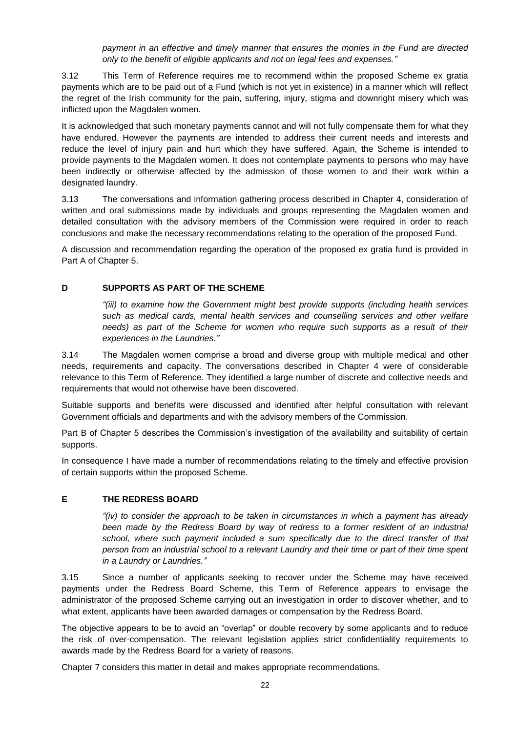*payment in an effective and timely manner that ensures the monies in the Fund are directed only to the benefit of eligible applicants and not on legal fees and expenses."*

3.12 This Term of Reference requires me to recommend within the proposed Scheme ex gratia payments which are to be paid out of a Fund (which is not yet in existence) in a manner which will reflect the regret of the Irish community for the pain, suffering, injury, stigma and downright misery which was inflicted upon the Magdalen women.

It is acknowledged that such monetary payments cannot and will not fully compensate them for what they have endured. However the payments are intended to address their current needs and interests and reduce the level of injury pain and hurt which they have suffered. Again, the Scheme is intended to provide payments to the Magdalen women. It does not contemplate payments to persons who may have been indirectly or otherwise affected by the admission of those women to and their work within a designated laundry.

3.13 The conversations and information gathering process described in Chapter 4, consideration of written and oral submissions made by individuals and groups representing the Magdalen women and detailed consultation with the advisory members of the Commission were required in order to reach conclusions and make the necessary recommendations relating to the operation of the proposed Fund.

A discussion and recommendation regarding the operation of the proposed ex gratia fund is provided in Part A of Chapter 5.

### <span id="page-25-0"></span>**D SUPPORTS AS PART OF THE SCHEME**

*"(iii) to examine how the Government might best provide supports (including health services such as medical cards, mental health services and counselling services and other welfare needs) as part of the Scheme for women who require such supports as a result of their experiences in the Laundries."*

3.14 The Magdalen women comprise a broad and diverse group with multiple medical and other needs, requirements and capacity. The conversations described in Chapter 4 were of considerable relevance to this Term of Reference. They identified a large number of discrete and collective needs and requirements that would not otherwise have been discovered.

Suitable supports and benefits were discussed and identified after helpful consultation with relevant Government officials and departments and with the advisory members of the Commission.

Part B of Chapter 5 describes the Commission's investigation of the availability and suitability of certain supports.

In consequence I have made a number of recommendations relating to the timely and effective provision of certain supports within the proposed Scheme.

### <span id="page-25-1"></span>**E THE REDRESS BOARD**

*"(iv) to consider the approach to be taken in circumstances in which a payment has already*  been made by the Redress Board by way of redress to a former resident of an industrial *school, where such payment included a sum specifically due to the direct transfer of that person from an industrial school to a relevant Laundry and their time or part of their time spent in a Laundry or Laundries."*

3.15 Since a number of applicants seeking to recover under the Scheme may have received payments under the Redress Board Scheme, this Term of Reference appears to envisage the administrator of the proposed Scheme carrying out an investigation in order to discover whether, and to what extent, applicants have been awarded damages or compensation by the Redress Board.

The objective appears to be to avoid an "overlap" or double recovery by some applicants and to reduce the risk of over-compensation. The relevant legislation applies strict confidentiality requirements to awards made by the Redress Board for a variety of reasons.

Chapter 7 considers this matter in detail and makes appropriate recommendations.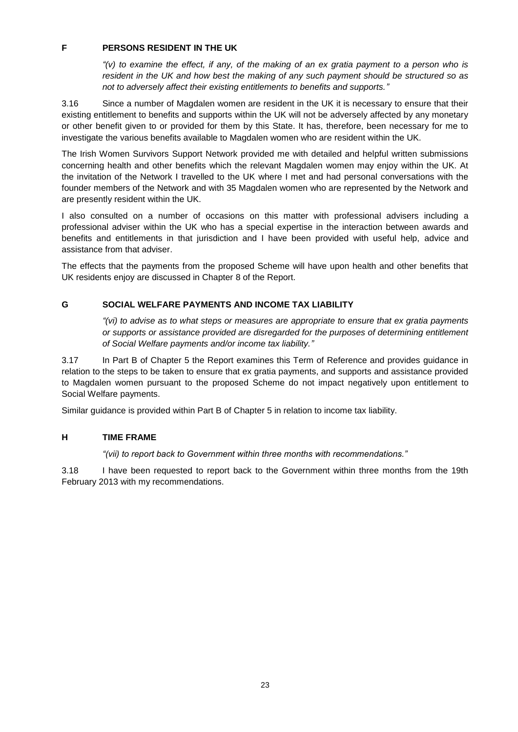### <span id="page-26-0"></span>**F PERSONS RESIDENT IN THE UK**

*"(v) to examine the effect, if any, of the making of an ex gratia payment to a person who is resident in the UK and how best the making of any such payment should be structured so as not to adversely affect their existing entitlements to benefits and supports."*

3.16 Since a number of Magdalen women are resident in the UK it is necessary to ensure that their existing entitlement to benefits and supports within the UK will not be adversely affected by any monetary or other benefit given to or provided for them by this State. It has, therefore, been necessary for me to investigate the various benefits available to Magdalen women who are resident within the UK.

The Irish Women Survivors Support Network provided me with detailed and helpful written submissions concerning health and other benefits which the relevant Magdalen women may enjoy within the UK. At the invitation of the Network I travelled to the UK where I met and had personal conversations with the founder members of the Network and with 35 Magdalen women who are represented by the Network and are presently resident within the UK.

I also consulted on a number of occasions on this matter with professional advisers including a professional adviser within the UK who has a special expertise in the interaction between awards and benefits and entitlements in that jurisdiction and I have been provided with useful help, advice and assistance from that adviser.

The effects that the payments from the proposed Scheme will have upon health and other benefits that UK residents enjoy are discussed in Chapter 8 of the Report.

# <span id="page-26-1"></span>**G SOCIAL WELFARE PAYMENTS AND INCOME TAX LIABILITY**

*"(vi) to advise as to what steps or measures are appropriate to ensure that ex gratia payments or supports or assistance provided are disregarded for the purposes of determining entitlement of Social Welfare payments and/or income tax liability."*

3.17 In Part B of Chapter 5 the Report examines this Term of Reference and provides guidance in relation to the steps to be taken to ensure that ex gratia payments, and supports and assistance provided to Magdalen women pursuant to the proposed Scheme do not impact negatively upon entitlement to Social Welfare payments.

Similar guidance is provided within Part B of Chapter 5 in relation to income tax liability.

### <span id="page-26-2"></span>**H TIME FRAME**

*"(vii) to report back to Government within three months with recommendations."*

3.18 I have been requested to report back to the Government within three months from the 19th February 2013 with my recommendations.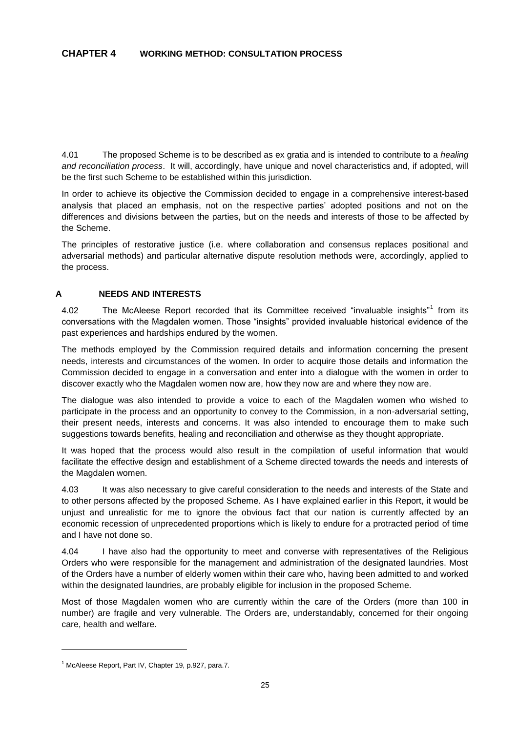<span id="page-28-0"></span>4.01 The proposed Scheme is to be described as ex gratia and is intended to contribute to a *healing and reconciliation process*. It will, accordingly, have unique and novel characteristics and, if adopted, will be the first such Scheme to be established within this jurisdiction.

In order to achieve its objective the Commission decided to engage in a comprehensive interest-based analysis that placed an emphasis, not on the respective parties' adopted positions and not on the differences and divisions between the parties, but on the needs and interests of those to be affected by the Scheme.

The principles of restorative justice (i.e. where collaboration and consensus replaces positional and adversarial methods) and particular alternative dispute resolution methods were, accordingly, applied to the process.

### <span id="page-28-1"></span>**A NEEDS AND INTERESTS**

4.02 The McAleese Report recorded that its Committee received "invaluable insights"<sup>1</sup> from its conversations with the Magdalen women. Those "insights" provided invaluable historical evidence of the past experiences and hardships endured by the women.

The methods employed by the Commission required details and information concerning the present needs, interests and circumstances of the women. In order to acquire those details and information the Commission decided to engage in a conversation and enter into a dialogue with the women in order to discover exactly who the Magdalen women now are, how they now are and where they now are.

The dialogue was also intended to provide a voice to each of the Magdalen women who wished to participate in the process and an opportunity to convey to the Commission, in a non-adversarial setting, their present needs, interests and concerns. It was also intended to encourage them to make such suggestions towards benefits, healing and reconciliation and otherwise as they thought appropriate.

It was hoped that the process would also result in the compilation of useful information that would facilitate the effective design and establishment of a Scheme directed towards the needs and interests of the Magdalen women.

4.03 It was also necessary to give careful consideration to the needs and interests of the State and to other persons affected by the proposed Scheme. As I have explained earlier in this Report, it would be unjust and unrealistic for me to ignore the obvious fact that our nation is currently affected by an economic recession of unprecedented proportions which is likely to endure for a protracted period of time and I have not done so.

4.04 I have also had the opportunity to meet and converse with representatives of the Religious Orders who were responsible for the management and administration of the designated laundries. Most of the Orders have a number of elderly women within their care who, having been admitted to and worked within the designated laundries, are probably eligible for inclusion in the proposed Scheme.

Most of those Magdalen women who are currently within the care of the Orders (more than 100 in number) are fragile and very vulnerable. The Orders are, understandably, concerned for their ongoing care, health and welfare.

<sup>&</sup>lt;sup>1</sup> McAleese Report, Part IV, Chapter 19, p.927, para.7.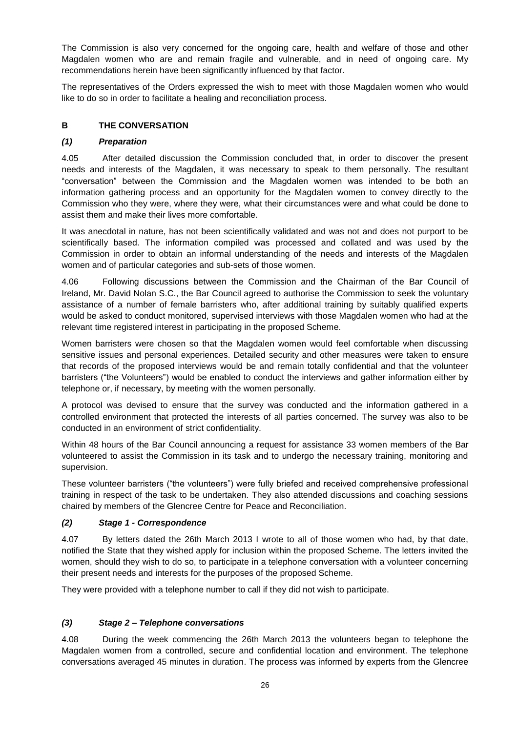The Commission is also very concerned for the ongoing care, health and welfare of those and other Magdalen women who are and remain fragile and vulnerable, and in need of ongoing care. My recommendations herein have been significantly influenced by that factor.

The representatives of the Orders expressed the wish to meet with those Magdalen women who would like to do so in order to facilitate a healing and reconciliation process.

# <span id="page-29-0"></span>**B THE CONVERSATION**

### <span id="page-29-1"></span>*(1) Preparation*

4.05 After detailed discussion the Commission concluded that, in order to discover the present needs and interests of the Magdalen, it was necessary to speak to them personally. The resultant "conversation" between the Commission and the Magdalen women was intended to be both an information gathering process and an opportunity for the Magdalen women to convey directly to the Commission who they were, where they were, what their circumstances were and what could be done to assist them and make their lives more comfortable.

It was anecdotal in nature, has not been scientifically validated and was not and does not purport to be scientifically based. The information compiled was processed and collated and was used by the Commission in order to obtain an informal understanding of the needs and interests of the Magdalen women and of particular categories and sub-sets of those women.

4.06 Following discussions between the Commission and the Chairman of the Bar Council of Ireland, Mr. David Nolan S.C., the Bar Council agreed to authorise the Commission to seek the voluntary assistance of a number of female barristers who, after additional training by suitably qualified experts would be asked to conduct monitored, supervised interviews with those Magdalen women who had at the relevant time registered interest in participating in the proposed Scheme.

Women barristers were chosen so that the Magdalen women would feel comfortable when discussing sensitive issues and personal experiences. Detailed security and other measures were taken to ensure that records of the proposed interviews would be and remain totally confidential and that the volunteer barristers ("the Volunteers") would be enabled to conduct the interviews and gather information either by telephone or, if necessary, by meeting with the women personally.

A protocol was devised to ensure that the survey was conducted and the information gathered in a controlled environment that protected the interests of all parties concerned. The survey was also to be conducted in an environment of strict confidentiality.

Within 48 hours of the Bar Council announcing a request for assistance 33 women members of the Bar volunteered to assist the Commission in its task and to undergo the necessary training, monitoring and supervision.

These volunteer barristers ("the volunteers") were fully briefed and received comprehensive professional training in respect of the task to be undertaken. They also attended discussions and coaching sessions chaired by members of the Glencree Centre for Peace and Reconciliation.

# <span id="page-29-2"></span>*(2) Stage 1 - Correspondence*

4.07 By letters dated the 26th March 2013 I wrote to all of those women who had, by that date, notified the State that they wished apply for inclusion within the proposed Scheme. The letters invited the women, should they wish to do so, to participate in a telephone conversation with a volunteer concerning their present needs and interests for the purposes of the proposed Scheme.

They were provided with a telephone number to call if they did not wish to participate.

# <span id="page-29-3"></span>*(3) Stage 2 – Telephone conversations*

4.08 During the week commencing the 26th March 2013 the volunteers began to telephone the Magdalen women from a controlled, secure and confidential location and environment. The telephone conversations averaged 45 minutes in duration. The process was informed by experts from the Glencree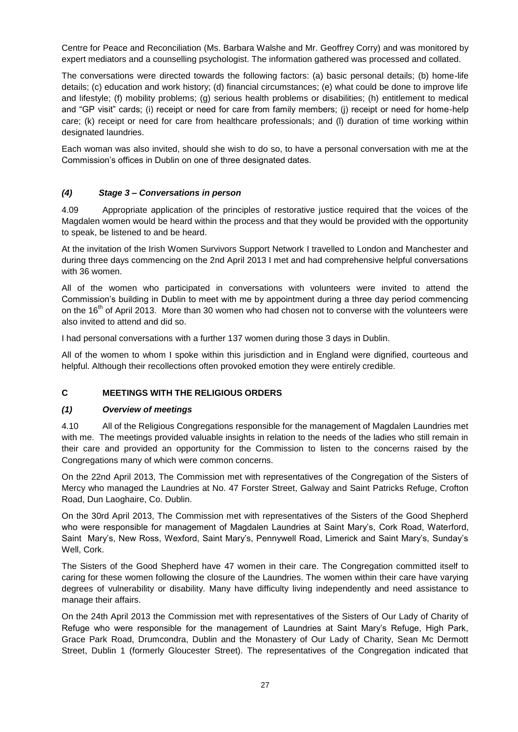Centre for Peace and Reconciliation (Ms. Barbara Walshe and Mr. Geoffrey Corry) and was monitored by expert mediators and a counselling psychologist. The information gathered was processed and collated.

The conversations were directed towards the following factors: (a) basic personal details; (b) home-life details; (c) education and work history; (d) financial circumstances; (e) what could be done to improve life and lifestyle; (f) mobility problems; (g) serious health problems or disabilities; (h) entitlement to medical and "GP visit" cards; (i) receipt or need for care from family members; (j) receipt or need for home-help care; (k) receipt or need for care from healthcare professionals; and (l) duration of time working within designated laundries.

Each woman was also invited, should she wish to do so, to have a personal conversation with me at the Commission's offices in Dublin on one of three designated dates.

# <span id="page-30-0"></span>*(4) Stage 3 – Conversations in person*

4.09 Appropriate application of the principles of restorative justice required that the voices of the Magdalen women would be heard within the process and that they would be provided with the opportunity to speak, be listened to and be heard.

At the invitation of the Irish Women Survivors Support Network I travelled to London and Manchester and during three days commencing on the 2nd April 2013 I met and had comprehensive helpful conversations with 36 women.

All of the women who participated in conversations with volunteers were invited to attend the Commission's building in Dublin to meet with me by appointment during a three day period commencing on the 16<sup>th</sup> of April 2013. More than 30 women who had chosen not to converse with the volunteers were also invited to attend and did so.

I had personal conversations with a further 137 women during those 3 days in Dublin.

All of the women to whom I spoke within this jurisdiction and in England were dignified, courteous and helpful. Although their recollections often provoked emotion they were entirely credible.

# <span id="page-30-1"></span>**C MEETINGS WITH THE RELIGIOUS ORDERS**

### <span id="page-30-2"></span>*(1) Overview of meetings*

4.10 All of the Religious Congregations responsible for the management of Magdalen Laundries met with me. The meetings provided valuable insights in relation to the needs of the ladies who still remain in their care and provided an opportunity for the Commission to listen to the concerns raised by the Congregations many of which were common concerns.

On the 22nd April 2013, The Commission met with representatives of the Congregation of the Sisters of Mercy who managed the Laundries at No. 47 Forster Street, Galway and Saint Patricks Refuge, Crofton Road, Dun Laoghaire, Co. Dublin.

On the 30rd April 2013, The Commission met with representatives of the Sisters of the Good Shepherd who were responsible for management of Magdalen Laundries at Saint Mary's, Cork Road, Waterford, Saint Mary's, New Ross, Wexford, Saint Mary's, Pennywell Road, Limerick and Saint Mary's, Sunday's Well, Cork.

The Sisters of the Good Shepherd have 47 women in their care. The Congregation committed itself to caring for these women following the closure of the Laundries. The women within their care have varying degrees of vulnerability or disability. Many have difficulty living independently and need assistance to manage their affairs.

On the 24th April 2013 the Commission met with representatives of the Sisters of Our Lady of Charity of Refuge who were responsible for the management of Laundries at Saint Mary's Refuge, High Park, Grace Park Road, Drumcondra, Dublin and the Monastery of Our Lady of Charity, Sean Mc Dermott Street, Dublin 1 (formerly Gloucester Street). The representatives of the Congregation indicated that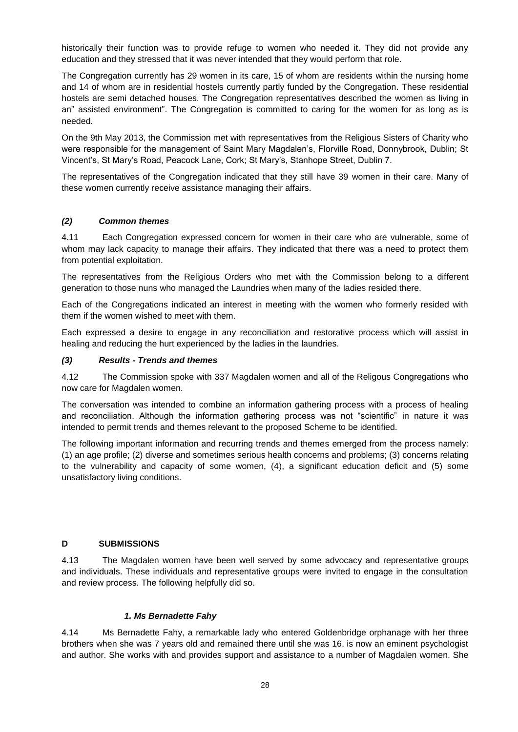historically their function was to provide refuge to women who needed it. They did not provide any education and they stressed that it was never intended that they would perform that role.

The Congregation currently has 29 women in its care, 15 of whom are residents within the nursing home and 14 of whom are in residential hostels currently partly funded by the Congregation. These residential hostels are semi detached houses. The Congregation representatives described the women as living in an" assisted environment". The Congregation is committed to caring for the women for as long as is needed.

On the 9th May 2013, the Commission met with representatives from the Religious Sisters of Charity who were responsible for the management of Saint Mary Magdalen's, Florville Road, Donnybrook, Dublin; St Vincent's, St Mary's Road, Peacock Lane, Cork; St Mary's, Stanhope Street, Dublin 7.

The representatives of the Congregation indicated that they still have 39 women in their care. Many of these women currently receive assistance managing their affairs.

### <span id="page-31-0"></span>*(2) Common themes*

4.11 Each Congregation expressed concern for women in their care who are vulnerable, some of whom may lack capacity to manage their affairs. They indicated that there was a need to protect them from potential exploitation.

The representatives from the Religious Orders who met with the Commission belong to a different generation to those nuns who managed the Laundries when many of the ladies resided there.

Each of the Congregations indicated an interest in meeting with the women who formerly resided with them if the women wished to meet with them.

Each expressed a desire to engage in any reconciliation and restorative process which will assist in healing and reducing the hurt experienced by the ladies in the laundries.

### <span id="page-31-1"></span>*(3) Results - Trends and themes*

4.12 The Commission spoke with 337 Magdalen women and all of the Religous Congregations who now care for Magdalen women.

The conversation was intended to combine an information gathering process with a process of healing and reconciliation. Although the information gathering process was not "scientific" in nature it was intended to permit trends and themes relevant to the proposed Scheme to be identified.

The following important information and recurring trends and themes emerged from the process namely: (1) an age profile; (2) diverse and sometimes serious health concerns and problems; (3) concerns relating to the vulnerability and capacity of some women, (4), a significant education deficit and (5) some unsatisfactory living conditions.

### **D SUBMISSIONS**

4.13 The Magdalen women have been well served by some advocacy and representative groups and individuals. These individuals and representative groups were invited to engage in the consultation and review process. The following helpfully did so.

### *1. Ms Bernadette Fahy*

4.14 Ms Bernadette Fahy, a remarkable lady who entered Goldenbridge orphanage with her three brothers when she was 7 years old and remained there until she was 16, is now an eminent psychologist and author. She works with and provides support and assistance to a number of Magdalen women. She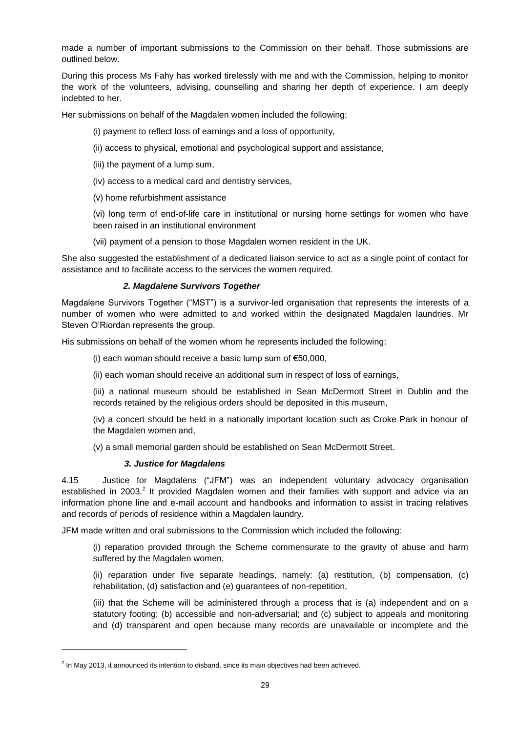made a number of important submissions to the Commission on their behalf. Those submissions are outlined below.

During this process Ms Fahy has worked tirelessly with me and with the Commission, helping to monitor the work of the volunteers, advising, counselling and sharing her depth of experience. I am deeply indebted to her.

Her submissions on behalf of the Magdalen women included the following;

- (i) payment to reflect loss of earnings and a loss of opportunity,
- (ii) access to physical, emotional and psychological support and assistance,
- (iii) the payment of a lump sum,
- (iv) access to a medical card and dentistry services,
- (v) home refurbishment assistance

(vi) long term of end-of-life care in institutional or nursing home settings for women who have been raised in an institutional environment

(vii) payment of a pension to those Magdalen women resident in the UK.

She also suggested the establishment of a dedicated liaison service to act as a single point of contact for assistance and to facilitate access to the services the women required.

### *2. Magdalene Survivors Together*

Magdalene Survivors Together ("MST") is a survivor-led organisation that represents the interests of a number of women who were admitted to and worked within the designated Magdalen laundries. Mr Steven O'Riordan represents the group.

His submissions on behalf of the women whom he represents included the following:

(i) each woman should receive a basic lump sum of  $€50,000$ ,

(ii) each woman should receive an additional sum in respect of loss of earnings,

(iii) a national museum should be established in Sean McDermott Street in Dublin and the records retained by the religious orders should be deposited in this museum,

(iv) a concert should be held in a nationally important location such as Croke Park in honour of the Magdalen women and,

(v) a small memorial garden should be established on Sean McDermott Street.

### *3. Justice for Magdalens*

l

4.15 Justice for Magdalens ("JFM") was an independent voluntary advocacy organisation established in 2003.<sup>2</sup> It provided Magdalen women and their families with support and advice via an information phone line and e-mail account and handbooks and information to assist in tracing relatives and records of periods of residence within a Magdalen laundry.

JFM made written and oral submissions to the Commission which included the following:

(i) reparation provided through the Scheme commensurate to the gravity of abuse and harm suffered by the Magdalen women.

(ii) reparation under five separate headings, namely: (a) restitution, (b) compensation, (c) rehabilitation, (d) satisfaction and (e) guarantees of non-repetition,

(iii) that the Scheme will be administered through a process that is (a) independent and on a statutory footing; (b) accessible and non-adversarial; and (c) subject to appeals and monitoring and (d) transparent and open because many records are unavailable or incomplete and the

 $^2$  In May 2013, it announced its intention to disband, since its main objectives had been achieved.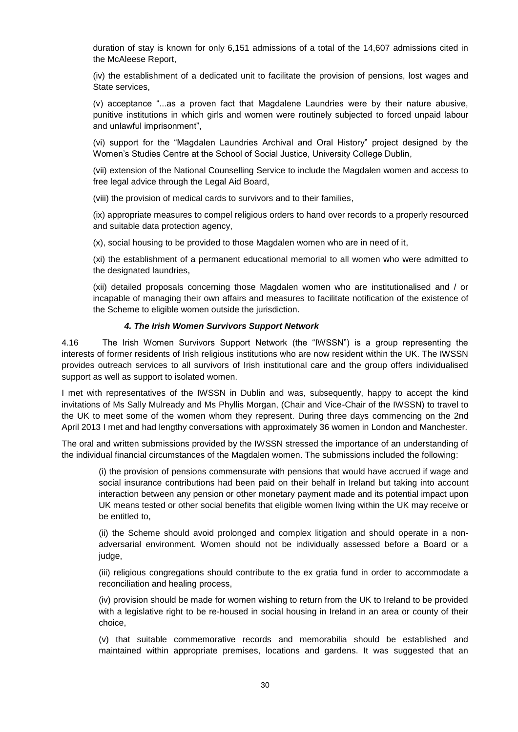duration of stay is known for only 6,151 admissions of a total of the 14,607 admissions cited in the McAleese Report,

(iv) the establishment of a dedicated unit to facilitate the provision of pensions, lost wages and State services,

(v) acceptance "...as a proven fact that Magdalene Laundries were by their nature abusive, punitive institutions in which girls and women were routinely subjected to forced unpaid labour and unlawful imprisonment",

(vi) support for the "Magdalen Laundries Archival and Oral History" project designed by the Women's Studies Centre at the School of Social Justice, University College Dublin,

(vii) extension of the National Counselling Service to include the Magdalen women and access to free legal advice through the Legal Aid Board,

(viii) the provision of medical cards to survivors and to their families,

(ix) appropriate measures to compel religious orders to hand over records to a properly resourced and suitable data protection agency,

(x), social housing to be provided to those Magdalen women who are in need of it,

(xi) the establishment of a permanent educational memorial to all women who were admitted to the designated laundries,

(xii) detailed proposals concerning those Magdalen women who are institutionalised and / or incapable of managing their own affairs and measures to facilitate notification of the existence of the Scheme to eligible women outside the jurisdiction.

#### *4. The Irish Women Survivors Support Network*

4.16 The Irish Women Survivors Support Network (the "IWSSN") is a group representing the interests of former residents of Irish religious institutions who are now resident within the UK. The IWSSN provides outreach services to all survivors of Irish institutional care and the group offers individualised support as well as support to isolated women.

I met with representatives of the IWSSN in Dublin and was, subsequently, happy to accept the kind invitations of Ms Sally Mulready and Ms Phyllis Morgan, (Chair and Vice-Chair of the IWSSN) to travel to the UK to meet some of the women whom they represent. During three days commencing on the 2nd April 2013 I met and had lengthy conversations with approximately 36 women in London and Manchester.

The oral and written submissions provided by the IWSSN stressed the importance of an understanding of the individual financial circumstances of the Magdalen women. The submissions included the following:

(i) the provision of pensions commensurate with pensions that would have accrued if wage and social insurance contributions had been paid on their behalf in Ireland but taking into account interaction between any pension or other monetary payment made and its potential impact upon UK means tested or other social benefits that eligible women living within the UK may receive or be entitled to,

(ii) the Scheme should avoid prolonged and complex litigation and should operate in a nonadversarial environment. Women should not be individually assessed before a Board or a judge,

(iii) religious congregations should contribute to the ex gratia fund in order to accommodate a reconciliation and healing process,

(iv) provision should be made for women wishing to return from the UK to Ireland to be provided with a legislative right to be re-housed in social housing in Ireland in an area or county of their choice,

(v) that suitable commemorative records and memorabilia should be established and maintained within appropriate premises, locations and gardens. It was suggested that an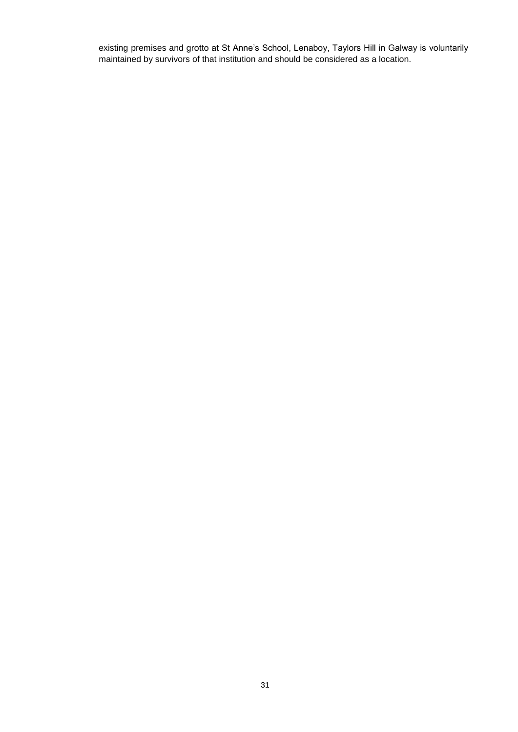existing premises and grotto at St Anne's School, Lenaboy, Taylors Hill in Galway is voluntarily maintained by survivors of that institution and should be considered as a location.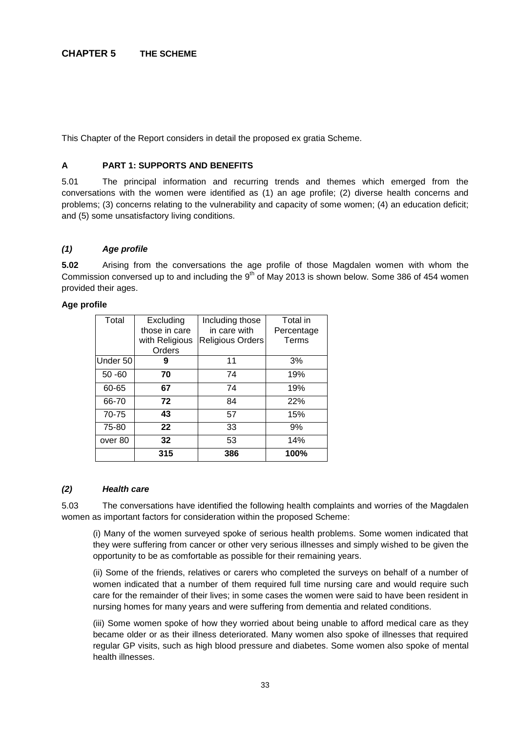This Chapter of the Report considers in detail the proposed ex gratia Scheme.

# **A PART 1: SUPPORTS AND BENEFITS**

5.01 The principal information and recurring trends and themes which emerged from the conversations with the women were identified as (1) an age profile; (2) diverse health concerns and problems; (3) concerns relating to the vulnerability and capacity of some women; (4) an education deficit; and (5) some unsatisfactory living conditions.

# *(1) Age profile*

**5.02** Arising from the conversations the age profile of those Magdalen women with whom the Commission conversed up to and including the  $9<sup>th</sup>$  of May 2013 is shown below. Some 386 of 454 women provided their ages.

## **Age profile**

| Total     | Excluding      | Including those  | Total in   |
|-----------|----------------|------------------|------------|
|           | those in care  | in care with     | Percentage |
|           | with Religious | Religious Orders | Terms      |
|           | Orders         |                  |            |
| Under 50  | 9              | 11               | 3%         |
| $50 - 60$ | 70             | 74               | 19%        |
| 60-65     | 67             | 74               | 19%        |
| 66-70     | 72             | 84               | 22%        |
| 70-75     | 43             | 57               | 15%        |
| 75-80     | 22             | 33               | 9%         |
| over 80   | 32             | 53               | 14%        |
|           | 315            | 386              | 100%       |

## *(2) Health care*

5.03 The conversations have identified the following health complaints and worries of the Magdalen women as important factors for consideration within the proposed Scheme:

(i) Many of the women surveyed spoke of serious health problems. Some women indicated that they were suffering from cancer or other very serious illnesses and simply wished to be given the opportunity to be as comfortable as possible for their remaining years.

(ii) Some of the friends, relatives or carers who completed the surveys on behalf of a number of women indicated that a number of them required full time nursing care and would require such care for the remainder of their lives; in some cases the women were said to have been resident in nursing homes for many years and were suffering from dementia and related conditions.

(iii) Some women spoke of how they worried about being unable to afford medical care as they became older or as their illness deteriorated. Many women also spoke of illnesses that required regular GP visits, such as high blood pressure and diabetes. Some women also spoke of mental health illnesses.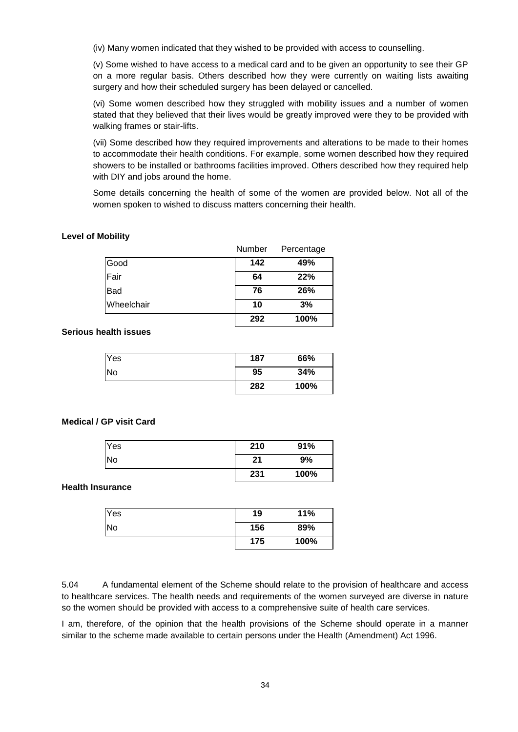(iv) Many women indicated that they wished to be provided with access to counselling.

(v) Some wished to have access to a medical card and to be given an opportunity to see their GP on a more regular basis. Others described how they were currently on waiting lists awaiting surgery and how their scheduled surgery has been delayed or cancelled.

(vi) Some women described how they struggled with mobility issues and a number of women stated that they believed that their lives would be greatly improved were they to be provided with walking frames or stair-lifts.

(vii) Some described how they required improvements and alterations to be made to their homes to accommodate their health conditions. For example, some women described how they required showers to be installed or bathrooms facilities improved. Others described how they required help with DIY and jobs around the home.

Some details concerning the health of some of the women are provided below. Not all of the women spoken to wished to discuss matters concerning their health.

#### **Level of Mobility**

|                   | Number | Percentage |
|-------------------|--------|------------|
| Good              | 142    | 49%        |
| Fair              | 64     | 22%        |
| <b>Bad</b>        | 76     | 26%        |
| <b>Wheelchair</b> | 10     | 3%         |
|                   | 292    | 100%       |

#### **Serious health issues**

| Yes       | 187 | 66%  |
|-----------|-----|------|
| <b>No</b> | 95  | 34%  |
|           | 282 | 100% |

#### **Medical / GP visit Card**

| <b>Yes</b> | 210 | 91%  |
|------------|-----|------|
| No         | 21  | 9%   |
|            | 231 | 100% |

#### **Health Insurance**

| Yes | 19  | 11%  |
|-----|-----|------|
| No  | 156 | 89%  |
|     | 175 | 100% |

5.04 A fundamental element of the Scheme should relate to the provision of healthcare and access to healthcare services. The health needs and requirements of the women surveyed are diverse in nature so the women should be provided with access to a comprehensive suite of health care services.

I am, therefore, of the opinion that the health provisions of the Scheme should operate in a manner similar to the scheme made available to certain persons under the Health (Amendment) Act 1996.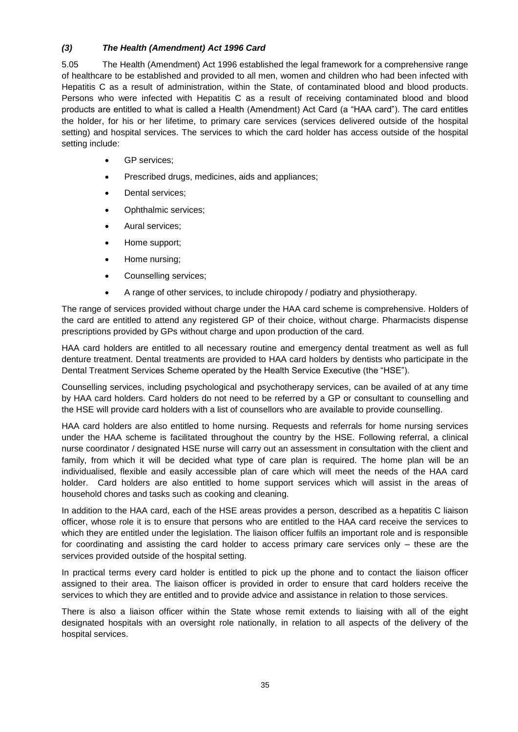# *(3) The Health (Amendment) Act 1996 Card*

5.05 The Health (Amendment) Act 1996 established the legal framework for a comprehensive range of healthcare to be established and provided to all men, women and children who had been infected with Hepatitis C as a result of administration, within the State, of contaminated blood and blood products. Persons who were infected with Hepatitis C as a result of receiving contaminated blood and blood products are entitled to what is called a Health (Amendment) Act Card (a "HAA card"). The card entitles the holder, for his or her lifetime, to primary care services (services delivered outside of the hospital setting) and hospital services. The services to which the card holder has access outside of the hospital setting include:

- **GP** services:
- Prescribed drugs, medicines, aids and appliances;
- Dental services:
- Ophthalmic services:
- Aural services;
- Home support;
- Home nursing;
- Counselling services;
- A range of other services, to include chiropody / podiatry and physiotherapy.

The range of services provided without charge under the HAA card scheme is comprehensive. Holders of the card are entitled to attend any registered GP of their choice, without charge. Pharmacists dispense prescriptions provided by GPs without charge and upon production of the card.

HAA card holders are entitled to all necessary routine and emergency dental treatment as well as full denture treatment. Dental treatments are provided to HAA card holders by dentists who participate in the Dental Treatment Services Scheme operated by the Health Service Executive (the "HSE").

Counselling services, including psychological and psychotherapy services, can be availed of at any time by HAA card holders. Card holders do not need to be referred by a GP or consultant to counselling and the HSE will provide card holders with a list of counsellors who are available to provide counselling.

HAA card holders are also entitled to home nursing. Requests and referrals for home nursing services under the HAA scheme is facilitated throughout the country by the HSE. Following referral, a clinical nurse coordinator / designated HSE nurse will carry out an assessment in consultation with the client and family, from which it will be decided what type of care plan is required. The home plan will be an individualised, flexible and easily accessible plan of care which will meet the needs of the HAA card holder. Card holders are also entitled to home support services which will assist in the areas of household chores and tasks such as cooking and cleaning.

In addition to the HAA card, each of the HSE areas provides a person, described as a hepatitis C liaison officer, whose role it is to ensure that persons who are entitled to the HAA card receive the services to which they are entitled under the legislation. The liaison officer fulfils an important role and is responsible for coordinating and assisting the card holder to access primary care services only – these are the services provided outside of the hospital setting.

In practical terms every card holder is entitled to pick up the phone and to contact the liaison officer assigned to their area. The liaison officer is provided in order to ensure that card holders receive the services to which they are entitled and to provide advice and assistance in relation to those services.

There is also a liaison officer within the State whose remit extends to liaising with all of the eight designated hospitals with an oversight role nationally, in relation to all aspects of the delivery of the hospital services.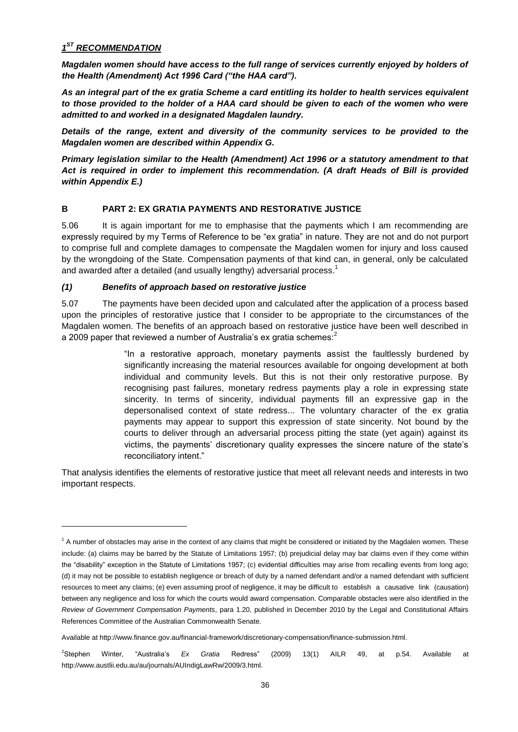# *1 ST RECOMMENDATION*

l

*Magdalen women should have access to the full range of services currently enjoyed by holders of the Health (Amendment) Act 1996 Card ("the HAA card").*

*As an integral part of the ex gratia Scheme a card entitling its holder to health services equivalent to those provided to the holder of a HAA card should be given to each of the women who were admitted to and worked in a designated Magdalen laundry.*

*Details of the range, extent and diversity of the community services to be provided to the Magdalen women are described within Appendix G.*

*Primary legislation similar to the Health (Amendment) Act 1996 or a statutory amendment to that Act is required in order to implement this recommendation. (A draft Heads of Bill is provided within Appendix E.)*

# **B PART 2: EX GRATIA PAYMENTS AND RESTORATIVE JUSTICE**

5.06 It is again important for me to emphasise that the payments which I am recommending are expressly required by my Terms of Reference to be "ex gratia" in nature. They are not and do not purport to comprise full and complete damages to compensate the Magdalen women for injury and loss caused by the wrongdoing of the State. Compensation payments of that kind can, in general, only be calculated and awarded after a detailed (and usually lengthy) adversarial process.<sup>1</sup>

# *(1) Benefits of approach based on restorative justice*

5.07 The payments have been decided upon and calculated after the application of a process based upon the principles of restorative justice that I consider to be appropriate to the circumstances of the Magdalen women. The benefits of an approach based on restorative justice have been well described in a 2009 paper that reviewed a number of Australia's ex gratia schemes:<sup>2</sup>

> "In a restorative approach, monetary payments assist the faultlessly burdened by significantly increasing the material resources available for ongoing development at both individual and community levels. But this is not their only restorative purpose. By recognising past failures, monetary redress payments play a role in expressing state sincerity. In terms of sincerity, individual payments fill an expressive gap in the depersonalised context of state redress... The voluntary character of the ex gratia payments may appear to support this expression of state sincerity. Not bound by the courts to deliver through an adversarial process pitting the state (yet again) against its victims, the payments' discretionary quality expresses the sincere nature of the state's reconciliatory intent."

That analysis identifies the elements of restorative justice that meet all relevant needs and interests in two important respects.

 $1$  A number of obstacles may arise in the context of any claims that might be considered or initiated by the Magdalen women. These include: (a) claims may be barred by the Statute of Limitations 1957; (b) prejudicial delay may bar claims even if they come within the "disability" exception in the Statute of Limitations 1957; (c) evidential difficulties may arise from recalling events from long ago; (d) it may not be possible to establish negligence or breach of duty by a named defendant and/or a named defendant with sufficient resources to meet any claims; (e) even assuming proof of negligence, it may be difficult to establish a causative link (causation) between any negligence and loss for which the courts would award compensation. Comparable obstacles were also identified in the *Review of Government Compensation Payments*, para 1.20, published in December 2010 by the Legal and Constitutional Affairs References Committee of the Australian Commonwealth Senate.

Available at http://www.finance.gov.au/financial-framework/discretionary-compensation/finance-submission.html.

<sup>2</sup>Stephen Winter, "Australia's *Ex Gratia* Redress" (2009) 13(1) AILR 49, at p.54. Available at http://www.austlii.edu.au/au/journals/AUIndigLawRw/2009/3.html.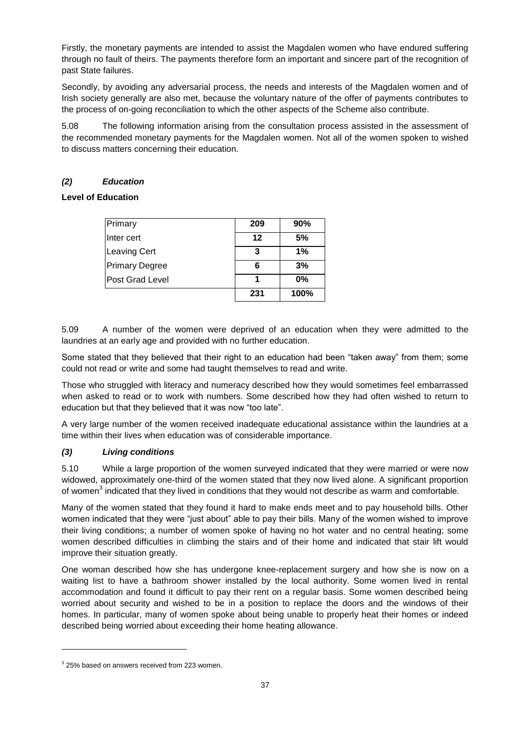Firstly, the monetary payments are intended to assist the Magdalen women who have endured suffering through no fault of theirs. The payments therefore form an important and sincere part of the recognition of past State failures.

Secondly, by avoiding any adversarial process, the needs and interests of the Magdalen women and of Irish society generally are also met, because the voluntary nature of the offer of payments contributes to the process of on-going reconciliation to which the other aspects of the Scheme also contribute.

5.08 The following information arising from the consultation process assisted in the assessment of the recommended monetary payments for the Magdalen women. Not all of the women spoken to wished to discuss matters concerning their education.

# *(2) Education*

# **Level of Education**

| Primary                | 209 | 90%  |
|------------------------|-----|------|
| Inter cert             | 12  | 5%   |
| <b>Leaving Cert</b>    | 3   | 1%   |
| <b>Primary Degree</b>  |     | 3%   |
| <b>Post Grad Level</b> |     | 0%   |
|                        | 231 | 100% |

5.09 A number of the women were deprived of an education when they were admitted to the laundries at an early age and provided with no further education.

Some stated that they believed that their right to an education had been "taken away" from them; some could not read or write and some had taught themselves to read and write.

Those who struggled with literacy and numeracy described how they would sometimes feel embarrassed when asked to read or to work with numbers. Some described how they had often wished to return to education but that they believed that it was now "too late".

A very large number of the women received inadequate educational assistance within the laundries at a time within their lives when education was of considerable importance.

## *(3) Living conditions*

5.10 While a large proportion of the women surveyed indicated that they were married or were now widowed, approximately one-third of the women stated that they now lived alone. A significant proportion of women $^3$  indicated that they lived in conditions that they would not describe as warm and comfortable.

Many of the women stated that they found it hard to make ends meet and to pay household bills. Other women indicated that they were "just about" able to pay their bills. Many of the women wished to improve their living conditions; a number of women spoke of having no hot water and no central heating; some women described difficulties in climbing the stairs and of their home and indicated that stair lift would improve their situation greatly.

One woman described how she has undergone knee-replacement surgery and how she is now on a waiting list to have a bathroom shower installed by the local authority. Some women lived in rental accommodation and found it difficult to pay their rent on a regular basis. Some women described being worried about security and wished to be in a position to replace the doors and the windows of their homes. In particular, many of women spoke about being unable to properly heat their homes or indeed described being worried about exceeding their home heating allowance.

 $3$  25% based on answers received from 223 women.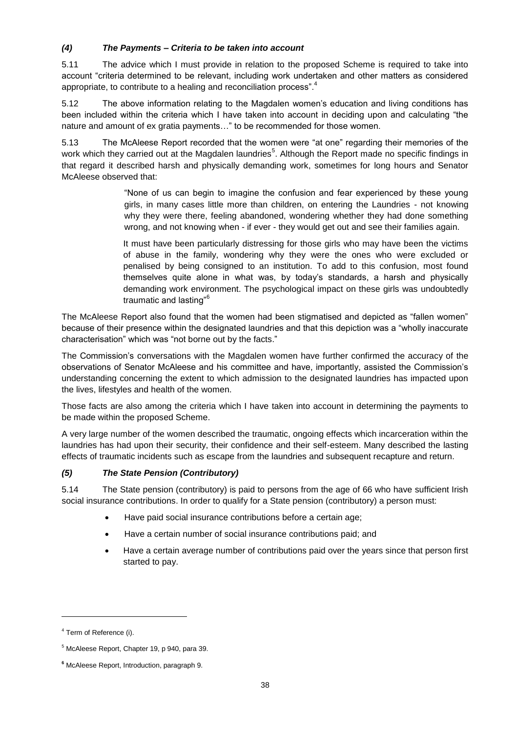# *(4) The Payments – Criteria to be taken into account*

5.11 The advice which I must provide in relation to the proposed Scheme is required to take into account "criteria determined to be relevant, including work undertaken and other matters as considered appropriate, to contribute to a healing and reconciliation process".<sup>4</sup>

5.12 The above information relating to the Magdalen women's education and living conditions has been included within the criteria which I have taken into account in deciding upon and calculating "the nature and amount of ex gratia payments…" to be recommended for those women.

5.13 The McAleese Report recorded that the women were "at one" regarding their memories of the work which they carried out at the Magdalen laundries<sup>5</sup>. Although the Report made no specific findings in that regard it described harsh and physically demanding work, sometimes for long hours and Senator McAleese observed that:

> "None of us can begin to imagine the confusion and fear experienced by these young girls, in many cases little more than children, on entering the Laundries - not knowing why they were there, feeling abandoned, wondering whether they had done something wrong, and not knowing when - if ever - they would get out and see their families again.

> It must have been particularly distressing for those girls who may have been the victims of abuse in the family, wondering why they were the ones who were excluded or penalised by being consigned to an institution. To add to this confusion, most found themselves quite alone in what was, by today's standards, a harsh and physically demanding work environment. The psychological impact on these girls was undoubtedly traumatic and lasting"<sup>6</sup>

The McAleese Report also found that the women had been stigmatised and depicted as "fallen women" because of their presence within the designated laundries and that this depiction was a "wholly inaccurate characterisation" which was "not borne out by the facts."

The Commission's conversations with the Magdalen women have further confirmed the accuracy of the observations of Senator McAleese and his committee and have, importantly, assisted the Commission's understanding concerning the extent to which admission to the designated laundries has impacted upon the lives, lifestyles and health of the women.

Those facts are also among the criteria which I have taken into account in determining the payments to be made within the proposed Scheme.

A very large number of the women described the traumatic, ongoing effects which incarceration within the laundries has had upon their security, their confidence and their self-esteem. Many described the lasting effects of traumatic incidents such as escape from the laundries and subsequent recapture and return.

# *(5) The State Pension (Contributory)*

5.14 The State pension (contributory) is paid to persons from the age of 66 who have sufficient Irish social insurance contributions. In order to qualify for a State pension (contributory) a person must:

- Have paid social insurance contributions before a certain age;
- Have a certain number of social insurance contributions paid; and
- Have a certain average number of contributions paid over the years since that person first started to pay.

<sup>&</sup>lt;sup>4</sup> Term of Reference (i).

<sup>5</sup> McAleese Report, Chapter 19, p 940, para 39.

**<sup>6</sup>** McAleese Report, Introduction, paragraph 9.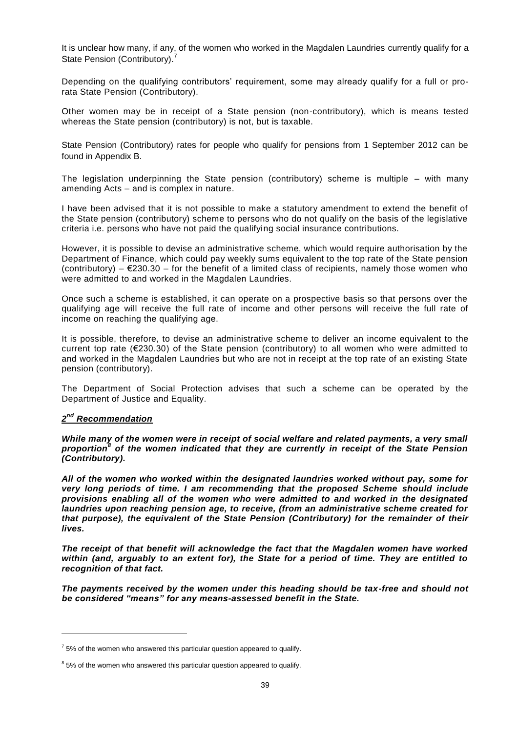It is unclear how many, if any, of the women who worked in the Magdalen Laundries currently qualify for a State Pension (Contributory).<sup>7</sup>

Depending on the qualifying contributors' requirement, some may already qualify for a full or prorata State Pension (Contributory).

Other women may be in receipt of a State pension (non-contributory), which is means tested whereas the State pension (contributory) is not, but is taxable.

State Pension (Contributory) rates for people who qualify for pensions from 1 September 2012 can be found in Appendix B.

The legislation underpinning the State pension (contributory) scheme is multiple – with many amending Acts – and is complex in nature.

I have been advised that it is not possible to make a statutory amendment to extend the benefit of the State pension (contributory) scheme to persons who do not qualify on the basis of the legislative criteria i.e. persons who have not paid the qualifying social insurance contributions.

However, it is possible to devise an administrative scheme, which would require authorisation by the Department of Finance, which could pay weekly sums equivalent to the top rate of the State pension (contributory) –  $\epsilon$ 230.30 – for the benefit of a limited class of recipients, namely those women who were admitted to and worked in the Magdalen Laundries.

Once such a scheme is established, it can operate on a prospective basis so that persons over the qualifying age will receive the full rate of income and other persons will receive the full rate of income on reaching the qualifying age.

It is possible, therefore, to devise an administrative scheme to deliver an income equivalent to the current top rate (€230.30) of the State pension (contributory) to all women who were admitted to and worked in the Magdalen Laundries but who are not in receipt at the top rate of an existing State pension (contributory).

The Department of Social Protection advises that such a scheme can be operated by the Department of Justice and Equality.

## *2 nd Recommendation*

l

*While many of the women were in receipt of social welfare and related payments, a very small proportion<sup>8</sup> of the women indicated that they are currently in receipt of the State Pension (Contributory).* 

*All of the women who worked within the designated laundries worked without pay, some for very long periods of time. I am recommending that the proposed Scheme should include provisions enabling all of the women who were admitted to and worked in the designated laundries upon reaching pension age, to receive, (from an administrative scheme created for that purpose), the equivalent of the State Pension (Contributory) for the remainder of their lives.* 

*The receipt of that benefit will acknowledge the fact that the Magdalen women have worked within (and, arguably to an extent for), the State for a period of time. They are entitled to recognition of that fact.*

*The payments received by the women under this heading should be tax-free and should not be considered "means" for any means-assessed benefit in the State.* 

 $<sup>7</sup>$  5% of the women who answered this particular question appeared to qualify.</sup>

 $8$  5% of the women who answered this particular question appeared to qualify.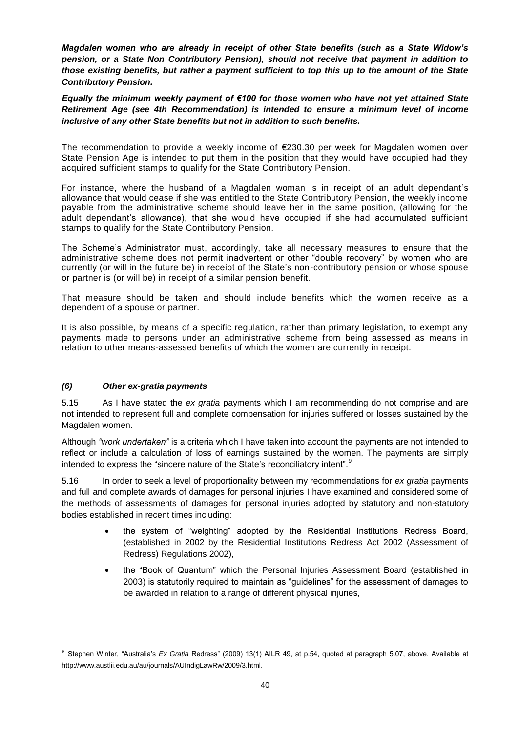*Magdalen women who are already in receipt of other State benefits (such as a State Widow's pension, or a State Non Contributory Pension), should not receive that payment in addition to those existing benefits, but rather a payment sufficient to top this up to the amount of the State Contributory Pension.*

*Equally the minimum weekly payment of €100 for those women who have not yet attained State Retirement Age (see 4th Recommendation) is intended to ensure a minimum level of income inclusive of any other State benefits but not in addition to such benefits.* 

The recommendation to provide a weekly income of €230.30 per week for Magdalen women over State Pension Age is intended to put them in the position that they would have occupied had they acquired sufficient stamps to qualify for the State Contributory Pension.

For instance, where the husband of a Magdalen woman is in receipt of an adult dependant's allowance that would cease if she was entitled to the State Contributory Pension, the weekly income payable from the administrative scheme should leave her in the same position, (allowing for the adult dependant's allowance), that she would have occupied if she had accumulated sufficient stamps to qualify for the State Contributory Pension.

The Scheme's Administrator must, accordingly, take all necessary measures to ensure that the administrative scheme does not permit inadvertent or other "double recovery" by women who are currently (or will in the future be) in receipt of the State's non-contributory pension or whose spouse or partner is (or will be) in receipt of a similar pension benefit.

That measure should be taken and should include benefits which the women receive as a dependent of a spouse or partner.

It is also possible, by means of a specific regulation, rather than primary legislation, to exempt any payments made to persons under an administrative scheme from being assessed as means in relation to other means-assessed benefits of which the women are currently in receipt.

## *(6) Other ex-gratia payments*

l

5.15 As I have stated the *ex gratia* payments which I am recommending do not comprise and are not intended to represent full and complete compensation for injuries suffered or losses sustained by the Magdalen women.

Although *"work undertaken"* is a criteria which I have taken into account the payments are not intended to reflect or include a calculation of loss of earnings sustained by the women. The payments are simply intended to express the "sincere nature of the State's reconciliatory intent".<sup>9</sup>

5.16 In order to seek a level of proportionality between my recommendations for *ex gratia* payments and full and complete awards of damages for personal injuries I have examined and considered some of the methods of assessments of damages for personal injuries adopted by statutory and non-statutory bodies established in recent times including:

- the system of "weighting" adopted by the Residential Institutions Redress Board, (established in 2002 by the Residential Institutions Redress Act 2002 (Assessment of Redress) Regulations 2002),
- the "Book of Quantum" which the Personal Injuries Assessment Board (established in 2003) is statutorily required to maintain as "guidelines" for the assessment of damages to be awarded in relation to a range of different physical injuries,

<sup>9</sup> Stephen Winter, "Australia's *Ex Gratia* Redress" (2009) 13(1) AILR 49, at p.54, quoted at paragraph 5.07, above. Available at http://www.austlii.edu.au/au/journals/AUIndigLawRw/2009/3.html.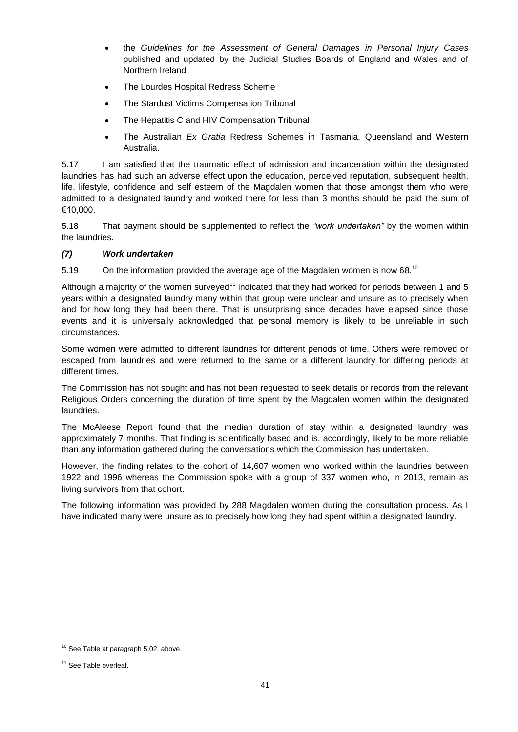- the *Guidelines for the Assessment of General Damages in Personal Injury Cases* published and updated by the Judicial Studies Boards of England and Wales and of Northern Ireland
- The Lourdes Hospital Redress Scheme
- The Stardust Victims Compensation Tribunal
- The Hepatitis C and HIV Compensation Tribunal
- The Australian *Ex Gratia* Redress Schemes in Tasmania, Queensland and Western Australia.

5.17 I am satisfied that the traumatic effect of admission and incarceration within the designated laundries has had such an adverse effect upon the education, perceived reputation, subsequent health, life, lifestyle, confidence and self esteem of the Magdalen women that those amongst them who were admitted to a designated laundry and worked there for less than 3 months should be paid the sum of €10,000.

5.18 That payment should be supplemented to reflect the *"work undertaken"* by the women within the laundries.

## *(7) Work undertaken*

5.19  $\,$  On the information provided the average age of the Magdalen women is now 68.<sup>10</sup>

Although a majority of the women surveyed<sup>11</sup> indicated that they had worked for periods between 1 and 5 years within a designated laundry many within that group were unclear and unsure as to precisely when and for how long they had been there. That is unsurprising since decades have elapsed since those events and it is universally acknowledged that personal memory is likely to be unreliable in such circumstances.

Some women were admitted to different laundries for different periods of time. Others were removed or escaped from laundries and were returned to the same or a different laundry for differing periods at different times.

The Commission has not sought and has not been requested to seek details or records from the relevant Religious Orders concerning the duration of time spent by the Magdalen women within the designated laundries.

The McAleese Report found that the median duration of stay within a designated laundry was approximately 7 months. That finding is scientifically based and is, accordingly, likely to be more reliable than any information gathered during the conversations which the Commission has undertaken.

However, the finding relates to the cohort of 14,607 women who worked within the laundries between 1922 and 1996 whereas the Commission spoke with a group of 337 women who, in 2013, remain as living survivors from that cohort.

The following information was provided by 288 Magdalen women during the consultation process. As I have indicated many were unsure as to precisely how long they had spent within a designated laundry.

<sup>&</sup>lt;sup>10</sup> See Table at paragraph 5.02, above.

<sup>&</sup>lt;sup>11</sup> See Table overleaf.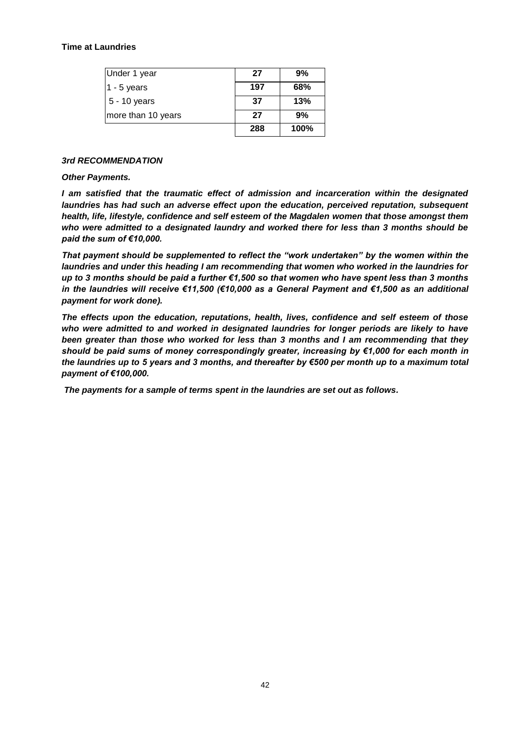#### **Time at Laundries**

| Under 1 year       | 27  | 9%   |
|--------------------|-----|------|
| $1 - 5$ years      | 197 | 68%  |
| 5 - 10 years       | 37  | 13%  |
| more than 10 years | 27  | 9%   |
|                    | 288 | 100% |

#### *3rd RECOMMENDATION*

#### *Other Payments.*

*I am satisfied that the traumatic effect of admission and incarceration within the designated laundries has had such an adverse effect upon the education, perceived reputation, subsequent health, life, lifestyle, confidence and self esteem of the Magdalen women that those amongst them who were admitted to a designated laundry and worked there for less than 3 months should be paid the sum of €10,000.* 

*That payment should be supplemented to reflect the "work undertaken" by the women within the laundries and under this heading I am recommending that women who worked in the laundries for up to 3 months should be paid a further €1,500 so that women who have spent less than 3 months in the laundries will receive €11,500 (€10,000 as a General Payment and €1,500 as an additional payment for work done).*

*The effects upon the education, reputations, health, lives, confidence and self esteem of those who were admitted to and worked in designated laundries for longer periods are likely to have been greater than those who worked for less than 3 months and I am recommending that they should be paid sums of money correspondingly greater, increasing by €1,000 for each month in the laundries up to 5 years and 3 months, and thereafter by €500 per month up to a maximum total payment of €100,000.* 

*The payments for a sample of terms spent in the laundries are set out as follows.*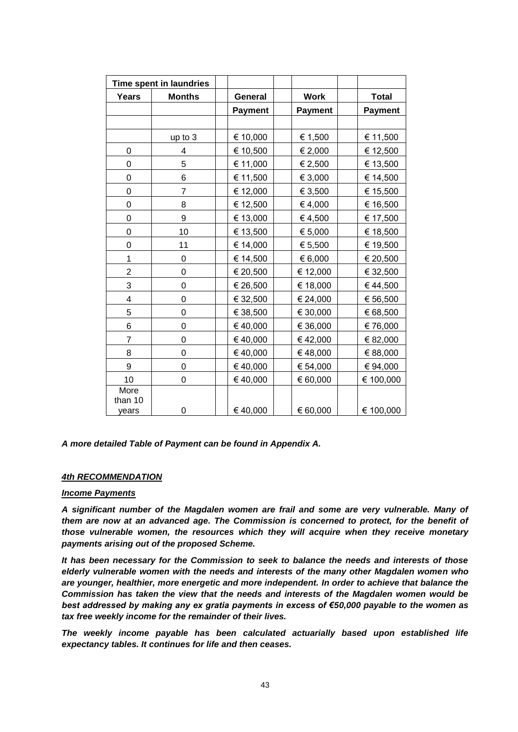| Time spent in laundries  |                |                |                |                |
|--------------------------|----------------|----------------|----------------|----------------|
| <b>Years</b>             | <b>Months</b>  | General        | <b>Work</b>    | <b>Total</b>   |
|                          |                | <b>Payment</b> | <b>Payment</b> | <b>Payment</b> |
|                          |                |                |                |                |
|                          | up to 3        | € 10,000       | € 1,500        | € 11,500       |
| 0                        | 4              | € 10,500       | € 2,000        | € 12,500       |
| 0                        | 5              | € 11,000       | € 2,500        | € 13,500       |
| 0                        | 6              | € 11,500       | € 3,000        | € 14,500       |
| 0                        | $\overline{7}$ | € 12,000       | € 3,500        | € 15,500       |
| 0                        | 8              | € 12,500       | €4,000         | € 16,500       |
| 0                        | 9              | € 13,000       | €4,500         | € 17,500       |
| 0                        | 10             | € 13,500       | € 5,000        | € 18,500       |
| 0                        | 11             | € 14,000       | € 5,500        | € 19,500       |
| 1                        | 0              | € 14,500       | € 6,000        | € 20,500       |
| $\overline{\mathbf{c}}$  | 0              | € 20,500       | € 12,000       | € 32,500       |
| 3                        | $\mathbf 0$    | € 26,500       | € 18,000       | €44,500        |
| 4                        | 0              | € 32,500       | € 24,000       | € 56,500       |
| 5                        | 0              | € 38,500       | € 30,000       | € 68,500       |
| 6                        | 0              | €40,000        | € 36,000       | € 76,000       |
| 7                        | 0              | €40,000        | €42,000        | € 82,000       |
| 8                        | 0              | €40,000        | €48,000        | € 88,000       |
| 9                        | $\mathbf 0$    | €40,000        | € 54,000       | € 94,000       |
| 10                       | 0              | €40,000        | € 60,000       | € 100,000      |
| More<br>than 10<br>years | 0              | €40,000        | € 60,000       | € 100,000      |

## *A more detailed Table of Payment can be found in Appendix A.*

## *4th RECOMMENDATION*

#### *Income Payments*

*A significant number of the Magdalen women are frail and some are very vulnerable. Many of them are now at an advanced age. The Commission is concerned to protect, for the benefit of those vulnerable women, the resources which they will acquire when they receive monetary payments arising out of the proposed Scheme.* 

*It has been necessary for the Commission to seek to balance the needs and interests of those elderly vulnerable women with the needs and interests of the many other Magdalen women who are younger, healthier, more energetic and more independent. In order to achieve that balance the Commission has taken the view that the needs and interests of the Magdalen women would be best addressed by making any ex gratia payments in excess of €50,000 payable to the women as tax free weekly income for the remainder of their lives.*

*The weekly income payable has been calculated actuarially based upon established life expectancy tables. It continues for life and then ceases.*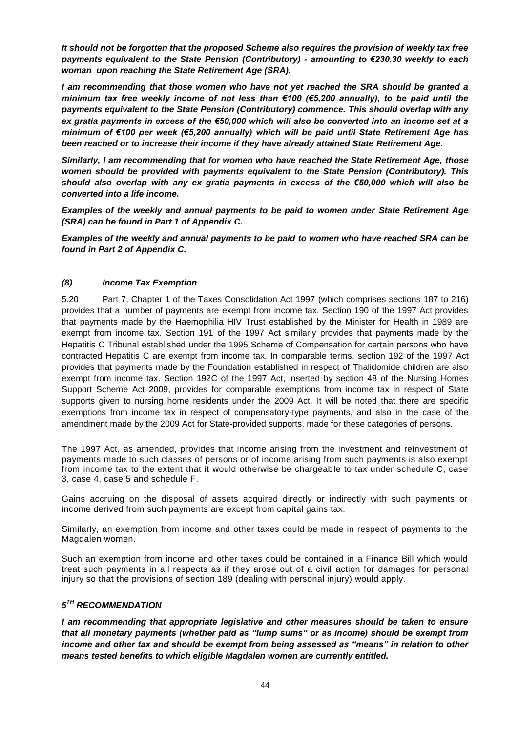*It should not be forgotten that the proposed Scheme also requires the provision of weekly tax free payments equivalent to the State Pension (Contributory) - amounting to €230.30 weekly to each woman upon reaching the State Retirement Age (SRA).*

*I am recommending that those women who have not yet reached the SRA should be granted a minimum tax free weekly income of not less than €100 (€5,200 annually), to be paid until the payments equivalent to the State Pension (Contributory) commence. This should overlap with any ex gratia payments in excess of the €50,000 which will also be converted into an income set at a minimum of €100 per week (€5,200 annually) which will be paid until State Retirement Age has been reached or to increase their income if they have already attained State Retirement Age.*

*Similarly, I am recommending that for women who have reached the State Retirement Age, those women should be provided with payments equivalent to the State Pension (Contributory). This should also overlap with any ex gratia payments in excess of the €50,000 which will also be converted into a life income.* 

*Examples of the weekly and annual payments to be paid to women under State Retirement Age (SRA) can be found in Part 1 of Appendix C.*

*Examples of the weekly and annual payments to be paid to women who have reached SRA can be found in Part 2 of Appendix C.*

## *(8) Income Tax Exemption*

5.20 Part 7, Chapter 1 of the Taxes Consolidation Act 1997 (which comprises sections 187 to 216) provides that a number of payments are exempt from income tax. Section 190 of the 1997 Act provides that payments made by the Haemophilia HIV Trust established by the Minister for Health in 1989 are exempt from income tax. Section 191 of the 1997 Act similarly provides that payments made by the Hepatitis C Tribunal established under the 1995 Scheme of Compensation for certain persons who have contracted Hepatitis C are exempt from income tax. In comparable terms, section 192 of the 1997 Act provides that payments made by the Foundation established in respect of Thalidomide children are also exempt from income tax. Section 192C of the 1997 Act, inserted by section 48 of the Nursing Homes Support Scheme Act 2009, provides for comparable exemptions from income tax in respect of State supports given to nursing home residents under the 2009 Act. It will be noted that there are specific exemptions from income tax in respect of compensatory-type payments, and also in the case of the amendment made by the 2009 Act for State-provided supports, made for these categories of persons.

The 1997 Act, as amended, provides that income arising from the investment and reinvestment of payments made to such classes of persons or of income arising from such payments is also exempt from income tax to the extent that it would otherwise be chargeable to tax under schedule C, case 3, case 4, case 5 and schedule F.

Gains accruing on the disposal of assets acquired directly or indirectly with such payments or income derived from such payments are except from capital gains tax.

Similarly, an exemption from income and other taxes could be made in respect of payments to the Magdalen women.

Such an exemption from income and other taxes could be contained in a Finance Bill which would treat such payments in all respects as if they arose out of a civil action for damages for personal injury so that the provisions of section 189 (dealing with personal injury) would apply.

## $5^{\mathsf{TH}}$  *RECOMMENDATION*

*I am recommending that appropriate legislative and other measures should be taken to ensure that all monetary payments (whether paid as "lump sums" or as income) should be exempt from income and other tax and should be exempt from being assessed as "means" in relation to other means tested benefits to which eligible Magdalen women are currently entitled.*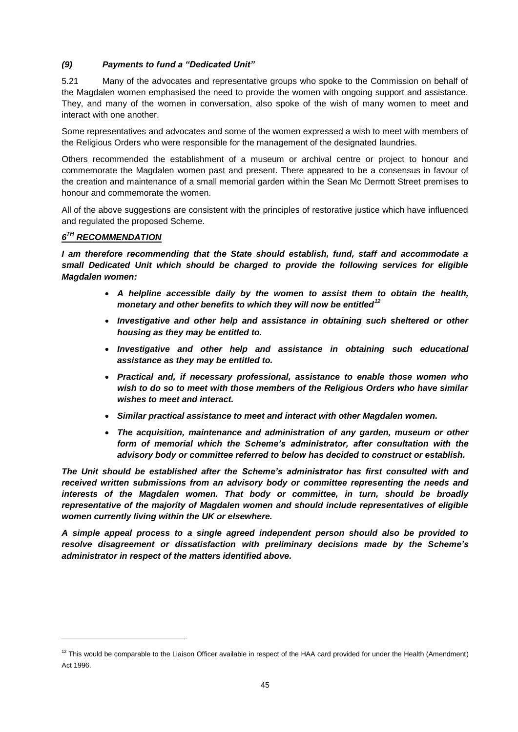# *(9) Payments to fund a "Dedicated Unit"*

5.21 Many of the advocates and representative groups who spoke to the Commission on behalf of the Magdalen women emphasised the need to provide the women with ongoing support and assistance. They, and many of the women in conversation, also spoke of the wish of many women to meet and interact with one another.

Some representatives and advocates and some of the women expressed a wish to meet with members of the Religious Orders who were responsible for the management of the designated laundries.

Others recommended the establishment of a museum or archival centre or project to honour and commemorate the Magdalen women past and present. There appeared to be a consensus in favour of the creation and maintenance of a small memorial garden within the Sean Mc Dermott Street premises to honour and commemorate the women.

All of the above suggestions are consistent with the principles of restorative justice which have influenced and regulated the proposed Scheme.

# *6 TH RECOMMENDATION*

l

*I am therefore recommending that the State should establish, fund, staff and accommodate a small Dedicated Unit which should be charged to provide the following services for eligible Magdalen women:*

- *A helpline accessible daily by the women to assist them to obtain the health, monetary and other benefits to which they will now be entitled<sup>12</sup>*
- *Investigative and other help and assistance in obtaining such sheltered or other housing as they may be entitled to.*
- *Investigative and other help and assistance in obtaining such educational assistance as they may be entitled to.*
- *Practical and, if necessary professional, assistance to enable those women who wish to do so to meet with those members of the Religious Orders who have similar wishes to meet and interact.*
- *Similar practical assistance to meet and interact with other Magdalen women.*
- *The acquisition, maintenance and administration of any garden, museum or other form of memorial which the Scheme's administrator, after consultation with the advisory body or committee referred to below has decided to construct or establish.*

*The Unit should be established after the Scheme's administrator has first consulted with and received written submissions from an advisory body or committee representing the needs and interests of the Magdalen women. That body or committee, in turn, should be broadly representative of the majority of Magdalen women and should include representatives of eligible women currently living within the UK or elsewhere.*

*A simple appeal process to a single agreed independent person should also be provided to resolve disagreement or dissatisfaction with preliminary decisions made by the Scheme's administrator in respect of the matters identified above.*

 $12$  This would be comparable to the Liaison Officer available in respect of the HAA card provided for under the Health (Amendment) Act 1996.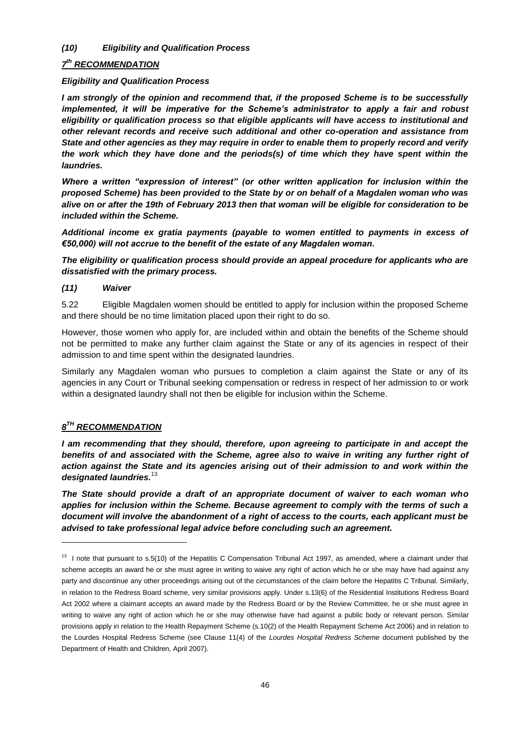## *(10) Eligibility and Qualification Process*

# *7 th RECOMMENDATION*

## *Eligibility and Qualification Process*

*I am strongly of the opinion and recommend that, if the proposed Scheme is to be successfully implemented, it will be imperative for the Scheme's administrator to apply a fair and robust eligibility or qualification process so that eligible applicants will have access to institutional and other relevant records and receive such additional and other co-operation and assistance from State and other agencies as they may require in order to enable them to properly record and verify the work which they have done and the periods(s) of time which they have spent within the laundries.*

*Where a written "expression of interest" (or other written application for inclusion within the proposed Scheme) has been provided to the State by or on behalf of a Magdalen woman who was alive on or after the 19th of February 2013 then that woman will be eligible for consideration to be included within the Scheme.* 

*Additional income ex gratia payments (payable to women entitled to payments in excess of €50,000) will not accrue to the benefit of the estate of any Magdalen woman.*

*The eligibility or qualification process should provide an appeal procedure for applicants who are dissatisfied with the primary process.*

# *(11) Waiver*

5.22 Eligible Magdalen women should be entitled to apply for inclusion within the proposed Scheme and there should be no time limitation placed upon their right to do so.

However, those women who apply for, are included within and obtain the benefits of the Scheme should not be permitted to make any further claim against the State or any of its agencies in respect of their admission to and time spent within the designated laundries.

Similarly any Magdalen woman who pursues to completion a claim against the State or any of its agencies in any Court or Tribunal seeking compensation or redress in respect of her admission to or work within a designated laundry shall not then be eligible for inclusion within the Scheme.

# *8 TH RECOMMENDATION*

l

*I am recommending that they should, therefore, upon agreeing to participate in and accept the benefits of and associated with the Scheme, agree also to waive in writing any further right of action against the State and its agencies arising out of their admission to and work within the designated laundries.*<sup>13</sup>

*The State should provide a draft of an appropriate document of waiver to each woman who applies for inclusion within the Scheme. Because agreement to comply with the terms of such a document will involve the abandonment of a right of access to the courts, each applicant must be advised to take professional legal advice before concluding such an agreement.*

<sup>&</sup>lt;sup>13</sup> I note that pursuant to s.5(10) of the Hepatitis C Compensation Tribunal Act 1997, as amended, where a claimant under that scheme accepts an award he or she must agree in writing to waive any right of action which he or she may have had against any party and discontinue any other proceedings arising out of the circumstances of the claim before the Hepatitis C Tribunal. Similarly, in relation to the Redress Board scheme, very similar provisions apply. Under s.13(6) of the Residential Institutions Redress Board Act 2002 where a claimant accepts an award made by the Redress Board or by the Review Committee, he or she must agree in writing to waive any right of action which he or she may otherwise have had against a public body or relevant person. Similar provisions apply in relation to the Health Repayment Scheme (s.10(2) of the Health Repayment Scheme Act 2006) and in relation to the Lourdes Hospital Redress Scheme (see Clause 11(4) of the *Lourdes Hospital Redress Scheme* document published by the Department of Health and Children, April 2007).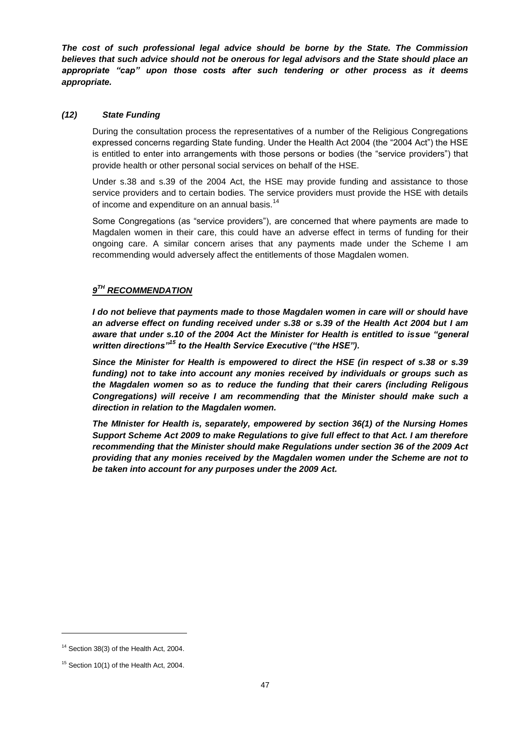*The cost of such professional legal advice should be borne by the State. The Commission believes that such advice should not be onerous for legal advisors and the State should place an appropriate "cap" upon those costs after such tendering or other process as it deems appropriate.*

#### *(12) State Funding*

During the consultation process the representatives of a number of the Religious Congregations expressed concerns regarding State funding. Under the Health Act 2004 (the "2004 Act") the HSE is entitled to enter into arrangements with those persons or bodies (the "service providers") that provide health or other personal social services on behalf of the HSE.

Under s.38 and s.39 of the 2004 Act, the HSE may provide funding and assistance to those service providers and to certain bodies. The service providers must provide the HSE with details of income and expenditure on an annual basis.<sup>14</sup>

Some Congregations (as "service providers"), are concerned that where payments are made to Magdalen women in their care, this could have an adverse effect in terms of funding for their ongoing care. A similar concern arises that any payments made under the Scheme I am recommending would adversely affect the entitlements of those Magdalen women.

# $9^{TH}$  *RECOMMENDATION*

*I do not believe that payments made to those Magdalen women in care will or should have an adverse effect on funding received under s.38 or s.39 of the Health Act 2004 but I am aware that under s.10 of the 2004 Act the Minister for Health is entitled to issue "general written directions"<sup>15</sup> to the Health Service Executive ("the HSE").* 

*Since the Minister for Health is empowered to direct the HSE (in respect of s.38 or s.39 funding) not to take into account any monies received by individuals or groups such as the Magdalen women so as to reduce the funding that their carers (including Religous Congregations) will receive I am recommending that the Minister should make such a direction in relation to the Magdalen women.*

*The MInister for Health is, separately, empowered by section 36(1) of the Nursing Homes Support Scheme Act 2009 to make Regulations to give full effect to that Act. I am therefore recommending that the Minister should make Regulations under section 36 of the 2009 Act providing that any monies received by the Magdalen women under the Scheme are not to be taken into account for any purposes under the 2009 Act.*

 $14$  Section 38(3) of the Health Act, 2004.

 $15$  Section 10(1) of the Health Act, 2004.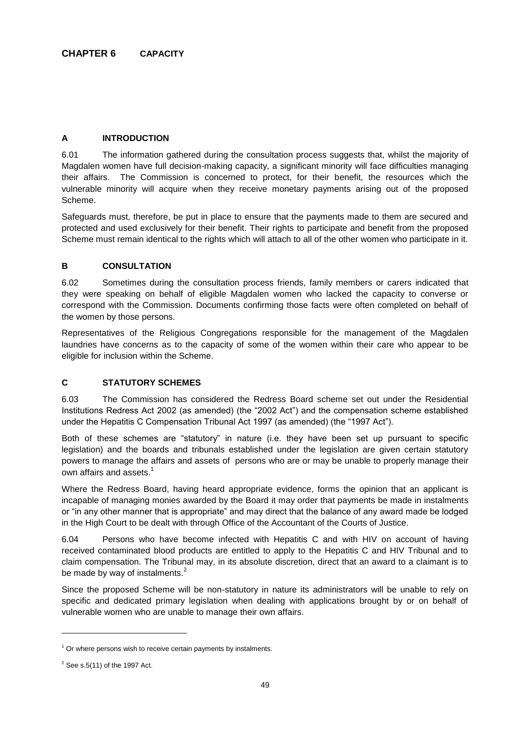# **A INTRODUCTION**

6.01 The information gathered during the consultation process suggests that, whilst the majority of Magdalen women have full decision-making capacity, a significant minority will face difficulties managing their affairs. The Commission is concerned to protect, for their benefit, the resources which the vulnerable minority will acquire when they receive monetary payments arising out of the proposed Scheme.

Safeguards must, therefore, be put in place to ensure that the payments made to them are secured and protected and used exclusively for their benefit. Their rights to participate and benefit from the proposed Scheme must remain identical to the rights which will attach to all of the other women who participate in it.

# **B CONSULTATION**

6.02 Sometimes during the consultation process friends, family members or carers indicated that they were speaking on behalf of eligible Magdalen women who lacked the capacity to converse or correspond with the Commission. Documents confirming those facts were often completed on behalf of the women by those persons.

Representatives of the Religious Congregations responsible for the management of the Magdalen laundries have concerns as to the capacity of some of the women within their care who appear to be eligible for inclusion within the Scheme.

# **C STATUTORY SCHEMES**

6.03 The Commission has considered the Redress Board scheme set out under the Residential Institutions Redress Act 2002 (as amended) (the "2002 Act") and the compensation scheme established under the Hepatitis C Compensation Tribunal Act 1997 (as amended) (the "1997 Act").

Both of these schemes are "statutory" in nature (i.e. they have been set up pursuant to specific legislation) and the boards and tribunals established under the legislation are given certain statutory powers to manage the affairs and assets of persons who are or may be unable to properly manage their own affairs and assets. $^{\rm 1}$ 

Where the Redress Board, having heard appropriate evidence, forms the opinion that an applicant is incapable of managing monies awarded by the Board it may order that payments be made in instalments or "in any other manner that is appropriate" and may direct that the balance of any award made be lodged in the High Court to be dealt with through Office of the Accountant of the Courts of Justice.

6.04 Persons who have become infected with Hepatitis C and with HIV on account of having received contaminated blood products are entitled to apply to the Hepatitis C and HIV Tribunal and to claim compensation. The Tribunal may, in its absolute discretion, direct that an award to a claimant is to be made by way of instalments. $<sup>2</sup>$ </sup>

Since the proposed Scheme will be non-statutory in nature its administrators will be unable to rely on specific and dedicated primary legislation when dealing with applications brought by or on behalf of vulnerable women who are unable to manage their own affairs.

 $1$  Or where persons wish to receive certain payments by instalments.

 $2$  See s.5(11) of the 1997 Act.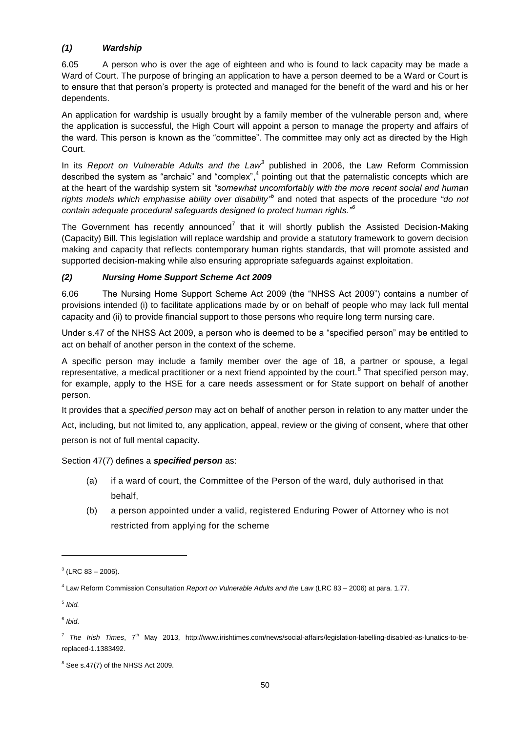# *(1) Wardship*

6.05 A person who is over the age of eighteen and who is found to lack capacity may be made a Ward of Court. The purpose of bringing an application to have a person deemed to be a Ward or Court is to ensure that that person's property is protected and managed for the benefit of the ward and his or her dependents.

An application for wardship is usually brought by a family member of the vulnerable person and, where the application is successful, the High Court will appoint a person to manage the property and affairs of the ward. This person is known as the "committee". The committee may only act as directed by the High Court.

In its *Report on Vulnerable Adults and the Law<sup>3</sup>* published in 2006, the Law Reform Commission described the system as "archaic" and "complex",<sup>4</sup> pointing out that the paternalistic concepts which are at the heart of the wardship system sit *"somewhat uncomfortably with the more recent social and human*  rights models which emphasise ability over disability<sup>,5</sup> and noted that aspects of the procedure "do not *contain adequate procedural safeguards designed to protect human rights."<sup>6</sup>*

The Government has recently announced<sup>7</sup> that it will shortly publish the Assisted Decision-Making (Capacity) Bill. This legislation will replace wardship and provide a statutory framework to govern decision making and capacity that reflects contemporary human rights standards, that will promote assisted and supported decision-making while also ensuring appropriate safeguards against exploitation.

# *(2) Nursing Home Support Scheme Act 2009*

6.06 The Nursing Home Support Scheme Act 2009 (the "NHSS Act 2009") contains a number of provisions intended (i) to facilitate applications made by or on behalf of people who may lack full mental capacity and (ii) to provide financial support to those persons who require long term nursing care.

Under s.47 of the NHSS Act 2009, a person who is deemed to be a "specified person" may be entitled to act on behalf of another person in the context of the scheme.

A specific person may include a family member over the age of 18, a partner or spouse, a legal representative, a medical practitioner or a next friend appointed by the court.<sup>8</sup> That specified person may, for example, apply to the HSE for a care needs assessment or for State support on behalf of another person.

It provides that a *specified person* may act on behalf of another person in relation to any matter under the

Act, including, but not limited to, any application, appeal, review or the giving of consent, where that other person is not of full mental capacity.

## Section 47(7) defines a *specified person* as:

- (a) if a ward of court, the Committee of the Person of the ward, duly authorised in that behalf,
- (b) a person appointed under a valid, registered Enduring Power of Attorney who is not restricted from applying for the scheme

 $3$  (LRC 83 – 2006).

<sup>4</sup> Law Reform Commission Consultation *Report on Vulnerable Adults and the Law* (LRC 83 – 2006) at para. 1.77.

<sup>5</sup> *Ibid.*

<sup>6</sup> *Ibid*.

<sup>&</sup>lt;sup>7</sup> The Irish Times, 7<sup>th</sup> May 2013, http://www.irishtimes.com/news/social-affairs/legislation-labelling-disabled-as-lunatics-to-bereplaced-1.1383492.

 $8$  See s.47(7) of the NHSS Act 2009.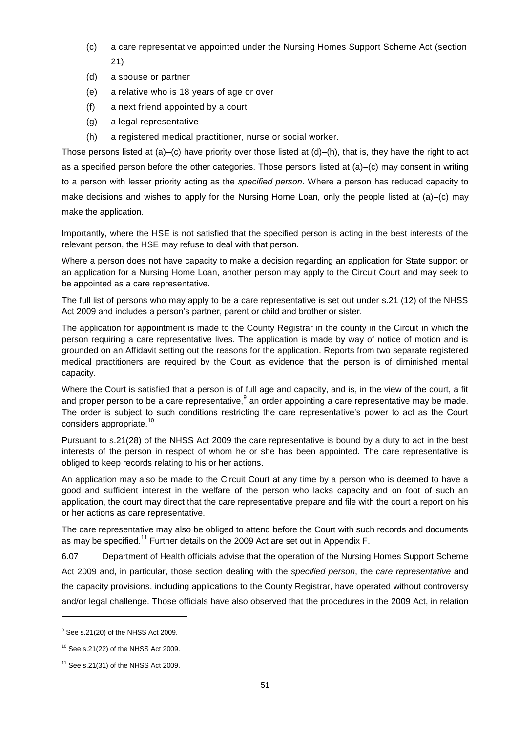- (c) a care representative appointed under the Nursing Homes Support Scheme Act (section 21)
- (d) a spouse or partner
- (e) a relative who is 18 years of age or over
- (f) a next friend appointed by a court
- (g) a legal representative
- (h) a registered medical practitioner, nurse or social worker.

Those persons listed at (a)–(c) have priority over those listed at (d)–(h), that is, they have the right to act as a specified person before the other categories. Those persons listed at (a)–(c) may consent in writing to a person with lesser priority acting as the *specified person*. Where a person has reduced capacity to make decisions and wishes to apply for the Nursing Home Loan, only the people listed at (a)–(c) may make the application.

Importantly, where the HSE is not satisfied that the specified person is acting in the best interests of the relevant person, the HSE may refuse to deal with that person.

Where a person does not have capacity to make a decision regarding an application for State support or an application for a Nursing Home Loan, another person may apply to the Circuit Court and may seek to be appointed as a care representative.

The full list of persons who may apply to be a care representative is set out under s.21 (12) of the NHSS Act 2009 and includes a person's partner, parent or child and brother or sister.

The application for appointment is made to the County Registrar in the county in the Circuit in which the person requiring a care representative lives. The application is made by way of notice of motion and is grounded on an Affidavit setting out the reasons for the application. Reports from two separate registered medical practitioners are required by the Court as evidence that the person is of diminished mental capacity.

Where the Court is satisfied that a person is of full age and capacity, and is, in the view of the court, a fit and proper person to be a care representative,  $9$  an order appointing a care representative may be made. The order is subject to such conditions restricting the care representative's power to act as the Court considers appropriate.<sup>10</sup>

Pursuant to s.21(28) of the NHSS Act 2009 the care representative is bound by a duty to act in the best interests of the person in respect of whom he or she has been appointed. The care representative is obliged to keep records relating to his or her actions.

An application may also be made to the Circuit Court at any time by a person who is deemed to have a good and sufficient interest in the welfare of the person who lacks capacity and on foot of such an application, the court may direct that the care representative prepare and file with the court a report on his or her actions as care representative.

The care representative may also be obliged to attend before the Court with such records and documents as may be specified.<sup>11</sup> Further details on the 2009 Act are set out in Appendix F.

6.07 Department of Health officials advise that the operation of the Nursing Homes Support Scheme Act 2009 and, in particular, those section dealing with the *specified person*, the *care representative* and the capacity provisions, including applications to the County Registrar, have operated without controversy and/or legal challenge. Those officials have also observed that the procedures in the 2009 Act, in relation

<sup>&</sup>lt;sup>9</sup> See s.21(20) of the NHSS Act 2009.

 $10$  See s.21(22) of the NHSS Act 2009.

 $11$  See s.21(31) of the NHSS Act 2009.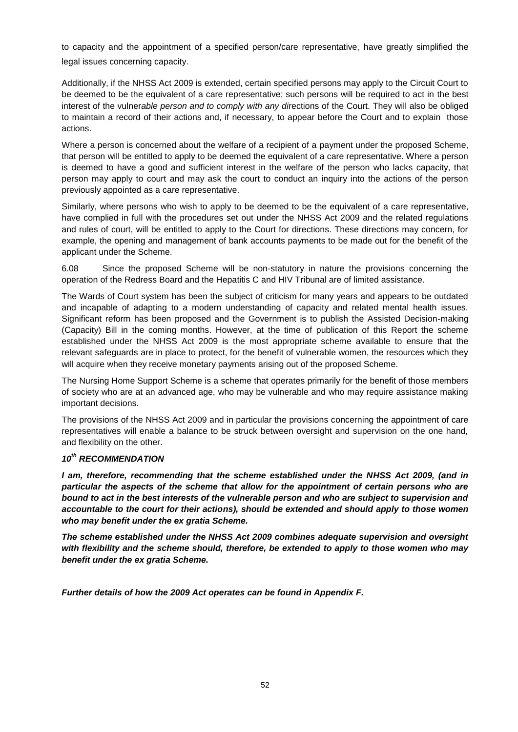to capacity and the appointment of a specified person/care representative, have greatly simplified the legal issues concerning capacity.

Additionally, if the NHSS Act 2009 is extended, certain specified persons may apply to the Circuit Court to be deemed to be the equivalent of a care representative; such persons will be required to act in the best interest of the vulner*able person and to comply with any di*rections of the Court. They will also be obliged to maintain a record of their actions and, if necessary, to appear before the Court and to explain those actions.

Where a person is concerned about the welfare of a recipient of a payment under the proposed Scheme, that person will be entitled to apply to be deemed the equivalent of a care representative. Where a person is deemed to have a good and sufficient interest in the welfare of the person who lacks capacity, that person may apply to court and may ask the court to conduct an inquiry into the actions of the person previously appointed as a care representative.

Similarly, where persons who wish to apply to be deemed to be the equivalent of a care representative, have complied in full with the procedures set out under the NHSS Act 2009 and the related regulations and rules of court, will be entitled to apply to the Court for directions. These directions may concern, for example, the opening and management of bank accounts payments to be made out for the benefit of the applicant under the Scheme.

6.08 Since the proposed Scheme will be non-statutory in nature the provisions concerning the operation of the Redress Board and the Hepatitis C and HIV Tribunal are of limited assistance.

The Wards of Court system has been the subject of criticism for many years and appears to be outdated and incapable of adapting to a modern understanding of capacity and related mental health issues. Significant reform has been proposed and the Government is to publish the Assisted Decision-making (Capacity) Bill in the coming months. However, at the time of publication of this Report the scheme established under the NHSS Act 2009 is the most appropriate scheme available to ensure that the relevant safeguards are in place to protect, for the benefit of vulnerable women, the resources which they will acquire when they receive monetary payments arising out of the proposed Scheme.

The Nursing Home Support Scheme is a scheme that operates primarily for the benefit of those members of society who are at an advanced age, who may be vulnerable and who may require assistance making important decisions.

The provisions of the NHSS Act 2009 and in particular the provisions concerning the appointment of care representatives will enable a balance to be struck between oversight and supervision on the one hand, and flexibility on the other.

## *10th RECOMMENDATION*

*I am, therefore, recommending that the scheme established under the NHSS Act 2009, (and in particular the aspects of the scheme that allow for the appointment of certain persons who are bound to act in the best interests of the vulnerable person and who are subject to supervision and accountable to the court for their actions), should be extended and should apply to those women who may benefit under the ex gratia Scheme.* 

*The scheme established under the NHSS Act 2009 combines adequate supervision and oversight with flexibility and the scheme should, therefore, be extended to apply to those women who may benefit under the ex gratia Scheme.* 

*Further details of how the 2009 Act operates can be found in Appendix F.*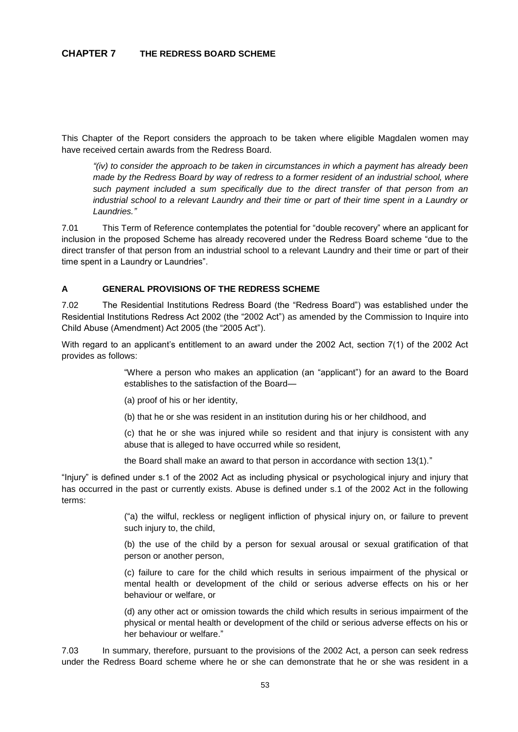This Chapter of the Report considers the approach to be taken where eligible Magdalen women may have received certain awards from the Redress Board.

*"(iv) to consider the approach to be taken in circumstances in which a payment has already been made by the Redress Board by way of redress to a former resident of an industrial school, where such payment included a sum specifically due to the direct transfer of that person from an industrial school to a relevant Laundry and their time or part of their time spent in a Laundry or Laundries."*

7.01 This Term of Reference contemplates the potential for "double recovery" where an applicant for inclusion in the proposed Scheme has already recovered under the Redress Board scheme "due to the direct transfer of that person from an industrial school to a relevant Laundry and their time or part of their time spent in a Laundry or Laundries".

## **A GENERAL PROVISIONS OF THE REDRESS SCHEME**

7.02 The Residential Institutions Redress Board (the "Redress Board") was established under the Residential Institutions Redress Act 2002 (the "2002 Act") as amended by the Commission to Inquire into Child Abuse (Amendment) Act 2005 (the "2005 Act").

With regard to an applicant's entitlement to an award under the 2002 Act, section 7(1) of the 2002 Act provides as follows:

> "Where a person who makes an application (an "applicant") for an award to the Board establishes to the satisfaction of the Board—

(a) proof of his or her identity,

(b) that he or she was resident in an institution during his or her childhood, and

(c) that he or she was injured while so resident and that injury is consistent with any abuse that is alleged to have occurred while so resident,

the Board shall make an award to that person in accordance with section 13(1)."

"Injury" is defined under s.1 of the 2002 Act as including physical or psychological injury and injury that has occurred in the past or currently exists. Abuse is defined under s.1 of the 2002 Act in the following terms:

> ("a) the wilful, reckless or negligent infliction of physical injury on, or failure to prevent such injury to, the child,

> (b) the use of the child by a person for sexual arousal or sexual gratification of that person or another person,

> (c) failure to care for the child which results in serious impairment of the physical or mental health or development of the child or serious adverse effects on his or her behaviour or welfare, or

> (d) any other act or omission towards the child which results in serious impairment of the physical or mental health or development of the child or serious adverse effects on his or her behaviour or welfare."

7.03 In summary, therefore, pursuant to the provisions of the 2002 Act, a person can seek redress under the Redress Board scheme where he or she can demonstrate that he or she was resident in a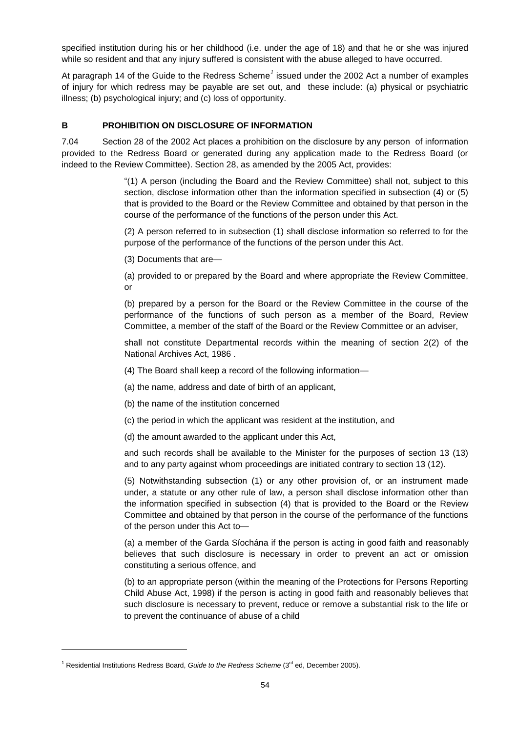specified institution during his or her childhood (i.e. under the age of 18) and that he or she was injured while so resident and that any injury suffered is consistent with the abuse alleged to have occurred.

At paragraph 14 of the Guide to the Redress Scheme<sup>1</sup> issued under the 2002 Act a number of examples of injury for which redress may be payable are set out, and these include: (a) physical or psychiatric illness; (b) psychological injury; and (c) loss of opportunity.

# **B PROHIBITION ON DISCLOSURE OF INFORMATION**

7.04 Section 28 of the 2002 Act places a prohibition on the disclosure by any person of information provided to the Redress Board or generated during any application made to the Redress Board (or indeed to the Review Committee). Section 28, as amended by the 2005 Act, provides:

> "(1) A person (including the Board and the Review Committee) shall not, subject to this section, disclose information other than the information specified in subsection (4) or (5) that is provided to the Board or the Review Committee and obtained by that person in the course of the performance of the functions of the person under this Act.

> (2) A person referred to in subsection (1) shall disclose information so referred to for the purpose of the performance of the functions of the person under this Act.

(3) Documents that are—

(a) provided to or prepared by the Board and where appropriate the Review Committee, or

(b) prepared by a person for the Board or the Review Committee in the course of the performance of the functions of such person as a member of the Board, Review Committee, a member of the staff of the Board or the Review Committee or an adviser,

shall not constitute Departmental records within the meaning of section 2(2) of the National Archives Act, 1986 .

(4) The Board shall keep a record of the following information—

(a) the name, address and date of birth of an applicant,

(b) the name of the institution concerned

(c) the period in which the applicant was resident at the institution, and

(d) the amount awarded to the applicant under this Act,

and such records shall be available to the Minister for the purposes of section 13 (13) and to any party against whom proceedings are initiated contrary to section 13 (12).

(5) Notwithstanding subsection (1) or any other provision of, or an instrument made under, a statute or any other rule of law, a person shall disclose information other than the information specified in subsection (4) that is provided to the Board or the Review Committee and obtained by that person in the course of the performance of the functions of the person under this Act to—

(a) a member of the Garda Síochána if the person is acting in good faith and reasonably believes that such disclosure is necessary in order to prevent an act or omission constituting a serious offence, and

(b) to an appropriate person (within the meaning of the Protections for Persons Reporting Child Abuse Act, 1998) if the person is acting in good faith and reasonably believes that such disclosure is necessary to prevent, reduce or remove a substantial risk to the life or to prevent the continuance of abuse of a child

<sup>&</sup>lt;sup>1</sup> Residential Institutions Redress Board, *Guide to the Redress Scheme* (3<sup>rd</sup> ed, December 2005).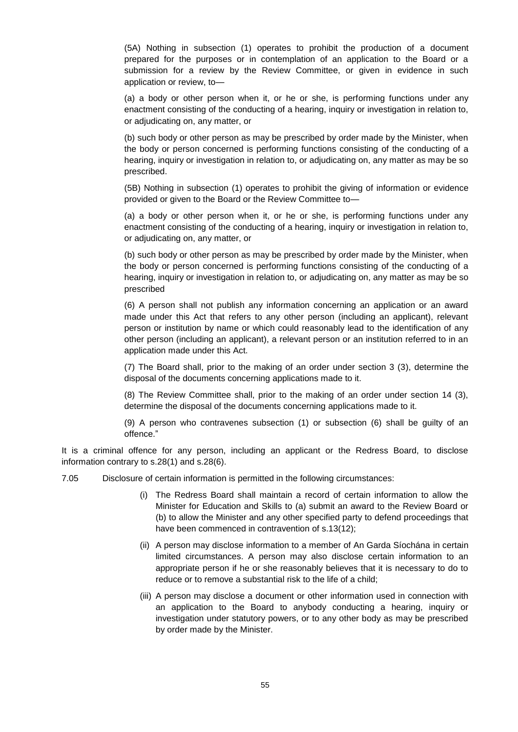(5A) Nothing in subsection (1) operates to prohibit the production of a document prepared for the purposes or in contemplation of an application to the Board or a submission for a review by the Review Committee, or given in evidence in such application or review, to—

(a) a body or other person when it, or he or she, is performing functions under any enactment consisting of the conducting of a hearing, inquiry or investigation in relation to, or adjudicating on, any matter, or

(b) such body or other person as may be prescribed by order made by the Minister, when the body or person concerned is performing functions consisting of the conducting of a hearing, inquiry or investigation in relation to, or adjudicating on, any matter as may be so prescribed.

(5B) Nothing in subsection (1) operates to prohibit the giving of information or evidence provided or given to the Board or the Review Committee to—

(a) a body or other person when it, or he or she, is performing functions under any enactment consisting of the conducting of a hearing, inquiry or investigation in relation to, or adjudicating on, any matter, or

(b) such body or other person as may be prescribed by order made by the Minister, when the body or person concerned is performing functions consisting of the conducting of a hearing, inquiry or investigation in relation to, or adjudicating on, any matter as may be so prescribed

(6) A person shall not publish any information concerning an application or an award made under this Act that refers to any other person (including an applicant), relevant person or institution by name or which could reasonably lead to the identification of any other person (including an applicant), a relevant person or an institution referred to in an application made under this Act.

(7) The Board shall, prior to the making of an order under section 3 (3), determine the disposal of the documents concerning applications made to it.

(8) The Review Committee shall, prior to the making of an order under section 14 (3), determine the disposal of the documents concerning applications made to it.

(9) A person who contravenes subsection (1) or subsection (6) shall be guilty of an offence."

It is a criminal offence for any person, including an applicant or the Redress Board, to disclose information contrary to s.28(1) and s.28(6).

- 7.05 Disclosure of certain information is permitted in the following circumstances:
	- (i) The Redress Board shall maintain a record of certain information to allow the Minister for Education and Skills to (a) submit an award to the Review Board or (b) to allow the Minister and any other specified party to defend proceedings that have been commenced in contravention of s.13(12);
	- (ii) A person may disclose information to a member of An Garda Síochána in certain limited circumstances. A person may also disclose certain information to an appropriate person if he or she reasonably believes that it is necessary to do to reduce or to remove a substantial risk to the life of a child;
	- (iii) A person may disclose a document or other information used in connection with an application to the Board to anybody conducting a hearing, inquiry or investigation under statutory powers, or to any other body as may be prescribed by order made by the Minister.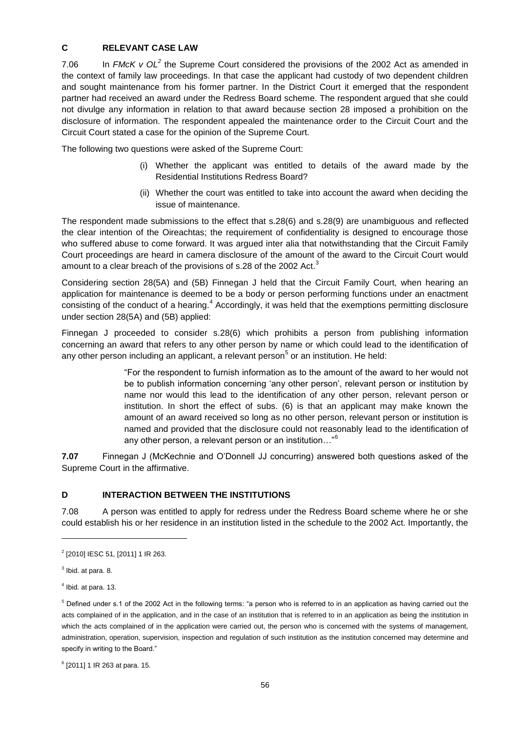# **C RELEVANT CASE LAW**

7.06 In *FMcK v OL*<sup>2</sup> the Supreme Court considered the provisions of the 2002 Act as amended in the context of family law proceedings. In that case the applicant had custody of two dependent children and sought maintenance from his former partner. In the District Court it emerged that the respondent partner had received an award under the Redress Board scheme. The respondent argued that she could not divulge any information in relation to that award because section 28 imposed a prohibition on the disclosure of information. The respondent appealed the maintenance order to the Circuit Court and the Circuit Court stated a case for the opinion of the Supreme Court.

The following two questions were asked of the Supreme Court:

- (i) Whether the applicant was entitled to details of the award made by the Residential Institutions Redress Board?
- (ii) Whether the court was entitled to take into account the award when deciding the issue of maintenance.

The respondent made submissions to the effect that s.28(6) and s.28(9) are unambiguous and reflected the clear intention of the Oireachtas; the requirement of confidentiality is designed to encourage those who suffered abuse to come forward. It was argued inter alia that notwithstanding that the Circuit Family Court proceedings are heard in camera disclosure of the amount of the award to the Circuit Court would amount to a clear breach of the provisions of s.28 of the 2002 Act. $3$ 

Considering section 28(5A) and (5B) Finnegan J held that the Circuit Family Court, when hearing an application for maintenance is deemed to be a body or person performing functions under an enactment consisting of the conduct of a hearing.<sup>4</sup> Accordingly, it was held that the exemptions permitting disclosure under section 28(5A) and (5B) applied:

Finnegan J proceeded to consider s.28(6) which prohibits a person from publishing information concerning an award that refers to any other person by name or which could lead to the identification of any other person including an applicant, a relevant person<sup>5</sup> or an institution. He held:

> "For the respondent to furnish information as to the amount of the award to her would not be to publish information concerning 'any other person', relevant person or institution by name nor would this lead to the identification of any other person, relevant person or institution. In short the effect of subs. (6) is that an applicant may make known the amount of an award received so long as no other person, relevant person or institution is named and provided that the disclosure could not reasonably lead to the identification of any other person, a relevant person or an institution..."<sup>6</sup>

**7.07** Finnegan J (McKechnie and O'Donnell JJ concurring) answered both questions asked of the Supreme Court in the affirmative.

## **D INTERACTION BETWEEN THE INSTITUTIONS**

7.08 A person was entitled to apply for redress under the Redress Board scheme where he or she could establish his or her residence in an institution listed in the schedule to the 2002 Act. Importantly, the

<sup>&</sup>lt;sup>2</sup> [2010] IESC 51, [2011] 1 IR 263.

 $3$  lbid. at para. 8.

 $<sup>4</sup>$  Ibid. at para. 13.</sup>

<sup>5</sup> Defined under s.1 of the 2002 Act in the following terms: "a person who is referred to in an application as having carried out the acts complained of in the application, and in the case of an institution that is referred to in an application as being the institution in which the acts complained of in the application were carried out, the person who is concerned with the systems of management, administration, operation, supervision, inspection and regulation of such institution as the institution concerned may determine and specify in writing to the Board."

<sup>6</sup> [2011] 1 IR 263 at para. 15.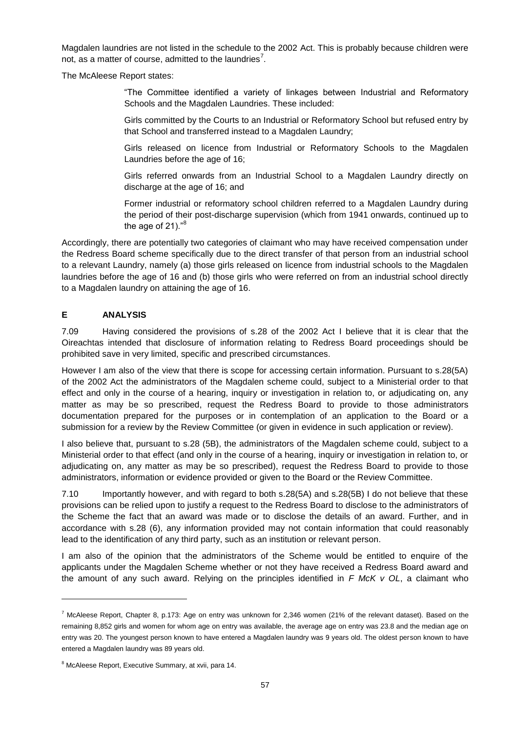Magdalen laundries are not listed in the schedule to the 2002 Act. This is probably because children were not, as a matter of course, admitted to the laundries<sup>7</sup>.

The McAleese Report states:

"The Committee identified a variety of linkages between Industrial and Reformatory Schools and the Magdalen Laundries. These included:

Girls committed by the Courts to an Industrial or Reformatory School but refused entry by that School and transferred instead to a Magdalen Laundry;

Girls released on licence from Industrial or Reformatory Schools to the Magdalen Laundries before the age of 16;

Girls referred onwards from an Industrial School to a Magdalen Laundry directly on discharge at the age of 16; and

Former industrial or reformatory school children referred to a Magdalen Laundry during the period of their post-discharge supervision (which from 1941 onwards, continued up to the age of  $21$ )." $8$ 

Accordingly, there are potentially two categories of claimant who may have received compensation under the Redress Board scheme specifically due to the direct transfer of that person from an industrial school to a relevant Laundry, namely (a) those girls released on licence from industrial schools to the Magdalen laundries before the age of 16 and (b) those girls who were referred on from an industrial school directly to a Magdalen laundry on attaining the age of 16.

## **E ANALYSIS**

l

7.09 Having considered the provisions of s.28 of the 2002 Act I believe that it is clear that the Oireachtas intended that disclosure of information relating to Redress Board proceedings should be prohibited save in very limited, specific and prescribed circumstances.

However I am also of the view that there is scope for accessing certain information. Pursuant to s.28(5A) of the 2002 Act the administrators of the Magdalen scheme could, subject to a Ministerial order to that effect and only in the course of a hearing, inquiry or investigation in relation to, or adjudicating on, any matter as may be so prescribed, request the Redress Board to provide to those administrators documentation prepared for the purposes or in contemplation of an application to the Board or a submission for a review by the Review Committee (or given in evidence in such application or review).

I also believe that, pursuant to s.28 (5B), the administrators of the Magdalen scheme could, subject to a Ministerial order to that effect (and only in the course of a hearing, inquiry or investigation in relation to, or adjudicating on, any matter as may be so prescribed), request the Redress Board to provide to those administrators, information or evidence provided or given to the Board or the Review Committee.

7.10 Importantly however, and with regard to both s.28(5A) and s.28(5B) I do not believe that these provisions can be relied upon to justify a request to the Redress Board to disclose to the administrators of the Scheme the fact that an award was made or to disclose the details of an award. Further, and in accordance with s.28 (6), any information provided may not contain information that could reasonably lead to the identification of any third party, such as an institution or relevant person.

I am also of the opinion that the administrators of the Scheme would be entitled to enquire of the applicants under the Magdalen Scheme whether or not they have received a Redress Board award and the amount of any such award. Relying on the principles identified in *F McK v OL*, a claimant who

 $^7$  McAleese Report, Chapter 8, p.173: Age on entry was unknown for 2,346 women (21% of the relevant dataset). Based on the remaining 8,852 girls and women for whom age on entry was available, the average age on entry was 23.8 and the median age on entry was 20. The youngest person known to have entered a Magdalen laundry was 9 years old. The oldest person known to have entered a Magdalen laundry was 89 years old.

<sup>&</sup>lt;sup>8</sup> McAleese Report, Executive Summary, at xvii, para 14.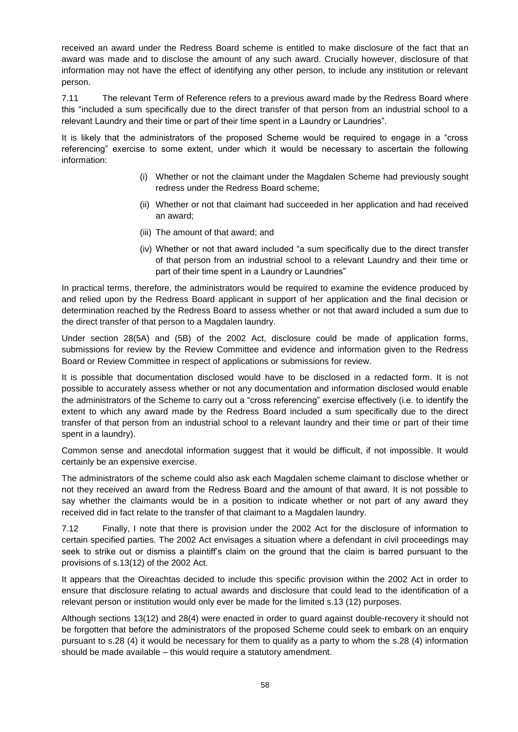received an award under the Redress Board scheme is entitled to make disclosure of the fact that an award was made and to disclose the amount of any such award. Crucially however, disclosure of that information may not have the effect of identifying any other person, to include any institution or relevant person.

7.11 The relevant Term of Reference refers to a previous award made by the Redress Board where this "included a sum specifically due to the direct transfer of that person from an industrial school to a relevant Laundry and their time or part of their time spent in a Laundry or Laundries".

It is likely that the administrators of the proposed Scheme would be required to engage in a "cross referencing" exercise to some extent, under which it would be necessary to ascertain the following information:

- (i) Whether or not the claimant under the Magdalen Scheme had previously sought redress under the Redress Board scheme;
- (ii) Whether or not that claimant had succeeded in her application and had received an award;
- (iii) The amount of that award; and
- (iv) Whether or not that award included "a sum specifically due to the direct transfer of that person from an industrial school to a relevant Laundry and their time or part of their time spent in a Laundry or Laundries"

In practical terms, therefore, the administrators would be required to examine the evidence produced by and relied upon by the Redress Board applicant in support of her application and the final decision or determination reached by the Redress Board to assess whether or not that award included a sum due to the direct transfer of that person to a Magdalen laundry.

Under section 28(5A) and (5B) of the 2002 Act, disclosure could be made of application forms, submissions for review by the Review Committee and evidence and information given to the Redress Board or Review Committee in respect of applications or submissions for review.

It is possible that documentation disclosed would have to be disclosed in a redacted form. It is not possible to accurately assess whether or not any documentation and information disclosed would enable the administrators of the Scheme to carry out a "cross referencing" exercise effectively (i.e. to identify the extent to which any award made by the Redress Board included a sum specifically due to the direct transfer of that person from an industrial school to a relevant laundry and their time or part of their time spent in a laundry).

Common sense and anecdotal information suggest that it would be difficult, if not impossible. It would certainly be an expensive exercise.

The administrators of the scheme could also ask each Magdalen scheme claimant to disclose whether or not they received an award from the Redress Board and the amount of that award. It is not possible to say whether the claimants would be in a position to indicate whether or not part of any award they received did in fact relate to the transfer of that claimant to a Magdalen laundry.

7.12 Finally, I note that there is provision under the 2002 Act for the disclosure of information to certain specified parties. The 2002 Act envisages a situation where a defendant in civil proceedings may seek to strike out or dismiss a plaintiff's claim on the ground that the claim is barred pursuant to the provisions of s.13(12) of the 2002 Act.

It appears that the Oireachtas decided to include this specific provision within the 2002 Act in order to ensure that disclosure relating to actual awards and disclosure that could lead to the identification of a relevant person or institution would only ever be made for the limited s.13 (12) purposes.

Although sections 13(12) and 28(4) were enacted in order to guard against double-recovery it should not be forgotten that before the administrators of the proposed Scheme could seek to embark on an enquiry pursuant to s.28 (4) it would be necessary for them to qualify as a party to whom the s.28 (4) information should be made available – this would require a statutory amendment.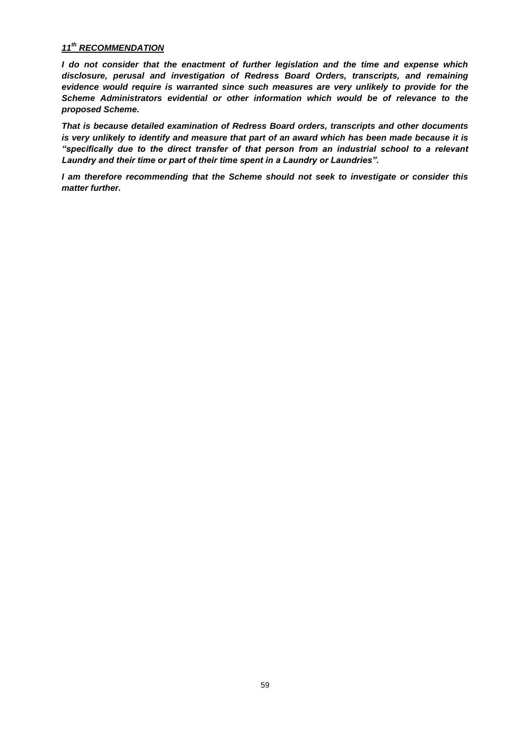## *11 th RECOMMENDATION*

*I do not consider that the enactment of further legislation and the time and expense which disclosure, perusal and investigation of Redress Board Orders, transcripts, and remaining evidence would require is warranted since such measures are very unlikely to provide for the Scheme Administrators evidential or other information which would be of relevance to the proposed Scheme.* 

*That is because detailed examination of Redress Board orders, transcripts and other documents is very unlikely to identify and measure that part of an award which has been made because it is "specifically due to the direct transfer of that person from an industrial school to a relevant Laundry and their time or part of their time spent in a Laundry or Laundries".* 

*I am therefore recommending that the Scheme should not seek to investigate or consider this matter further.*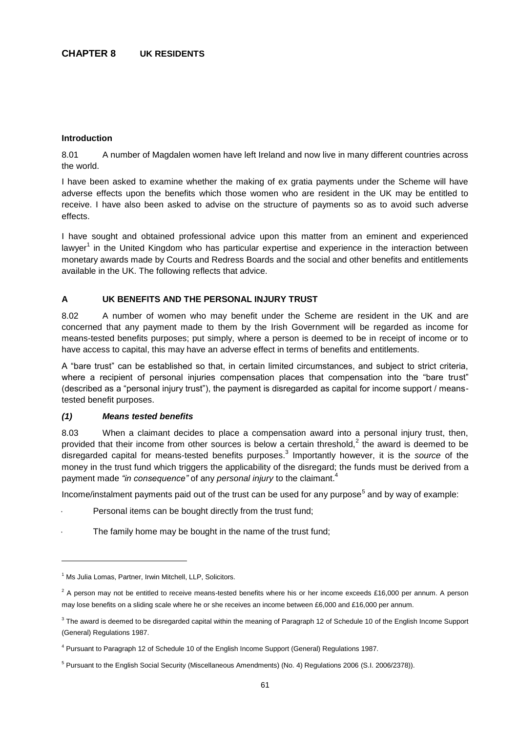#### **Introduction**

8.01 A number of Magdalen women have left Ireland and now live in many different countries across the world.

I have been asked to examine whether the making of ex gratia payments under the Scheme will have adverse effects upon the benefits which those women who are resident in the UK may be entitled to receive. I have also been asked to advise on the structure of payments so as to avoid such adverse effects.

I have sought and obtained professional advice upon this matter from an eminent and experienced lawyer<sup>1</sup> in the United Kingdom who has particular expertise and experience in the interaction between monetary awards made by Courts and Redress Boards and the social and other benefits and entitlements available in the UK. The following reflects that advice.

## **A UK BENEFITS AND THE PERSONAL INJURY TRUST**

8.02 A number of women who may benefit under the Scheme are resident in the UK and are concerned that any payment made to them by the Irish Government will be regarded as income for means-tested benefits purposes; put simply, where a person is deemed to be in receipt of income or to have access to capital, this may have an adverse effect in terms of benefits and entitlements.

A "bare trust" can be established so that, in certain limited circumstances, and subject to strict criteria, where a recipient of personal injuries compensation places that compensation into the "bare trust" (described as a "personal injury trust"), the payment is disregarded as capital for income support / meanstested benefit purposes.

## *(1) Means tested benefits*

8.03 When a claimant decides to place a compensation award into a personal injury trust, then, provided that their income from other sources is below a certain threshold,<sup>2</sup> the award is deemed to be disregarded capital for means-tested benefits purposes.<sup>3</sup> Importantly however, it is the *source* of the money in the trust fund which triggers the applicability of the disregard; the funds must be derived from a payment made *"in consequence"* of any *personal injury* to the claimant.<sup>4</sup>

Income/instalment payments paid out of the trust can be used for any purpose<sup>5</sup> and by way of example:

- Personal items can be bought directly from the trust fund;
- The family home may be bought in the name of the trust fund;

<sup>&</sup>lt;sup>1</sup> Ms Julia Lomas, Partner, Irwin Mitchell, LLP, Solicitors.

 $2$  A person may not be entitled to receive means-tested benefits where his or her income exceeds £16,000 per annum. A person may lose benefits on a sliding scale where he or she receives an income between £6,000 and £16,000 per annum.

 $3$  The award is deemed to be disregarded capital within the meaning of Paragraph 12 of Schedule 10 of the English Income Support (General) Regulations 1987.

<sup>4</sup> Pursuant to Paragraph 12 of Schedule 10 of the English Income Support (General) Regulations 1987.

<sup>&</sup>lt;sup>5</sup> Pursuant to the English Social Security (Miscellaneous Amendments) (No. 4) Regulations 2006 (S.I. 2006/2378)).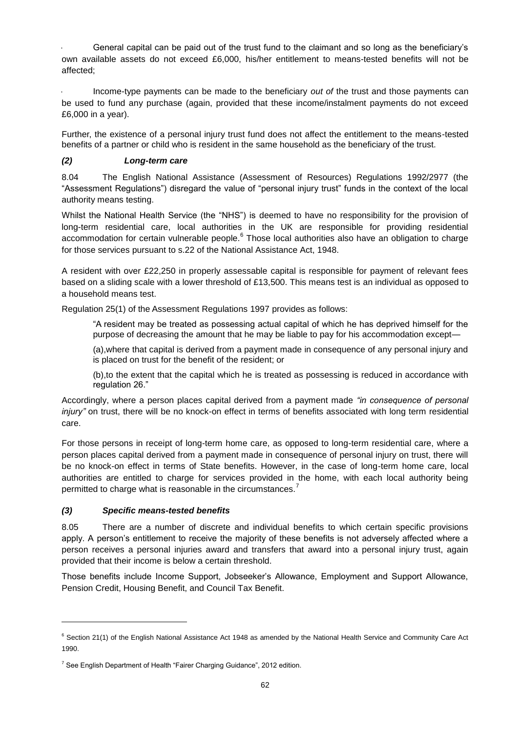General capital can be paid out of the trust fund to the claimant and so long as the beneficiary's own available assets do not exceed £6,000, his/her entitlement to means-tested benefits will not be affected;

 Income-type payments can be made to the beneficiary *out of* the trust and those payments can be used to fund any purchase (again, provided that these income/instalment payments do not exceed £6,000 in a year).

Further, the existence of a personal injury trust fund does not affect the entitlement to the means-tested benefits of a partner or child who is resident in the same household as the beneficiary of the trust.

# *(2) Long-term care*

8.04 The English National Assistance (Assessment of Resources) Regulations 1992/2977 (the "Assessment Regulations") disregard the value of "personal injury trust" funds in the context of the local authority means testing.

Whilst the National Health Service (the "NHS") is deemed to have no responsibility for the provision of long-term residential care, local authorities in the UK are responsible for providing residential accommodation for certain vulnerable people.<sup>6</sup> Those local authorities also have an obligation to charge for those services pursuant to s.22 of the National Assistance Act, 1948.

A resident with over £22,250 in properly assessable capital is responsible for payment of relevant fees based on a sliding scale with a lower threshold of £13,500. This means test is an individual as opposed to a household means test.

Regulation 25(1) of the Assessment Regulations 1997 provides as follows:

"A resident may be treated as possessing actual capital of which he has deprived himself for the purpose of decreasing the amount that he may be liable to pay for his accommodation except—

(a),where that capital is derived from a payment made in consequence of any personal injury and is placed on trust for the benefit of the resident; or

(b),to the extent that the capital which he is treated as possessing is reduced in accordance with regulation 26."

Accordingly, where a person places capital derived from a payment made *"in consequence of personal injury*" on trust, there will be no knock-on effect in terms of benefits associated with long term residential care.

For those persons in receipt of long-term home care, as opposed to long-term residential care, where a person places capital derived from a payment made in consequence of personal injury on trust, there will be no knock-on effect in terms of State benefits. However, in the case of long-term home care, local authorities are entitled to charge for services provided in the home, with each local authority being permitted to charge what is reasonable in the circumstances.<sup>7</sup>

## *(3) Specific means-tested benefits*

l

8.05 There are a number of discrete and individual benefits to which certain specific provisions apply. A person's entitlement to receive the majority of these benefits is not adversely affected where a person receives a personal injuries award and transfers that award into a personal injury trust, again provided that their income is below a certain threshold.

Those benefits include Income Support, Jobseeker's Allowance, Employment and Support Allowance, Pension Credit, Housing Benefit, and Council Tax Benefit.

<sup>&</sup>lt;sup>6</sup> Section 21(1) of the English National Assistance Act 1948 as amended by the National Health Service and Community Care Act 1990.

 $7$  See English Department of Health "Fairer Charging Guidance", 2012 edition.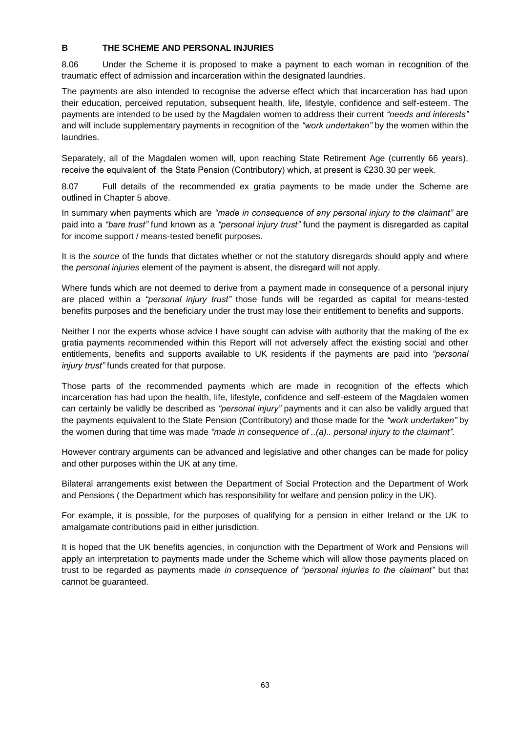## **B THE SCHEME AND PERSONAL INJURIES**

8.06 Under the Scheme it is proposed to make a payment to each woman in recognition of the traumatic effect of admission and incarceration within the designated laundries.

The payments are also intended to recognise the adverse effect which that incarceration has had upon their education, perceived reputation, subsequent health, life, lifestyle, confidence and self-esteem. The payments are intended to be used by the Magdalen women to address their current *"needs and interests"* and will include supplementary payments in recognition of the *"work undertaken"* by the women within the laundries.

Separately, all of the Magdalen women will, upon reaching State Retirement Age (currently 66 years), receive the equivalent of the State Pension (Contributory) which, at present is €230.30 per week.

8.07 Full details of the recommended ex gratia payments to be made under the Scheme are outlined in Chapter 5 above.

In summary when payments which are *"made in consequence of any personal injury to the claimant"* are paid into a *"bare trust"* fund known as a *"personal injury trust"* fund the payment is disregarded as capital for income support / means-tested benefit purposes.

It is the *source* of the funds that dictates whether or not the statutory disregards should apply and where the *personal injuries* element of the payment is absent, the disregard will not apply.

Where funds which are not deemed to derive from a payment made in consequence of a personal injury are placed within a *"personal injury trust"* those funds will be regarded as capital for means-tested benefits purposes and the beneficiary under the trust may lose their entitlement to benefits and supports.

Neither I nor the experts whose advice I have sought can advise with authority that the making of the ex gratia payments recommended within this Report will not adversely affect the existing social and other entitlements, benefits and supports available to UK residents if the payments are paid into *"personal injury trust"* funds created for that purpose.

Those parts of the recommended payments which are made in recognition of the effects which incarceration has had upon the health, life, lifestyle, confidence and self-esteem of the Magdalen women can certainly be validly be described as *"personal injury"* payments and it can also be validly argued that the payments equivalent to the State Pension (Contributory) and those made for the *"work undertaken"* by the women during that time was made *"made in consequence of ..(a).. personal injury to the claimant".* 

However contrary arguments can be advanced and legislative and other changes can be made for policy and other purposes within the UK at any time.

Bilateral arrangements exist between the Department of Social Protection and the Department of Work and Pensions ( the Department which has responsibility for welfare and pension policy in the UK).

For example, it is possible, for the purposes of qualifying for a pension in either Ireland or the UK to amalgamate contributions paid in either jurisdiction.

It is hoped that the UK benefits agencies, in conjunction with the Department of Work and Pensions will apply an interpretation to payments made under the Scheme which will allow those payments placed on trust to be regarded as payments made *in consequence of "personal injuries to the claimant"* but that cannot be guaranteed.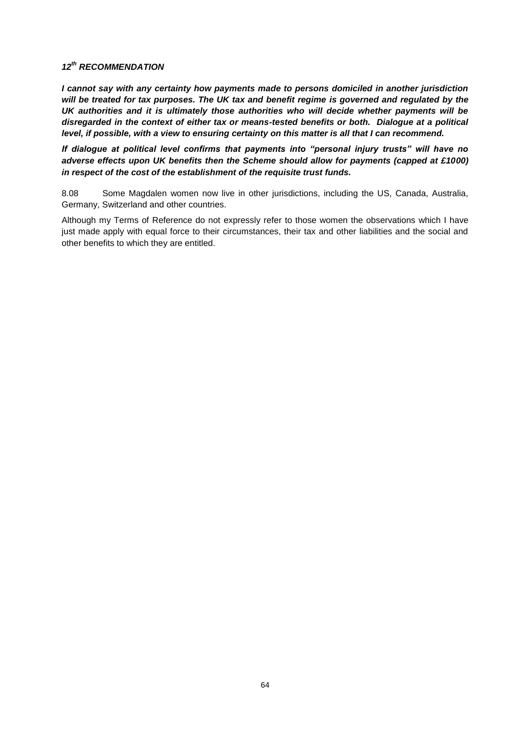# *12th RECOMMENDATION*

*I cannot say with any certainty how payments made to persons domiciled in another jurisdiction will be treated for tax purposes. The UK tax and benefit regime is governed and regulated by the UK authorities and it is ultimately those authorities who will decide whether payments will be disregarded in the context of either tax or means-tested benefits or both. Dialogue at a political level, if possible, with a view to ensuring certainty on this matter is all that I can recommend.*

*If dialogue at political level confirms that payments into "personal injury trusts" will have no adverse effects upon UK benefits then the Scheme should allow for payments (capped at £1000) in respect of the cost of the establishment of the requisite trust funds.*

8.08 Some Magdalen women now live in other jurisdictions, including the US, Canada, Australia, Germany, Switzerland and other countries.

Although my Terms of Reference do not expressly refer to those women the observations which I have just made apply with equal force to their circumstances, their tax and other liabilities and the social and other benefits to which they are entitled.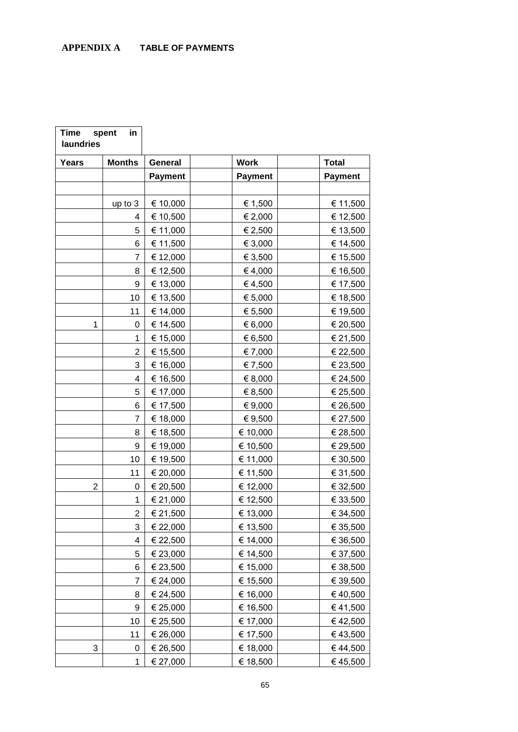| <b>Time</b><br>laundries | spent<br>in    |                |             |                |
|--------------------------|----------------|----------------|-------------|----------------|
| <b>Years</b>             | <b>Months</b>  | General        | <b>Work</b> | <b>Total</b>   |
|                          |                | <b>Payment</b> | Payment     | <b>Payment</b> |
|                          |                |                |             |                |
|                          | up to 3        | € 10,000       | € 1,500     | € 11,500       |
|                          | 4              | € 10,500       | € 2,000     | € 12,500       |
|                          | 5              | € 11,000       | € 2,500     | € 13,500       |
|                          | 6              | € 11,500       | € 3,000     | € 14,500       |
|                          | 7              | € 12,000       | € 3,500     | € 15,500       |
|                          | 8              | € 12,500       | € 4,000     | € 16,500       |
|                          | 9              | € 13,000       | €4,500      | € 17,500       |
|                          | 10             | € 13,500       | € 5,000     | € 18,500       |
|                          | 11             | € 14,000       | € 5,500     | € 19,500       |
| 1                        | 0              | € 14,500       | € 6,000     | € 20,500       |
|                          | 1              | € 15,000       | € 6,500     | € 21,500       |
|                          | 2              | € 15,500       | € 7,000     | € 22,500       |
|                          | 3              | € 16,000       | € 7,500     | € 23,500       |
|                          | 4              | € 16,500       | € 8,000     | € 24,500       |
|                          | 5              | € 17,000       | € 8,500     | € 25,500       |
|                          | 6              | € 17,500       | € 9,000     | € 26,500       |
|                          | 7              | € 18,000       | € 9,500     | € 27,500       |
|                          | 8              | € 18,500       | € 10,000    | € 28,500       |
|                          | 9              | € 19,000       | € 10,500    | € 29,500       |
|                          | 10             | € 19,500       | € 11,000    | € 30,500       |
|                          | 11             | € 20,000       | € 11,500    | € 31,500       |
| 2                        | 0              | € 20,500       | € 12,000    | € 32,500       |
|                          | 1              | € 21,000       | € 12,500    | € 33,500       |
|                          | $\overline{2}$ | € 21,500       | € 13,000    | € 34,500       |
|                          | 3              | € 22,000       | € 13,500    | € 35,500       |
|                          | 4              | € 22,500       | € 14,000    | € 36,500       |
|                          | 5              | € 23,000       | € 14,500    | € 37,500       |
|                          | 6              | € 23,500       | € 15,000    | € 38,500       |
|                          | 7              | € 24,000       | € 15,500    | € 39,500       |
|                          | 8              | € 24,500       | € 16,000    | € 40,500       |
|                          | 9              | € 25,000       | € 16,500    | € 41,500       |
|                          | 10             | € 25,500       | € 17,000    | €42,500        |
|                          | 11             | € 26,000       | € 17,500    | €43,500        |
| 3                        | 0              | € 26,500       | € 18,000    | €44,500        |
|                          | 1              | € 27,000       | € 18,500    | €45,500        |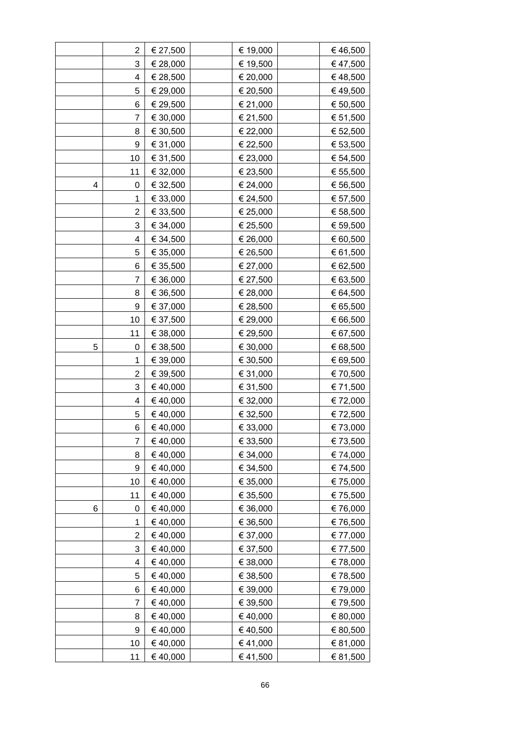|   | $\overline{2}$ | € 27,500 | € 19,000 | € 46,500 |
|---|----------------|----------|----------|----------|
|   | 3              | € 28,000 | € 19,500 | € 47,500 |
|   | 4              | € 28,500 | € 20,000 | €48,500  |
|   | 5              | € 29,000 | € 20,500 | €49,500  |
|   | 6              | € 29,500 | € 21,000 | € 50,500 |
|   | $\overline{7}$ | € 30,000 | € 21,500 | € 51,500 |
|   | 8              | € 30,500 | € 22,000 | € 52,500 |
|   | 9              | € 31,000 | € 22,500 | € 53,500 |
|   | 10             | € 31,500 | € 23,000 | € 54,500 |
|   | 11             | € 32,000 | € 23,500 | € 55,500 |
| 4 | 0              | € 32,500 | € 24,000 | € 56,500 |
|   | 1              | € 33,000 | € 24,500 | € 57,500 |
|   | $\overline{2}$ | € 33,500 | € 25,000 | € 58,500 |
|   | 3              | € 34,000 | € 25,500 | € 59,500 |
|   | 4              | € 34,500 | € 26,000 | € 60,500 |
|   | 5              | € 35,000 | € 26,500 | € 61,500 |
|   | 6              | € 35,500 | € 27,000 | € 62,500 |
|   | $\overline{7}$ | € 36,000 | € 27,500 | € 63,500 |
|   | 8              | € 36,500 | € 28,000 | € 64,500 |
|   | 9              | € 37,000 | € 28,500 | € 65,500 |
|   | 10             | € 37,500 | € 29,000 | € 66,500 |
|   | 11             | € 38,000 | € 29,500 | € 67,500 |
| 5 | 0              | € 38,500 | € 30,000 | € 68,500 |
|   | 1              | € 39,000 | € 30,500 | € 69,500 |
|   | $\overline{2}$ | € 39,500 | € 31,000 | € 70,500 |
|   | 3              | € 40,000 | € 31,500 | € 71,500 |
|   | 4              | €40,000  | € 32,000 | € 72,000 |
|   | 5              | €40,000  | € 32,500 | € 72,500 |
|   | 6              | €40,000  | € 33,000 | €73,000  |
|   | 7              | €40,000  | € 33,500 | € 73,500 |
|   | 8              | €40,000  | € 34,000 | € 74,000 |
|   | 9              | € 40,000 | € 34,500 | € 74,500 |
|   | 10             | € 40,000 | € 35,000 | € 75,000 |
|   | 11             | €40,000  | € 35,500 | € 75,500 |
| 6 | 0              | €40,000  | € 36,000 | €76,000  |
|   | 1              | €40,000  | € 36,500 | € 76,500 |
|   | 2              | € 40,000 | € 37,000 | € 77,000 |
|   | 3              | €40,000  | € 37,500 | € 77,500 |
|   | 4              | €40,000  | € 38,000 | € 78,000 |
|   | 5              | € 40,000 | € 38,500 | € 78,500 |
|   | 6              | €40,000  | € 39,000 | € 79,000 |
|   | $\overline{7}$ | €40,000  | € 39,500 | € 79,500 |
|   | 8              | € 40,000 | € 40,000 | € 80,000 |
|   | 9              | €40,000  | €40,500  | € 80,500 |
|   | 10             | € 40,000 | € 41,000 | € 81,000 |
|   | 11             | €40,000  | € 41,500 | € 81,500 |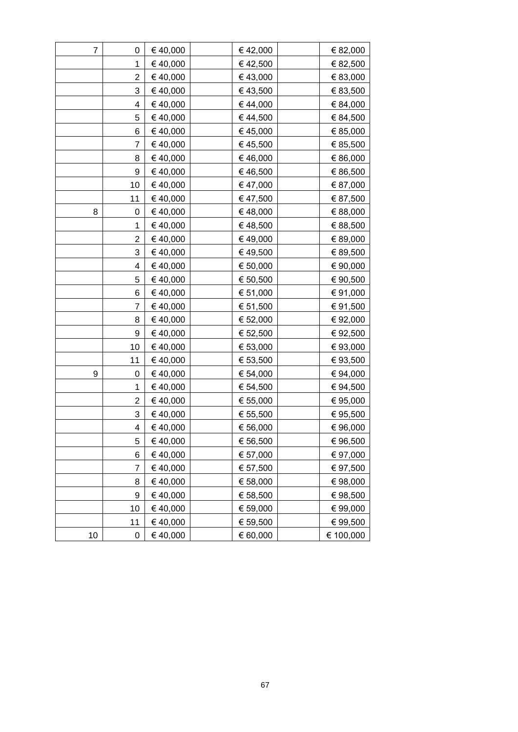| 7  | 0              | € 40,000 | €42,000  | € 82,000  |
|----|----------------|----------|----------|-----------|
|    | 1              | €40,000  | €42,500  | € 82,500  |
|    | $\overline{2}$ | € 40,000 | €43,000  | € 83,000  |
|    | 3              | € 40,000 | €43,500  | € 83,500  |
|    | 4              | €40,000  | €44,000  | € 84,000  |
|    | 5              | € 40,000 | € 44,500 | € 84,500  |
|    | 6              | €40,000  | €45,000  | € 85,000  |
|    | 7              | €40,000  | €45,500  | € 85,500  |
|    | 8              | € 40,000 | €46,000  | € 86,000  |
|    | 9              | € 40,000 | €46,500  | € 86,500  |
|    | 10             | € 40,000 | €47,000  | € 87,000  |
|    | 11             | €40,000  | € 47,500 | € 87,500  |
| 8  | 0              | € 40,000 | €48,000  | € 88,000  |
|    | 1              | € 40,000 | €48,500  | € 88,500  |
|    | $\overline{2}$ | €40,000  | €49,000  | € 89,000  |
|    | 3              | € 40,000 | €49,500  | € 89,500  |
|    | 4              | €40,000  | € 50,000 | € 90,000  |
|    | 5              | €40,000  | € 50,500 | € 90,500  |
|    | 6              | €40,000  | € 51,000 | € 91,000  |
|    | 7              | € 40,000 | € 51,500 | € 91,500  |
|    | 8              | € 40,000 | € 52,000 | € 92,000  |
|    | 9              | €40,000  | € 52,500 | €92,500   |
|    | 10             | € 40,000 | € 53,000 | € 93,000  |
|    | 11             | € 40,000 | € 53,500 | € 93,500  |
| 9  | 0              | € 40,000 | € 54,000 | € 94,000  |
|    | 1              | € 40,000 | € 54,500 | € 94,500  |
|    | $\overline{2}$ | € 40,000 | € 55,000 | € 95,000  |
|    | 3              | €40,000  | € 55,500 | € 95,500  |
|    | 4              | €40,000  | € 56,000 | € 96,000  |
|    | 5              | € 40,000 | € 56,500 | € 96,500  |
|    | 6              | €40,000  | € 57,000 | € 97,000  |
|    | $\overline{7}$ | € 40,000 | € 57,500 | € 97,500  |
|    | 8              | € 40,000 | € 58,000 | € 98,000  |
|    | 9              | €40,000  | € 58,500 | €98,500   |
|    | 10             | € 40,000 | € 59,000 | €99,000   |
|    | 11             | €40,000  | € 59,500 | € 99,500  |
| 10 | 0              | €40,000  | € 60,000 | € 100,000 |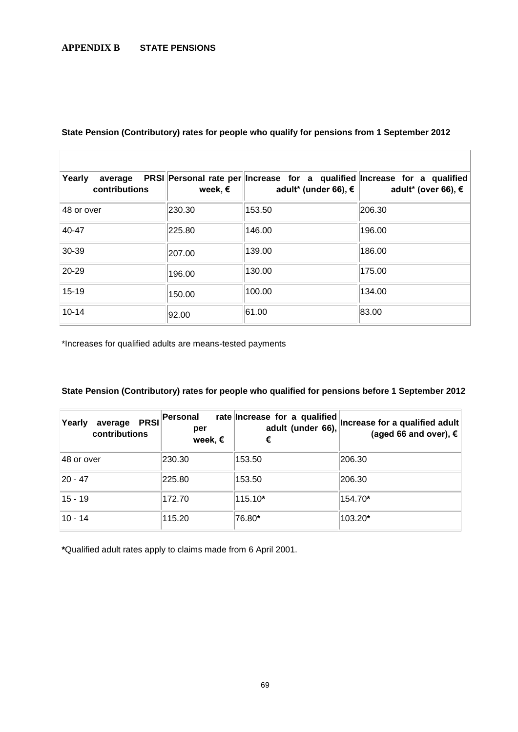# **APPENDIX B STATE PENSIONS**

| Yearly<br>contributions | week, € | average PRSI Personal rate per Increase for a qualified Increase for a qualified<br>adult* (under 66), € $\parallel$ | adult <sup>*</sup> (over 66), € |
|-------------------------|---------|----------------------------------------------------------------------------------------------------------------------|---------------------------------|
| 48 or over              | 230.30  | 153.50                                                                                                               | 206.30                          |
| 40-47                   | 225.80  | 146.00                                                                                                               | 196.00                          |
| 30-39                   | 207.00  | 139.00                                                                                                               | 186.00                          |
| $20 - 29$               | 196.00  | 130.00                                                                                                               | 175.00                          |
| $15 - 19$               | 150.00  | 100.00                                                                                                               | 134.00                          |
| $10 - 14$               | 92.00   | 61.00                                                                                                                | 83.00                           |

# **State Pension (Contributory) rates for people who qualify for pensions from 1 September 2012**

\*Increases for qualified adults are means-tested payments

# **State Pension (Contributory) rates for people who qualified for pensions before 1 September 2012**

| <b>PRSI</b><br>Yearly<br>average<br>contributions | Personal<br>per<br>week, $\epsilon$ | rate Increase for a qualified<br>adult (under 66),<br>€ | Increase for a qualified adult<br>(aged 66 and over), $€$ |
|---------------------------------------------------|-------------------------------------|---------------------------------------------------------|-----------------------------------------------------------|
| 48 or over                                        | 230.30                              | 153.50                                                  | 206.30                                                    |
| $20 - 47$                                         | 225.80                              | 153.50                                                  | 206.30                                                    |
| $15 - 19$                                         | 172.70                              | $115.10*$                                               | 154.70*                                                   |
| $10 - 14$                                         | 115.20                              | 76.80*                                                  | 103.20*                                                   |

**\***Qualified adult rates apply to claims made from 6 April 2001.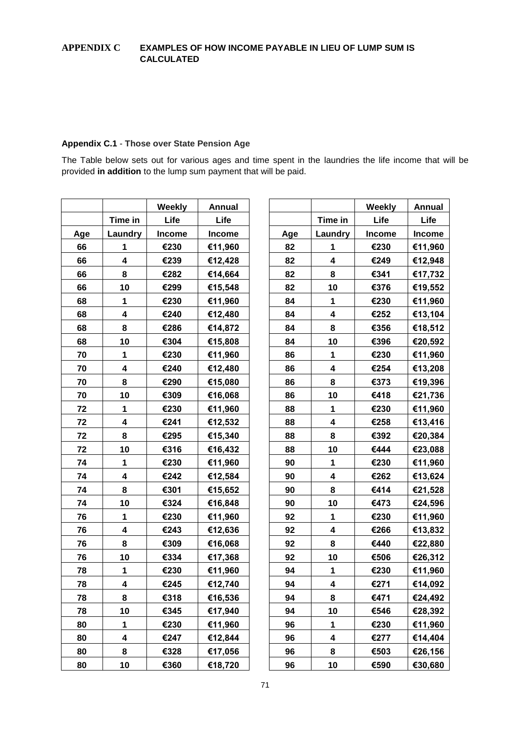# **APPENDIX C EXAMPLES OF HOW INCOME PAYABLE IN LIEU OF LUMP SUM IS CALCULATED**

# **Appendix C.1** - **Those over State Pension Age**

The Table below sets out for various ages and time spent in the laundries the life income that will be provided **in addition** to the lump sum payment that will be paid.

|     |                         | Weekly        | Annual        |     |                         | Weekly        | <b>Annual</b> |
|-----|-------------------------|---------------|---------------|-----|-------------------------|---------------|---------------|
|     | Time in                 | Life          | Life          |     | Time in                 | Life          | Life          |
| Age | Laundry                 | <b>Income</b> | <b>Income</b> | Age | Laundry                 | <b>Income</b> | <b>Income</b> |
| 66  | 1                       | €230          | €11,960       | 82  | 1                       | €230          | €11,960       |
| 66  | $\overline{\mathbf{4}}$ | €239          | €12,428       | 82  | $\overline{\mathbf{4}}$ | €249          | €12,948       |
| 66  | 8                       | €282          | €14,664       | 82  | 8                       | €341          | €17,732       |
| 66  | 10                      | €299          | €15,548       | 82  | 10                      | €376          | €19,552       |
| 68  | 1                       | €230          | €11,960       | 84  | 1                       | €230          | €11,960       |
| 68  | 4                       | €240          | €12,480       | 84  | 4                       | €252          | €13,104       |
| 68  | 8                       | €286          | €14,872       | 84  | 8                       | €356          | €18,512       |
| 68  | 10                      | €304          | €15,808       | 84  | 10                      | €396          | €20,592       |
| 70  | 1                       | €230          | €11,960       | 86  | 1                       | €230          | €11,960       |
| 70  | 4                       | €240          | €12,480       | 86  | 4                       | €254          | €13,208       |
| 70  | 8                       | €290          | €15,080       | 86  | 8                       | €373          | €19,396       |
| 70  | 10                      | €309          | €16,068       | 86  | 10                      | €418          | €21,736       |
| 72  | 1                       | €230          | €11,960       | 88  | 1                       | €230          | €11,960       |
| 72  | $\overline{\mathbf{4}}$ | €241          | €12,532       | 88  | $\overline{\mathbf{4}}$ | €258          | €13,416       |
| 72  | 8                       | €295          | €15,340       | 88  | 8                       | €392          | €20,384       |
| 72  | 10                      | €316          | €16,432       | 88  | 10                      | €444          | €23,088       |
| 74  | 1                       | €230          | €11,960       | 90  | 1                       | €230          | €11,960       |
| 74  | 4                       | €242          | €12,584       | 90  | $\overline{\mathbf{4}}$ | €262          | €13,624       |
| 74  | 8                       | €301          | €15,652       | 90  | 8                       | €414          | €21,528       |
| 74  | 10                      | €324          | €16,848       | 90  | 10                      | €473          | €24,596       |
| 76  | $\mathbf{1}$            | €230          | €11,960       | 92  | $\mathbf{1}$            | €230          | €11,960       |
| 76  | 4                       | €243          | €12,636       | 92  | 4                       | €266          | €13,832       |
| 76  | 8                       | €309          | €16,068       | 92  | 8                       | €440          | €22,880       |
| 76  | 10                      | €334          | €17,368       | 92  | 10                      | €506          | €26,312       |
| 78  | 1                       | €230          | €11,960       | 94  | 1                       | €230          | €11,960       |
| 78  | $\overline{\mathbf{4}}$ | €245          | €12,740       | 94  | $\overline{\mathbf{4}}$ | €271          | €14,092       |
| 78  | 8                       | €318          | €16,536       | 94  | 8                       | €471          | €24,492       |
| 78  | 10                      | €345          | €17,940       | 94  | 10                      | €546          | €28,392       |
| 80  | $\mathbf 1$             | €230          | €11,960       | 96  | $\mathbf 1$             | €230          | €11,960       |
| 80  | 4                       | €247          | €12,844       | 96  | $\overline{\mathbf{4}}$ | €277          | €14,404       |
| 80  | 8                       | €328          | €17,056       | 96  | 8                       | €503          | €26,156       |
| 80  | 10                      | €360          | €18,720       | 96  | 10                      | €590          | €30,680       |
|     |                         |               |               |     |                         |               |               |

|     |         | Weekly        | <b>Annual</b> |
|-----|---------|---------------|---------------|
|     | Time in | Life          | Life          |
| ١ge | Laundry | <b>Income</b> | Income        |
| 66  | 1       | €230          | €11,960       |
| 66  | 4       | €239          | €12,428       |
| 66  | 8       | €282          | €14,664       |
| 66  | 10      | €299          | €15,548       |
| 68  | 1       | €230          | €11,960       |
| 68  | 4       | €240          | €12,480       |
| 68  | 8       | €286          | €14,872       |
| 68  | 10      | €304          | €15,808       |
| 70  | 1       | €230          | €11,960       |
| 70  | 4       | €240          | €12,480       |
| 70  | 8       | €290          | €15,080       |
| 70  | 10      | €309          | €16,068       |
| 72  | 1       | €230          | €11,960       |
| 72  | 4       | €241          | €12,532       |
| 72  | 8       | €295          | €15,340       |
| 72  | 10      | €316          | €16,432       |
| 74  | 1       | €230          | €11,960       |
| 74  | 4       | €242          | €12,584       |
| 74  | 8       | €301          | €15,652       |
| 74  | 10      | €324          | €16,848       |
| 76  | 1       | €230          | €11,960       |
| 76  | 4       | €243          | €12,636       |
| 76  | 8       | €309          | €16,068       |
| 76  | 10      | €334          | €17,368       |
| 78  | 1       | €230          | €11,960       |
| 78  | 4       | €245          | €12,740       |
| 78  | 8       | €318          | €16,536       |
| 78  | 10      | €345          | €17,940       |
| 80  | 1       | €230          | €11,960       |
| 80  | 4       | €247          | €12,844       |
| 80  | 8       | €328          | €17,056       |
|     | 10      | €360          | €18,720       |
| 80  |         |               |               |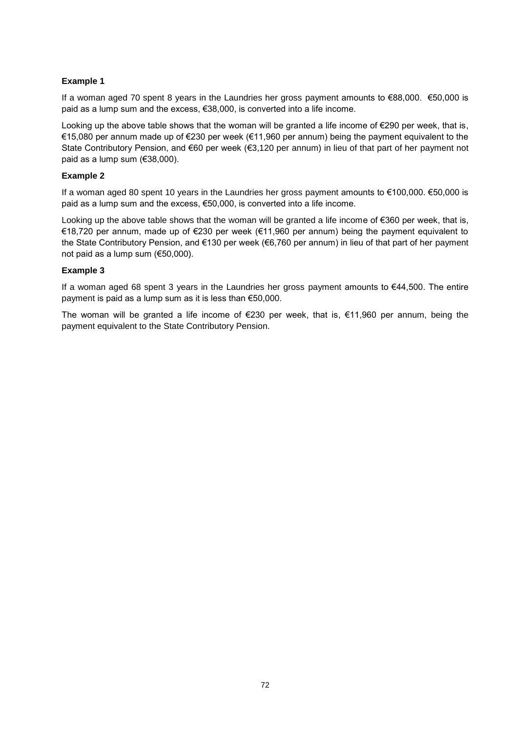# **Example 1**

If a woman aged 70 spent 8 years in the Laundries her gross payment amounts to €88,000. €50,000 is paid as a lump sum and the excess, €38,000, is converted into a life income.

Looking up the above table shows that the woman will be granted a life income of €290 per week, that is, €15,080 per annum made up of €230 per week (€11,960 per annum) being the payment equivalent to the State Contributory Pension, and €60 per week (€3,120 per annum) in lieu of that part of her payment not paid as a lump sum (€38,000).

# **Example 2**

If a woman aged 80 spent 10 years in the Laundries her gross payment amounts to €100,000. €50,000 is paid as a lump sum and the excess, €50,000, is converted into a life income.

Looking up the above table shows that the woman will be granted a life income of €360 per week, that is, €18,720 per annum, made up of €230 per week (€11,960 per annum) being the payment equivalent to the State Contributory Pension, and €130 per week (€6,760 per annum) in lieu of that part of her payment not paid as a lump sum (€50,000).

# **Example 3**

If a woman aged 68 spent 3 years in the Laundries her gross payment amounts to €44,500. The entire payment is paid as a lump sum as it is less than €50,000.

The woman will be granted a life income of  $\epsilon$ 230 per week, that is,  $\epsilon$ 11,960 per annum, being the payment equivalent to the State Contributory Pension.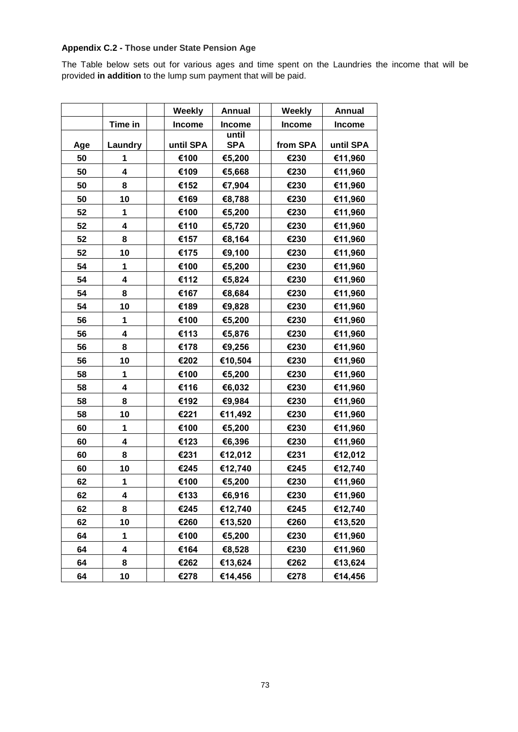# **Appendix C.2 - Those under State Pension Age**

The Table below sets out for various ages and time spent on the Laundries the income that will be provided **in addition** to the lump sum payment that will be paid.

|     |         | Weekly        | Annual              | Weekly        | <b>Annual</b> |
|-----|---------|---------------|---------------------|---------------|---------------|
|     | Time in | <b>Income</b> | <b>Income</b>       | <b>Income</b> | <b>Income</b> |
| Age | Laundry | until SPA     | until<br><b>SPA</b> | from SPA      | until SPA     |
| 50  | 1       | €100          | €5,200              | €230          | €11,960       |
| 50  | 4       | €109          | €5,668              | €230          | €11,960       |
| 50  | 8       | €152          | €7,904              | €230          | €11,960       |
| 50  | 10      | €169          | €8,788              | €230          | €11,960       |
| 52  | 1       | €100          | €5,200              | €230          | €11,960       |
| 52  | 4       | €110          | €5,720              | €230          | €11,960       |
| 52  | 8       | €157          | €8,164              | €230          | €11,960       |
| 52  | 10      | €175          | €9,100              | €230          | €11,960       |
| 54  | 1       | €100          | €5,200              | €230          | €11,960       |
| 54  | 4       | €112          | €5,824              | €230          | €11,960       |
| 54  | 8       | €167          | €8,684              | €230          | €11,960       |
| 54  | 10      | €189          | €9,828              | €230          | €11,960       |
| 56  | 1       | €100          | €5,200              | €230          | €11,960       |
| 56  | 4       | €113          | €5,876              | €230          | €11,960       |
| 56  | 8       | €178          | €9,256              | €230          | €11,960       |
| 56  | 10      | €202          | €10,504             | €230          | €11,960       |
| 58  | 1       | €100          | €5,200              | €230          | €11,960       |
| 58  | 4       | €116          | €6,032              | €230          | €11,960       |
| 58  | 8       | €192          | €9,984              | €230          | €11,960       |
| 58  | 10      | €221          | €11,492             | €230          | €11,960       |
| 60  | 1       | €100          | €5,200              | €230          | €11,960       |
| 60  | 4       | €123          | €6,396              | €230          | €11,960       |
| 60  | 8       | €231          | €12,012             | €231          | €12,012       |
| 60  | 10      | €245          | €12,740             | €245          | €12,740       |
| 62  | 1       | €100          | €5,200              | €230          | €11,960       |
| 62  | 4       | €133          | €6,916              | €230          | €11,960       |
| 62  | 8       | €245          | €12,740             | €245          | €12,740       |
| 62  | 10      | €260          | €13,520             | €260          | €13,520       |
| 64  | 1       | €100          | €5,200              | €230          | €11,960       |
| 64  | 4       | €164          | €8,528              | €230          | €11,960       |
| 64  | 8       | €262          | €13,624             | €262          | €13,624       |
| 64  | 10      | €278          | €14,456             | €278          | €14,456       |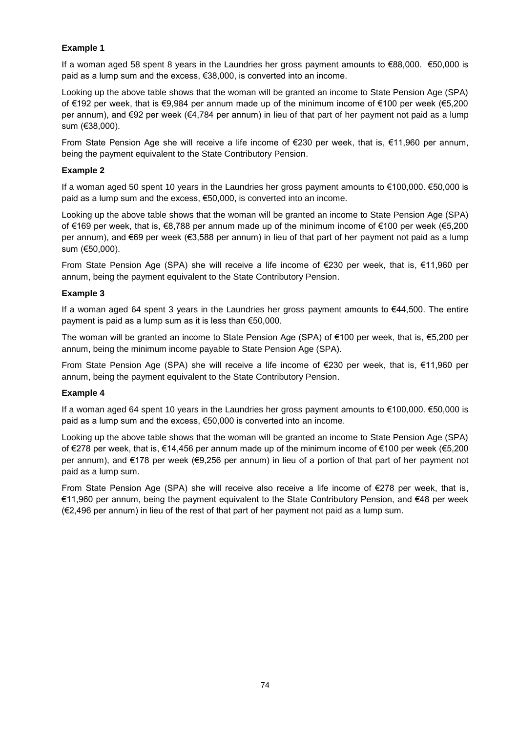# **Example 1**

If a woman aged 58 spent 8 years in the Laundries her gross payment amounts to €88,000. €50,000 is paid as a lump sum and the excess, €38,000, is converted into an income.

Looking up the above table shows that the woman will be granted an income to State Pension Age (SPA) of €192 per week, that is €9,984 per annum made up of the minimum income of €100 per week (€5,200 per annum), and €92 per week (€4,784 per annum) in lieu of that part of her payment not paid as a lump sum (€38,000).

From State Pension Age she will receive a life income of €230 per week, that is, €11,960 per annum, being the payment equivalent to the State Contributory Pension.

# **Example 2**

If a woman aged 50 spent 10 years in the Laundries her gross payment amounts to €100,000. €50,000 is paid as a lump sum and the excess, €50,000, is converted into an income.

Looking up the above table shows that the woman will be granted an income to State Pension Age (SPA) of €169 per week, that is, €8,788 per annum made up of the minimum income of €100 per week (€5,200 per annum), and €69 per week (€3,588 per annum) in lieu of that part of her payment not paid as a lump sum (€50,000).

From State Pension Age (SPA) she will receive a life income of €230 per week, that is, €11,960 per annum, being the payment equivalent to the State Contributory Pension.

# **Example 3**

If a woman aged 64 spent 3 years in the Laundries her gross payment amounts to €44,500. The entire payment is paid as a lump sum as it is less than €50,000.

The woman will be granted an income to State Pension Age (SPA) of €100 per week, that is, €5,200 per annum, being the minimum income payable to State Pension Age (SPA).

From State Pension Age (SPA) she will receive a life income of €230 per week, that is, €11,960 per annum, being the payment equivalent to the State Contributory Pension.

# **Example 4**

If a woman aged 64 spent 10 years in the Laundries her gross payment amounts to €100,000. €50,000 is paid as a lump sum and the excess, €50,000 is converted into an income.

Looking up the above table shows that the woman will be granted an income to State Pension Age (SPA) of €278 per week, that is, €14,456 per annum made up of the minimum income of €100 per week (€5,200 per annum), and €178 per week (€9,256 per annum) in lieu of a portion of that part of her payment not paid as a lump sum.

From State Pension Age (SPA) she will receive also receive a life income of €278 per week, that is, €11,960 per annum, being the payment equivalent to the State Contributory Pension, and €48 per week (€2,496 per annum) in lieu of the rest of that part of her payment not paid as a lump sum.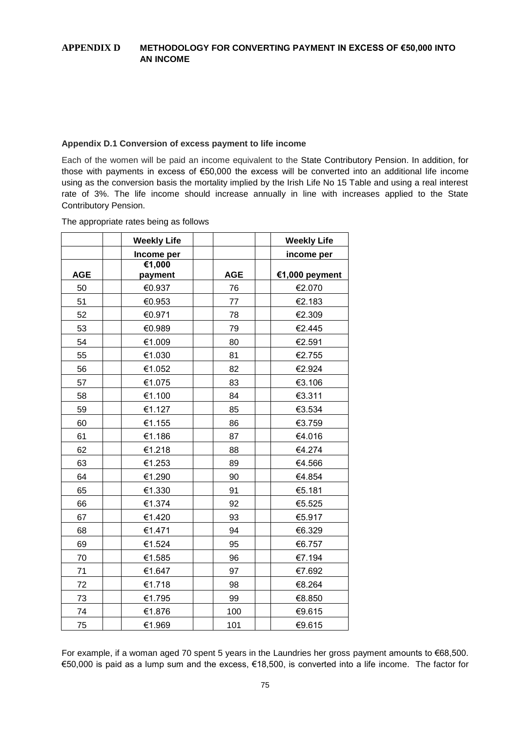# **APPENDIX D METHODOLOGY FOR CONVERTING PAYMENT IN EXCESS OF €50,000 INTO AN INCOME**

# **Appendix D.1 Conversion of excess payment to life income**

Each of the women will be paid an income equivalent to the State Contributory Pension. In addition, for those with payments in excess of €50,000 the excess will be converted into an additional life income using as the conversion basis the mortality implied by the Irish Life No 15 Table and using a real interest rate of 3%. The life income should increase annually in line with increases applied to the State Contributory Pension.

| The appropriate rates being as follows |  |  |  |  |
|----------------------------------------|--|--|--|--|
|----------------------------------------|--|--|--|--|

|            | <b>Weekly Life</b> |            | <b>Weekly Life</b> |
|------------|--------------------|------------|--------------------|
|            | Income per         |            | income per         |
| <b>AGE</b> | €1,000<br>payment  | <b>AGE</b> | €1,000 peyment     |
| 50         |                    | 76         | €2.070             |
|            | €0.937             |            |                    |
| 51         | €0.953             | 77         | €2.183             |
| 52         | €0.971             | 78         | €2.309             |
| 53         | €0.989             | 79         | €2.445             |
| 54         | €1.009             | 80         | €2.591             |
| 55         | €1.030             | 81         | €2.755             |
| 56         | €1.052             | 82         | €2.924             |
| 57         | €1.075             | 83         | €3.106             |
| 58         | €1.100             | 84         | €3.311             |
| 59         | €1.127             | 85         | €3.534             |
| 60         | €1.155             | 86         | €3.759             |
| 61         | €1.186             | 87         | €4.016             |
| 62         | €1.218             | 88         | €4.274             |
| 63         | €1.253             | 89         | €4.566             |
| 64         | €1.290             | 90         | €4.854             |
| 65         | €1.330             | 91         | €5.181             |
| 66         | €1.374             | 92         | €5.525             |
| 67         | €1.420             | 93         | €5.917             |
| 68         | €1.471             | 94         | €6.329             |
| 69         | €1.524             | 95         | €6.757             |
| 70         | €1.585             | 96         | €7.194             |
| 71         | €1.647             | 97         | €7.692             |
| 72         | €1.718             | 98         | €8.264             |
| 73         | €1.795             | 99         | €8.850             |
| 74         | €1.876             | 100        | €9.615             |
| 75         | €1.969             | 101        | €9.615             |

For example, if a woman aged 70 spent 5 years in the Laundries her gross payment amounts to €68,500. €50,000 is paid as a lump sum and the excess, €18,500, is converted into a life income. The factor for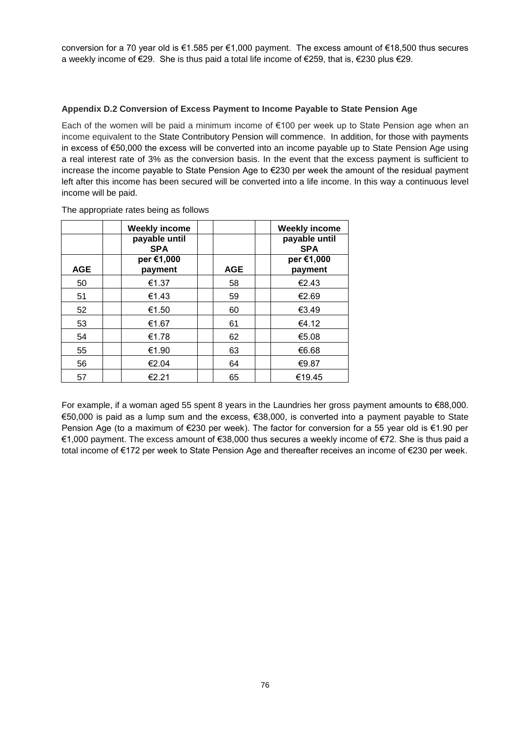conversion for a 70 year old is €1.585 per €1,000 payment. The excess amount of €18,500 thus secures a weekly income of €29. She is thus paid a total life income of €259, that is, €230 plus €29.

# **Appendix D.2 Conversion of Excess Payment to Income Payable to State Pension Age**

Each of the women will be paid a minimum income of €100 per week up to State Pension age when an income equivalent to the State Contributory Pension will commence. In addition, for those with payments in excess of €50,000 the excess will be converted into an income payable up to State Pension Age using a real interest rate of 3% as the conversion basis. In the event that the excess payment is sufficient to increase the income payable to State Pension Age to €230 per week the amount of the residual payment left after this income has been secured will be converted into a life income. In this way a continuous level income will be paid.

|            | <b>Weekly income</b>        |            | <b>Weekly income</b>        |
|------------|-----------------------------|------------|-----------------------------|
|            | payable until<br><b>SPA</b> |            | payable until<br><b>SPA</b> |
|            | per €1,000                  |            | per €1,000                  |
| <b>AGE</b> | payment                     | <b>AGE</b> | payment                     |
| 50         | €1.37                       | 58         | €2.43                       |
| 51         | €1.43                       | 59         | €2.69                       |
| 52         | €1.50                       | 60         | €3.49                       |
| 53         | €1.67                       | 61         | €4.12                       |
| 54         | €1.78                       | 62         | €5.08                       |
| 55         | €1.90                       | 63         | €6.68                       |
| 56         | €2.04                       | 64         | €9.87                       |
| 57         | €2.21                       | 65         | €19.45                      |

The appropriate rates being as follows

For example, if a woman aged 55 spent 8 years in the Laundries her gross payment amounts to €88,000. €50,000 is paid as a lump sum and the excess, €38,000, is converted into a payment payable to State Pension Age (to a maximum of €230 per week). The factor for conversion for a 55 year old is €1.90 per €1,000 payment. The excess amount of €38,000 thus secures a weekly income of €72. She is thus paid a total income of €172 per week to State Pension Age and thereafter receives an income of €230 per week.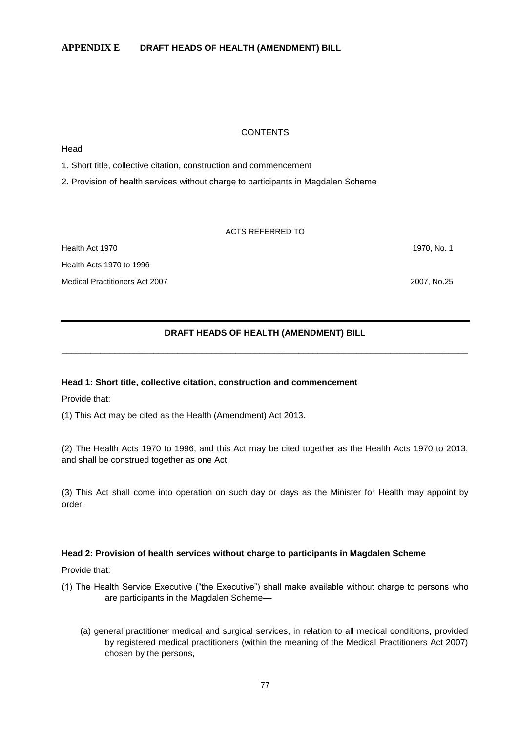# **CONTENTS**

Head

1. Short title, collective citation, construction and commencement

2. Provision of health services without charge to participants in Magdalen Scheme

#### ACTS REFERRED TO

Health Act 1970 1970, No. 1 Health Acts 1970 to 1996 Medical Practitioners Act 2007 2007, No.25

# **DRAFT HEADS OF HEALTH (AMENDMENT) BILL** \_\_\_\_\_\_\_\_\_\_\_\_\_\_\_\_\_\_\_\_\_\_\_\_\_\_\_\_\_\_\_\_\_\_\_\_\_\_\_\_\_\_\_\_\_\_\_\_\_\_\_\_\_\_\_\_\_\_\_\_\_\_\_\_\_\_\_\_\_\_\_\_\_\_\_\_\_\_\_\_\_\_\_\_

## **Head 1: Short title, collective citation, construction and commencement**

Provide that:

(1) This Act may be cited as the Health (Amendment) Act 2013.

(2) The Health Acts 1970 to 1996, and this Act may be cited together as the Health Acts 1970 to 2013, and shall be construed together as one Act.

(3) This Act shall come into operation on such day or days as the Minister for Health may appoint by order.

## **Head 2: Provision of health services without charge to participants in Magdalen Scheme**

Provide that:

- (1) The Health Service Executive ("the Executive") shall make available without charge to persons who are participants in the Magdalen Scheme—
	- (a) general practitioner medical and surgical services, in relation to all medical conditions, provided by registered medical practitioners (within the meaning of the Medical Practitioners Act 2007) chosen by the persons,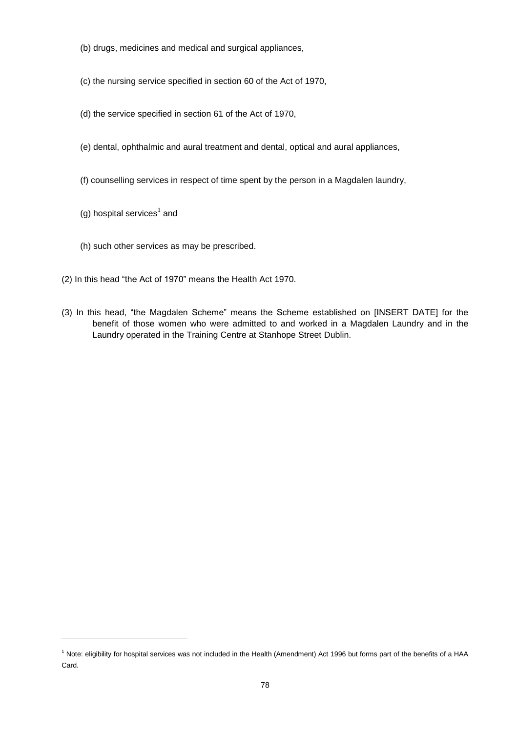- (b) drugs, medicines and medical and surgical appliances,
- (c) the nursing service specified in section 60 of the Act of 1970,
- (d) the service specified in section 61 of the Act of 1970,
- (e) dental, ophthalmic and aural treatment and dental, optical and aural appliances,
- (f) counselling services in respect of time spent by the person in a Magdalen laundry,
- (g) hospital services $^1$  and

l

- (h) such other services as may be prescribed.
- (2) In this head "the Act of 1970" means the Health Act 1970.
- (3) In this head, "the Magdalen Scheme" means the Scheme established on [INSERT DATE] for the benefit of those women who were admitted to and worked in a Magdalen Laundry and in the Laundry operated in the Training Centre at Stanhope Street Dublin.

 $1$  Note: eligibility for hospital services was not included in the Health (Amendment) Act 1996 but forms part of the benefits of a HAA Card.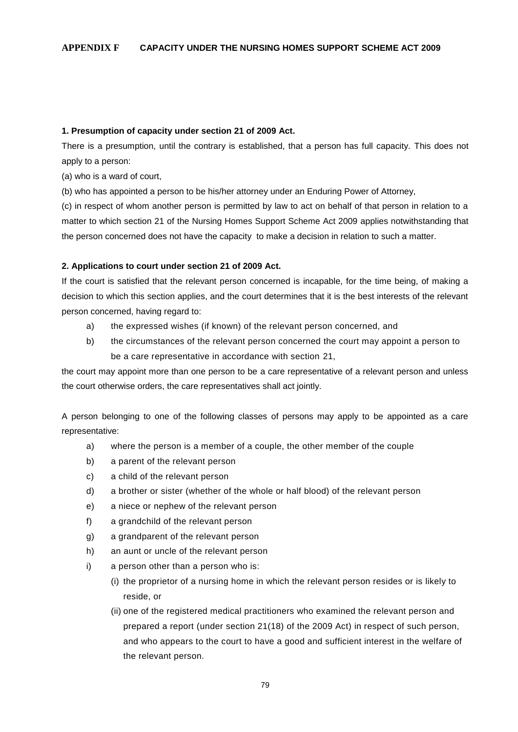## **1. Presumption of capacity under section 21 of 2009 Act.**

There is a presumption, until the contrary is established, that a person has full capacity. This does not apply to a person:

(a) who is a ward of court,

(b) who has appointed a person to be his/her attorney under an Enduring Power of Attorney,

(c) in respect of whom another person is permitted by law to act on behalf of that person in relation to a matter to which section 21 of the Nursing Homes Support Scheme Act 2009 applies notwithstanding that the person concerned does not have the capacity to make a decision in relation to such a matter.

# **2. Applications to court under section 21 of 2009 Act.**

If the court is satisfied that the relevant person concerned is incapable, for the time being, of making a decision to which this section applies, and the court determines that it is the best interests of the relevant person concerned, having regard to:

- a) the expressed wishes (if known) of the relevant person concerned, and
- b) the circumstances of the relevant person concerned the court may appoint a person to be a care representative in accordance with section 21,

the court may appoint more than one person to be a care representative of a relevant person and unless the court otherwise orders, the care representatives shall act jointly.

A person belonging to one of the following classes of persons may apply to be appointed as a care representative:

- a) where the person is a member of a couple, the other member of the couple
- b) a parent of the relevant person
- c) a child of the relevant person
- d) a brother or sister (whether of the whole or half blood) of the relevant person
- e) a niece or nephew of the relevant person
- f) a grandchild of the relevant person
- g) a grandparent of the relevant person
- h) an aunt or uncle of the relevant person
- i) a person other than a person who is:
	- (i) the proprietor of a nursing home in which the relevant person resides or is likely to reside, or
	- (ii) one of the registered medical practitioners who examined the relevant person and prepared a report (under section 21(18) of the 2009 Act) in respect of such person, and who appears to the court to have a good and sufficient interest in the welfare of the relevant person.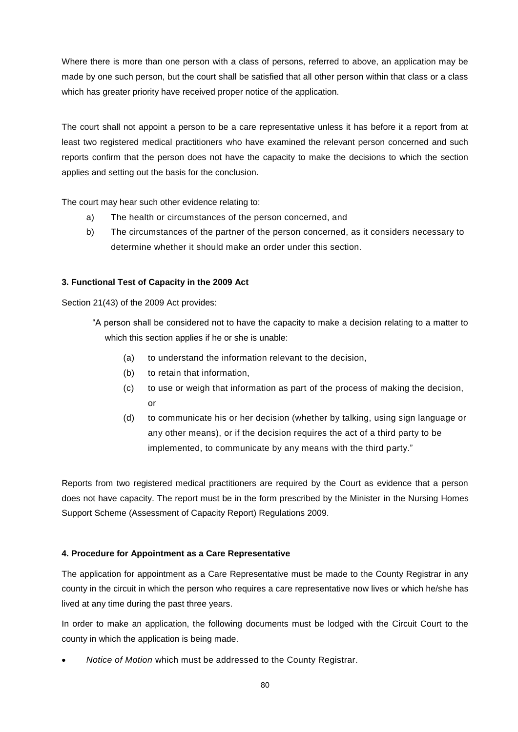Where there is more than one person with a class of persons, referred to above, an application may be made by one such person, but the court shall be satisfied that all other person within that class or a class which has greater priority have received proper notice of the application.

The court shall not appoint a person to be a care representative unless it has before it a report from at least two registered medical practitioners who have examined the relevant person concerned and such reports confirm that the person does not have the capacity to make the decisions to which the section applies and setting out the basis for the conclusion.

The court may hear such other evidence relating to:

- a) The health or circumstances of the person concerned, and
- b) The circumstances of the partner of the person concerned, as it considers necessary to determine whether it should make an order under this section.

# **3. Functional Test of Capacity in the 2009 Act**

Section 21(43) of the 2009 Act provides:

"A person shall be considered not to have the capacity to make a decision relating to a matter to which this section applies if he or she is unable:

- (a) to understand the information relevant to the decision,
- (b) to retain that information,
- (c) to use or weigh that information as part of the process of making the decision, or
- (d) to communicate his or her decision (whether by talking, using sign language or any other means), or if the decision requires the act of a third party to be implemented, to communicate by any means with the third party."

Reports from two registered medical practitioners are required by the Court as evidence that a person does not have capacity. The report must be in the form prescribed by the Minister in the Nursing Homes Support Scheme (Assessment of Capacity Report) Regulations 2009.

# **4. Procedure for Appointment as a Care Representative**

The application for appointment as a Care Representative must be made to the County Registrar in any county in the circuit in which the person who requires a care representative now lives or which he/she has lived at any time during the past three years.

In order to make an application, the following documents must be lodged with the Circuit Court to the county in which the application is being made.

*Notice of Motion* which must be addressed to the County Registrar.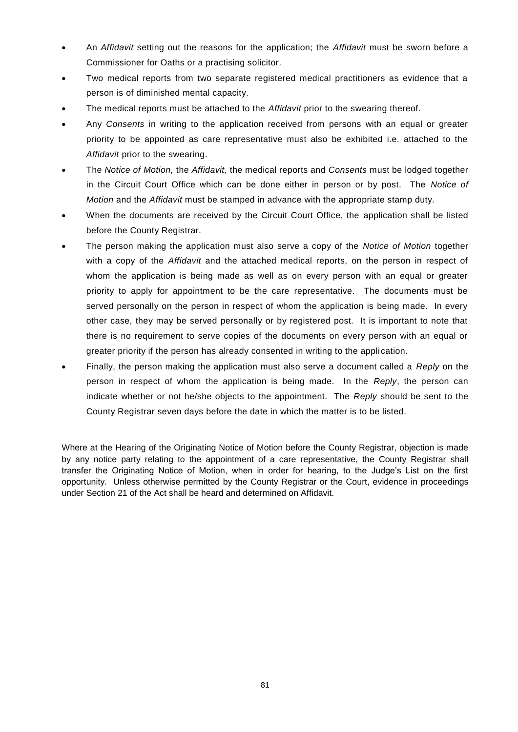- An *Affidavit* setting out the reasons for the application; the *Affidavit* must be sworn before a Commissioner for Oaths or a practising solicitor.
- Two medical reports from two separate registered medical practitioners as evidence that a person is of diminished mental capacity.
- The medical reports must be attached to the *Affidavit* prior to the swearing thereof.
- Any *Consents* in writing to the application received from persons with an equal or greater priority to be appointed as care representative must also be exhibited i.e. attached to the *Affidavit* prior to the swearing.
- The *Notice of Motion,* the *Affidavit,* the medical reports and *Consents* must be lodged together in the Circuit Court Office which can be done either in person or by post. The *Notice of Motion* and the *Affidavit* must be stamped in advance with the appropriate stamp duty.
- When the documents are received by the Circuit Court Office, the application shall be listed before the County Registrar.
- The person making the application must also serve a copy of the *Notice of Motion* together with a copy of the *Affidavit* and the attached medical reports, on the person in respect of whom the application is being made as well as on every person with an equal or greater priority to apply for appointment to be the care representative. The documents must be served personally on the person in respect of whom the application is being made. In every other case, they may be served personally or by registered post. It is important to note that there is no requirement to serve copies of the documents on every person with an equal or greater priority if the person has already consented in writing to the application.
- Finally, the person making the application must also serve a document called a *Reply* on the person in respect of whom the application is being made. In the *Reply*, the person can indicate whether or not he/she objects to the appointment. The *Reply* should be sent to the County Registrar seven days before the date in which the matter is to be listed.

Where at the Hearing of the Originating Notice of Motion before the County Registrar, objection is made by any notice party relating to the appointment of a care representative, the County Registrar shall transfer the Originating Notice of Motion, when in order for hearing, to the Judge's List on the first opportunity. Unless otherwise permitted by the County Registrar or the Court, evidence in proceedings under Section 21 of the Act shall be heard and determined on Affidavit.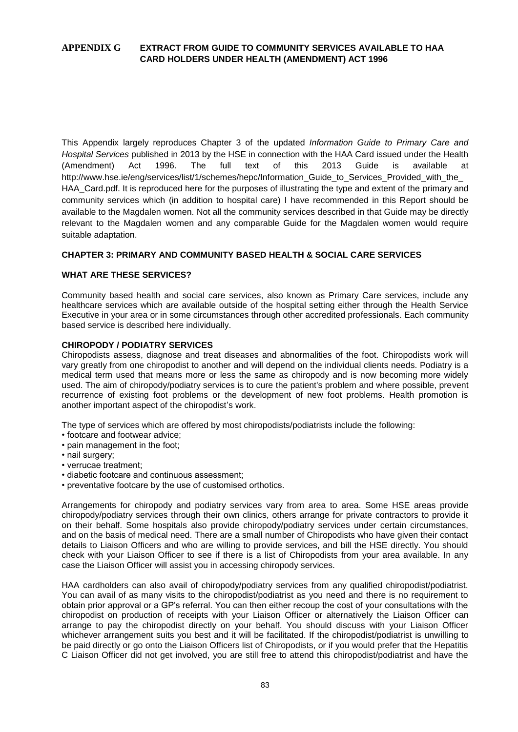# **APPENDIX G EXTRACT FROM GUIDE TO COMMUNITY SERVICES AVAILABLE TO HAA CARD HOLDERS UNDER HEALTH (AMENDMENT) ACT 1996**

This Appendix largely reproduces Chapter 3 of the updated *Information Guide to Primary Care and Hospital Services* published in 2013 by the HSE in connection with the HAA Card issued under the Health (Amendment) Act 1996. The full text of this 2013 Guide is available at http://www.hse.ie/eng/services/list/1/schemes/hepc/Information\_Guide\_to\_Services\_Provided\_with\_the HAA Card.pdf. It is reproduced here for the purposes of illustrating the type and extent of the primary and community services which (in addition to hospital care) I have recommended in this Report should be available to the Magdalen women. Not all the community services described in that Guide may be directly relevant to the Magdalen women and any comparable Guide for the Magdalen women would require suitable adaptation.

# **CHAPTER 3: PRIMARY AND COMMUNITY BASED HEALTH & SOCIAL CARE SERVICES**

## **WHAT ARE THESE SERVICES?**

Community based health and social care services, also known as Primary Care services, include any healthcare services which are available outside of the hospital setting either through the Health Service Executive in your area or in some circumstances through other accredited professionals. Each community based service is described here individually.

## **CHIROPODY / PODIATRY SERVICES**

Chiropodists assess, diagnose and treat diseases and abnormalities of the foot. Chiropodists work will vary greatly from one chiropodist to another and will depend on the individual clients needs. Podiatry is a medical term used that means more or less the same as chiropody and is now becoming more widely used. The aim of chiropody/podiatry services is to cure the patient's problem and where possible, prevent recurrence of existing foot problems or the development of new foot problems. Health promotion is another important aspect of the chiropodist's work.

The type of services which are offered by most chiropodists/podiatrists include the following:

- footcare and footwear advice:
- pain management in the foot;
- nail surgery;
- verrucae treatment;
- diabetic footcare and continuous assessment;
- preventative footcare by the use of customised orthotics.

Arrangements for chiropody and podiatry services vary from area to area. Some HSE areas provide chiropody/podiatry services through their own clinics, others arrange for private contractors to provide it on their behalf. Some hospitals also provide chiropody/podiatry services under certain circumstances, and on the basis of medical need. There are a small number of Chiropodists who have given their contact details to Liaison Officers and who are willing to provide services, and bill the HSE directly. You should check with your Liaison Officer to see if there is a list of Chiropodists from your area available. In any case the Liaison Officer will assist you in accessing chiropody services.

HAA cardholders can also avail of chiropody/podiatry services from any qualified chiropodist/podiatrist. You can avail of as many visits to the chiropodist/podiatrist as you need and there is no requirement to obtain prior approval or a GP's referral. You can then either recoup the cost of your consultations with the chiropodist on production of receipts with your Liaison Officer or alternatively the Liaison Officer can arrange to pay the chiropodist directly on your behalf. You should discuss with your Liaison Officer whichever arrangement suits you best and it will be facilitated. If the chiropodist/podiatrist is unwilling to be paid directly or go onto the Liaison Officers list of Chiropodists, or if you would prefer that the Hepatitis C Liaison Officer did not get involved, you are still free to attend this chiropodist/podiatrist and have the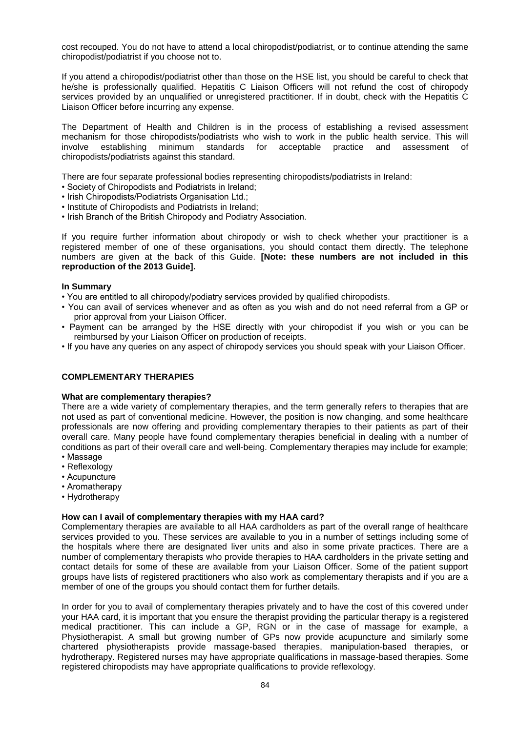cost recouped. You do not have to attend a local chiropodist/podiatrist, or to continue attending the same chiropodist/podiatrist if you choose not to.

If you attend a chiropodist/podiatrist other than those on the HSE list, you should be careful to check that he/she is professionally qualified. Hepatitis C Liaison Officers will not refund the cost of chiropody services provided by an unqualified or unregistered practitioner. If in doubt, check with the Hepatitis C Liaison Officer before incurring any expense.

The Department of Health and Children is in the process of establishing a revised assessment mechanism for those chiropodists/podiatrists who wish to work in the public health service. This will<br>
involve establishing minimum standards for acceptable practice and assessment of involve establishing minimum standards for acceptable practice and assessment of chiropodists/podiatrists against this standard.

There are four separate professional bodies representing chiropodists/podiatrists in Ireland:

- Society of Chiropodists and Podiatrists in Ireland;
- Irish Chiropodists/Podiatrists Organisation Ltd.;
- Institute of Chiropodists and Podiatrists in Ireland;
- Irish Branch of the British Chiropody and Podiatry Association.

If you require further information about chiropody or wish to check whether your practitioner is a registered member of one of these organisations, you should contact them directly. The telephone numbers are given at the back of this Guide. **[Note: these numbers are not included in this reproduction of the 2013 Guide].**

# **In Summary**

- You are entitled to all chiropody/podiatry services provided by qualified chiropodists.
- You can avail of services whenever and as often as you wish and do not need referral from a GP or prior approval from your Liaison Officer.
- Payment can be arranged by the HSE directly with your chiropodist if you wish or you can be reimbursed by your Liaison Officer on production of receipts.
- If you have any queries on any aspect of chiropody services you should speak with your Liaison Officer.

# **COMPLEMENTARY THERAPIES**

## **What are complementary therapies?**

There are a wide variety of complementary therapies, and the term generally refers to therapies that are not used as part of conventional medicine. However, the position is now changing, and some healthcare professionals are now offering and providing complementary therapies to their patients as part of their overall care. Many people have found complementary therapies beneficial in dealing with a number of conditions as part of their overall care and well-being. Complementary therapies may include for example; • Massage

- Reflexology
- Acupuncture
- Aromatherapy
- Hydrotherapy

## **How can I avail of complementary therapies with my HAA card?**

Complementary therapies are available to all HAA cardholders as part of the overall range of healthcare services provided to you. These services are available to you in a number of settings including some of the hospitals where there are designated liver units and also in some private practices. There are a number of complementary therapists who provide therapies to HAA cardholders in the private setting and contact details for some of these are available from your Liaison Officer. Some of the patient support groups have lists of registered practitioners who also work as complementary therapists and if you are a member of one of the groups you should contact them for further details.

In order for you to avail of complementary therapies privately and to have the cost of this covered under your HAA card, it is important that you ensure the therapist providing the particular therapy is a registered medical practitioner. This can include a GP, RGN or in the case of massage for example, a Physiotherapist. A small but growing number of GPs now provide acupuncture and similarly some chartered physiotherapists provide massage-based therapies, manipulation-based therapies, or hydrotherapy. Registered nurses may have appropriate qualifications in massage-based therapies. Some registered chiropodists may have appropriate qualifications to provide reflexology.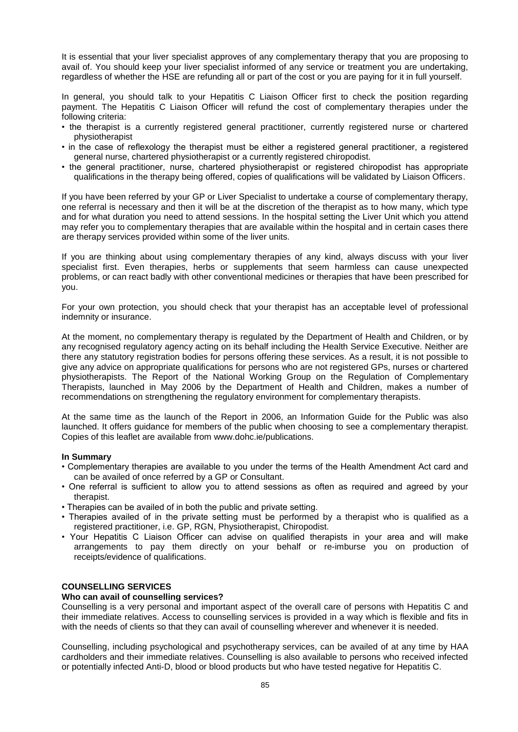It is essential that your liver specialist approves of any complementary therapy that you are proposing to avail of. You should keep your liver specialist informed of any service or treatment you are undertaking, regardless of whether the HSE are refunding all or part of the cost or you are paying for it in full yourself.

In general, you should talk to your Hepatitis C Liaison Officer first to check the position regarding payment. The Hepatitis C Liaison Officer will refund the cost of complementary therapies under the following criteria:

- the therapist is a currently registered general practitioner, currently registered nurse or chartered physiotherapist
- in the case of reflexology the therapist must be either a registered general practitioner, a registered general nurse, chartered physiotherapist or a currently registered chiropodist.
- the general practitioner, nurse, chartered physiotherapist or registered chiropodist has appropriate qualifications in the therapy being offered, copies of qualifications will be validated by Liaison Officers.

If you have been referred by your GP or Liver Specialist to undertake a course of complementary therapy, one referral is necessary and then it will be at the discretion of the therapist as to how many, which type and for what duration you need to attend sessions. In the hospital setting the Liver Unit which you attend may refer you to complementary therapies that are available within the hospital and in certain cases there are therapy services provided within some of the liver units.

If you are thinking about using complementary therapies of any kind, always discuss with your liver specialist first. Even therapies, herbs or supplements that seem harmless can cause unexpected problems, or can react badly with other conventional medicines or therapies that have been prescribed for you.

For your own protection, you should check that your therapist has an acceptable level of professional indemnity or insurance.

At the moment, no complementary therapy is regulated by the Department of Health and Children, or by any recognised regulatory agency acting on its behalf including the Health Service Executive. Neither are there any statutory registration bodies for persons offering these services. As a result, it is not possible to give any advice on appropriate qualifications for persons who are not registered GPs, nurses or chartered physiotherapists. The Report of the National Working Group on the Regulation of Complementary Therapists, launched in May 2006 by the Department of Health and Children, makes a number of recommendations on strengthening the regulatory environment for complementary therapists.

At the same time as the launch of the Report in 2006, an Information Guide for the Public was also launched. It offers guidance for members of the public when choosing to see a complementary therapist. Copies of this leaflet are available from www.dohc.ie/publications.

## **In Summary**

- Complementary therapies are available to you under the terms of the Health Amendment Act card and can be availed of once referred by a GP or Consultant.
- One referral is sufficient to allow you to attend sessions as often as required and agreed by your therapist.
- Therapies can be availed of in both the public and private setting.
- Therapies availed of in the private setting must be performed by a therapist who is qualified as a registered practitioner, i.e. GP, RGN, Physiotherapist, Chiropodist.
- Your Hepatitis C Liaison Officer can advise on qualified therapists in your area and will make arrangements to pay them directly on your behalf or re-imburse you on production of receipts/evidence of qualifications.

# **COUNSELLING SERVICES**

## **Who can avail of counselling services?**

Counselling is a very personal and important aspect of the overall care of persons with Hepatitis C and their immediate relatives. Access to counselling services is provided in a way which is flexible and fits in with the needs of clients so that they can avail of counselling wherever and whenever it is needed.

Counselling, including psychological and psychotherapy services, can be availed of at any time by HAA cardholders and their immediate relatives. Counselling is also available to persons who received infected or potentially infected Anti-D, blood or blood products but who have tested negative for Hepatitis C.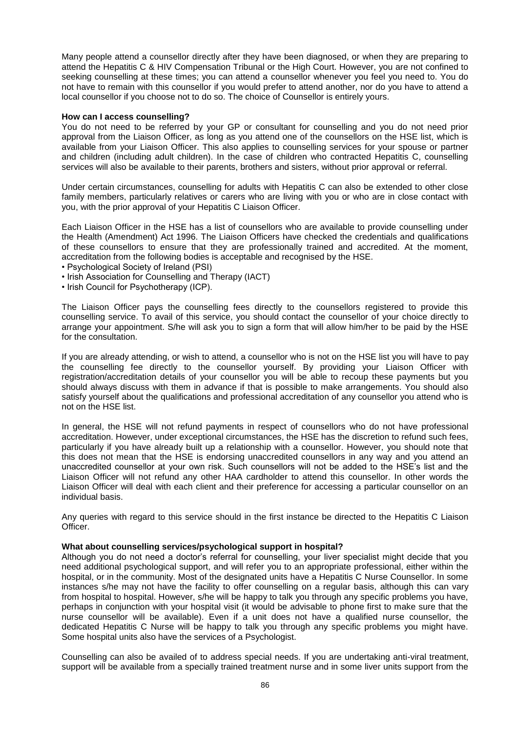Many people attend a counsellor directly after they have been diagnosed, or when they are preparing to attend the Hepatitis C & HIV Compensation Tribunal or the High Court. However, you are not confined to seeking counselling at these times; you can attend a counsellor whenever you feel you need to. You do not have to remain with this counsellor if you would prefer to attend another, nor do you have to attend a local counsellor if you choose not to do so. The choice of Counsellor is entirely yours.

#### **How can I access counselling?**

You do not need to be referred by your GP or consultant for counselling and you do not need prior approval from the Liaison Officer, as long as you attend one of the counsellors on the HSE list, which is available from your Liaison Officer. This also applies to counselling services for your spouse or partner and children (including adult children). In the case of children who contracted Hepatitis C, counselling services will also be available to their parents, brothers and sisters, without prior approval or referral.

Under certain circumstances, counselling for adults with Hepatitis C can also be extended to other close family members, particularly relatives or carers who are living with you or who are in close contact with you, with the prior approval of your Hepatitis C Liaison Officer.

Each Liaison Officer in the HSE has a list of counsellors who are available to provide counselling under the Health (Amendment) Act 1996. The Liaison Officers have checked the credentials and qualifications of these counsellors to ensure that they are professionally trained and accredited. At the moment, accreditation from the following bodies is acceptable and recognised by the HSE.

- Psychological Society of Ireland (PSI)
- Irish Association for Counselling and Therapy (IACT)
- Irish Council for Psychotherapy (ICP).

The Liaison Officer pays the counselling fees directly to the counsellors registered to provide this counselling service. To avail of this service, you should contact the counsellor of your choice directly to arrange your appointment. S/he will ask you to sign a form that will allow him/her to be paid by the HSE for the consultation.

If you are already attending, or wish to attend, a counsellor who is not on the HSE list you will have to pay the counselling fee directly to the counsellor yourself. By providing your Liaison Officer with registration/accreditation details of your counsellor you will be able to recoup these payments but you should always discuss with them in advance if that is possible to make arrangements. You should also satisfy yourself about the qualifications and professional accreditation of any counsellor you attend who is not on the HSE list.

In general, the HSE will not refund payments in respect of counsellors who do not have professional accreditation. However, under exceptional circumstances, the HSE has the discretion to refund such fees, particularly if you have already built up a relationship with a counsellor. However, you should note that this does not mean that the HSE is endorsing unaccredited counsellors in any way and you attend an unaccredited counsellor at your own risk. Such counsellors will not be added to the HSE's list and the Liaison Officer will not refund any other HAA cardholder to attend this counsellor. In other words the Liaison Officer will deal with each client and their preference for accessing a particular counsellor on an individual basis.

Any queries with regard to this service should in the first instance be directed to the Hepatitis C Liaison Officer.

## **What about counselling services/psychological support in hospital?**

Although you do not need a doctor's referral for counselling, your liver specialist might decide that you need additional psychological support, and will refer you to an appropriate professional, either within the hospital, or in the community. Most of the designated units have a Hepatitis C Nurse Counsellor. In some instances s/he may not have the facility to offer counselling on a regular basis, although this can vary from hospital to hospital. However, s/he will be happy to talk you through any specific problems you have, perhaps in conjunction with your hospital visit (it would be advisable to phone first to make sure that the nurse counsellor will be available). Even if a unit does not have a qualified nurse counsellor, the dedicated Hepatitis C Nurse will be happy to talk you through any specific problems you might have. Some hospital units also have the services of a Psychologist.

Counselling can also be availed of to address special needs. If you are undertaking anti-viral treatment, support will be available from a specially trained treatment nurse and in some liver units support from the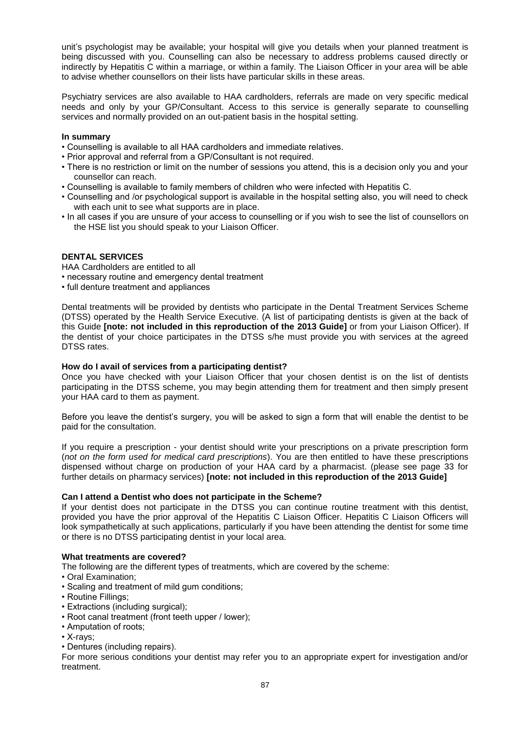unit's psychologist may be available; your hospital will give you details when your planned treatment is being discussed with you. Counselling can also be necessary to address problems caused directly or indirectly by Hepatitis C within a marriage, or within a family. The Liaison Officer in your area will be able to advise whether counsellors on their lists have particular skills in these areas.

Psychiatry services are also available to HAA cardholders, referrals are made on very specific medical needs and only by your GP/Consultant. Access to this service is generally separate to counselling services and normally provided on an out-patient basis in the hospital setting.

# **In summary**

- Counselling is available to all HAA cardholders and immediate relatives.
- Prior approval and referral from a GP/Consultant is not required.
- There is no restriction or limit on the number of sessions you attend, this is a decision only you and your counsellor can reach.
- Counselling is available to family members of children who were infected with Hepatitis C.
- Counselling and /or psychological support is available in the hospital setting also, you will need to check with each unit to see what supports are in place.
- In all cases if you are unsure of your access to counselling or if you wish to see the list of counsellors on the HSE list you should speak to your Liaison Officer.

# **DENTAL SERVICES**

HAA Cardholders are entitled to all

- necessary routine and emergency dental treatment
- full denture treatment and appliances

Dental treatments will be provided by dentists who participate in the Dental Treatment Services Scheme (DTSS) operated by the Health Service Executive. (A list of participating dentists is given at the back of this Guide **[note: not included in this reproduction of the 2013 Guide]** or from your Liaison Officer). If the dentist of your choice participates in the DTSS s/he must provide you with services at the agreed DTSS rates.

## **How do I avail of services from a participating dentist?**

Once you have checked with your Liaison Officer that your chosen dentist is on the list of dentists participating in the DTSS scheme, you may begin attending them for treatment and then simply present your HAA card to them as payment.

Before you leave the dentist's surgery, you will be asked to sign a form that will enable the dentist to be paid for the consultation.

If you require a prescription - your dentist should write your prescriptions on a private prescription form (*not on the form used for medical card prescriptions*). You are then entitled to have these prescriptions dispensed without charge on production of your HAA card by a pharmacist. (please see page 33 for further details on pharmacy services) **[note: not included in this reproduction of the 2013 Guide]**

## **Can I attend a Dentist who does not participate in the Scheme?**

If your dentist does not participate in the DTSS you can continue routine treatment with this dentist, provided you have the prior approval of the Hepatitis C Liaison Officer. Hepatitis C Liaison Officers will look sympathetically at such applications, particularly if you have been attending the dentist for some time or there is no DTSS participating dentist in your local area.

## **What treatments are covered?**

The following are the different types of treatments, which are covered by the scheme:

- Oral Examination;
- Scaling and treatment of mild gum conditions;
- Routine Fillings;
- Extractions (including surgical);
- Root canal treatment (front teeth upper / lower);
- Amputation of roots;
- X-rays;
- Dentures (including repairs).

For more serious conditions your dentist may refer you to an appropriate expert for investigation and/or treatment.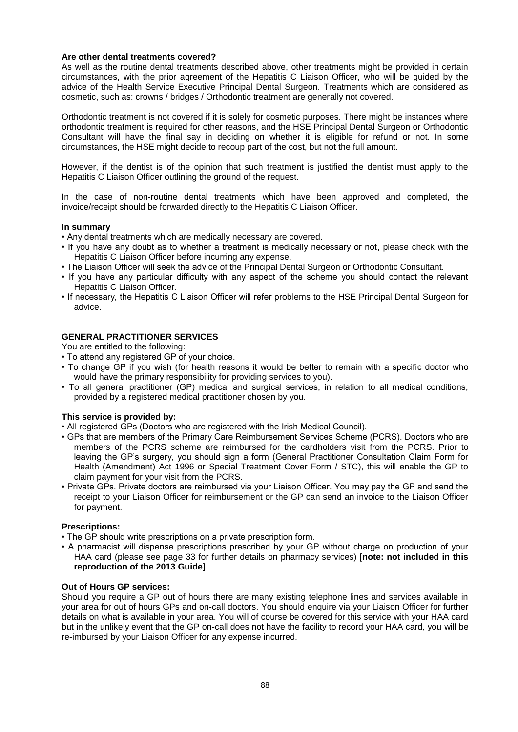# **Are other dental treatments covered?**

As well as the routine dental treatments described above, other treatments might be provided in certain circumstances, with the prior agreement of the Hepatitis C Liaison Officer, who will be guided by the advice of the Health Service Executive Principal Dental Surgeon. Treatments which are considered as cosmetic, such as: crowns / bridges / Orthodontic treatment are generally not covered.

Orthodontic treatment is not covered if it is solely for cosmetic purposes. There might be instances where orthodontic treatment is required for other reasons, and the HSE Principal Dental Surgeon or Orthodontic Consultant will have the final say in deciding on whether it is eligible for refund or not. In some circumstances, the HSE might decide to recoup part of the cost, but not the full amount.

However, if the dentist is of the opinion that such treatment is justified the dentist must apply to the Hepatitis C Liaison Officer outlining the ground of the request.

In the case of non-routine dental treatments which have been approved and completed, the invoice/receipt should be forwarded directly to the Hepatitis C Liaison Officer.

## **In summary**

- Any dental treatments which are medically necessary are covered.
- If you have any doubt as to whether a treatment is medically necessary or not, please check with the Hepatitis C Liaison Officer before incurring any expense.
- The Liaison Officer will seek the advice of the Principal Dental Surgeon or Orthodontic Consultant.
- If you have any particular difficulty with any aspect of the scheme you should contact the relevant Hepatitis C Liaison Officer.
- If necessary, the Hepatitis C Liaison Officer will refer problems to the HSE Principal Dental Surgeon for advice.

## **GENERAL PRACTITIONER SERVICES**

You are entitled to the following:

- To attend any registered GP of your choice.
- To change GP if you wish (for health reasons it would be better to remain with a specific doctor who would have the primary responsibility for providing services to you).
- To all general practitioner (GP) medical and surgical services, in relation to all medical conditions, provided by a registered medical practitioner chosen by you.

## **This service is provided by:**

- All registered GPs (Doctors who are registered with the Irish Medical Council).
- GPs that are members of the Primary Care Reimbursement Services Scheme (PCRS). Doctors who are members of the PCRS scheme are reimbursed for the cardholders visit from the PCRS. Prior to leaving the GP's surgery, you should sign a form (General Practitioner Consultation Claim Form for Health (Amendment) Act 1996 or Special Treatment Cover Form / STC), this will enable the GP to claim payment for your visit from the PCRS.
- Private GPs. Private doctors are reimbursed via your Liaison Officer. You may pay the GP and send the receipt to your Liaison Officer for reimbursement or the GP can send an invoice to the Liaison Officer for payment.

## **Prescriptions:**

- The GP should write prescriptions on a private prescription form.
- A pharmacist will dispense prescriptions prescribed by your GP without charge on production of your HAA card (please see page 33 for further details on pharmacy services) [**note: not included in this reproduction of the 2013 Guide]**

## **Out of Hours GP services:**

Should you require a GP out of hours there are many existing telephone lines and services available in your area for out of hours GPs and on-call doctors. You should enquire via your Liaison Officer for further details on what is available in your area. You will of course be covered for this service with your HAA card but in the unlikely event that the GP on-call does not have the facility to record your HAA card, you will be re-imbursed by your Liaison Officer for any expense incurred.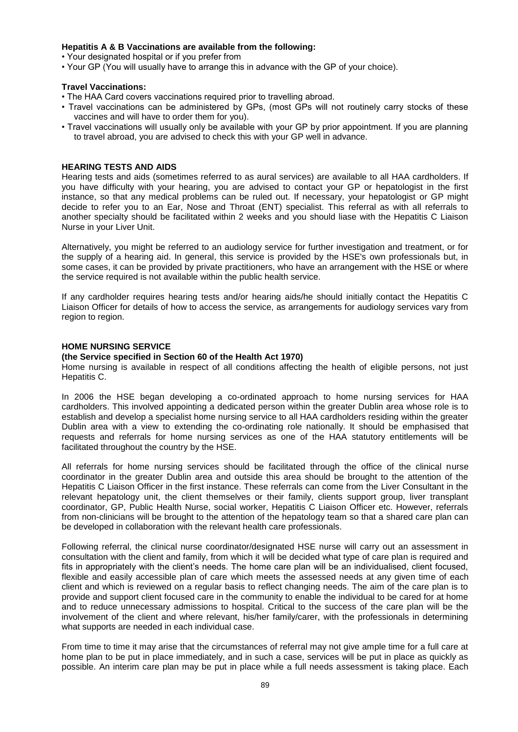# **Hepatitis A & B Vaccinations are available from the following:**

• Your designated hospital or if you prefer from

• Your GP (You will usually have to arrange this in advance with the GP of your choice).

## **Travel Vaccinations:**

- The HAA Card covers vaccinations required prior to travelling abroad.
- Travel vaccinations can be administered by GPs, (most GPs will not routinely carry stocks of these vaccines and will have to order them for you).
- Travel vaccinations will usually only be available with your GP by prior appointment. If you are planning to travel abroad, you are advised to check this with your GP well in advance.

# **HEARING TESTS AND AIDS**

Hearing tests and aids (sometimes referred to as aural services) are available to all HAA cardholders. If you have difficulty with your hearing, you are advised to contact your GP or hepatologist in the first instance, so that any medical problems can be ruled out. If necessary, your hepatologist or GP might decide to refer you to an Ear, Nose and Throat (ENT) specialist. This referral as with all referrals to another specialty should be facilitated within 2 weeks and you should liase with the Hepatitis C Liaison Nurse in your Liver Unit.

Alternatively, you might be referred to an audiology service for further investigation and treatment, or for the supply of a hearing aid. In general, this service is provided by the HSE's own professionals but, in some cases, it can be provided by private practitioners, who have an arrangement with the HSE or where the service required is not available within the public health service.

If any cardholder requires hearing tests and/or hearing aids/he should initially contact the Hepatitis C Liaison Officer for details of how to access the service, as arrangements for audiology services vary from region to region.

# **HOME NURSING SERVICE**

# **(the Service specified in Section 60 of the Health Act 1970)**

Home nursing is available in respect of all conditions affecting the health of eligible persons, not just Hepatitis C.

In 2006 the HSE began developing a co-ordinated approach to home nursing services for HAA cardholders. This involved appointing a dedicated person within the greater Dublin area whose role is to establish and develop a specialist home nursing service to all HAA cardholders residing within the greater Dublin area with a view to extending the co-ordinating role nationally. It should be emphasised that requests and referrals for home nursing services as one of the HAA statutory entitlements will be facilitated throughout the country by the HSE.

All referrals for home nursing services should be facilitated through the office of the clinical nurse coordinator in the greater Dublin area and outside this area should be brought to the attention of the Hepatitis C Liaison Officer in the first instance. These referrals can come from the Liver Consultant in the relevant hepatology unit, the client themselves or their family, clients support group, liver transplant coordinator, GP, Public Health Nurse, social worker, Hepatitis C Liaison Officer etc. However, referrals from non-clinicians will be brought to the attention of the hepatology team so that a shared care plan can be developed in collaboration with the relevant health care professionals.

Following referral, the clinical nurse coordinator/designated HSE nurse will carry out an assessment in consultation with the client and family, from which it will be decided what type of care plan is required and fits in appropriately with the client's needs. The home care plan will be an individualised, client focused, flexible and easily accessible plan of care which meets the assessed needs at any given time of each client and which is reviewed on a regular basis to reflect changing needs. The aim of the care plan is to provide and support client focused care in the community to enable the individual to be cared for at home and to reduce unnecessary admissions to hospital. Critical to the success of the care plan will be the involvement of the client and where relevant, his/her family/carer, with the professionals in determining what supports are needed in each individual case.

From time to time it may arise that the circumstances of referral may not give ample time for a full care at home plan to be put in place immediately, and in such a case, services will be put in place as quickly as possible. An interim care plan may be put in place while a full needs assessment is taking place. Each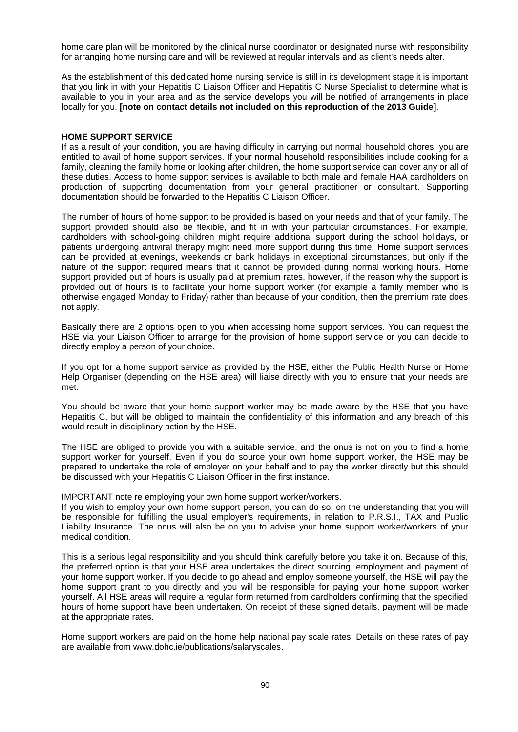home care plan will be monitored by the clinical nurse coordinator or designated nurse with responsibility for arranging home nursing care and will be reviewed at regular intervals and as client's needs alter.

As the establishment of this dedicated home nursing service is still in its development stage it is important that you link in with your Hepatitis C Liaison Officer and Hepatitis C Nurse Specialist to determine what is available to you in your area and as the service develops you will be notified of arrangements in place locally for you. **[note on contact details not included on this reproduction of the 2013 Guide]**.

### **HOME SUPPORT SERVICE**

If as a result of your condition, you are having difficulty in carrying out normal household chores, you are entitled to avail of home support services. If your normal household responsibilities include cooking for a family, cleaning the family home or looking after children, the home support service can cover any or all of these duties. Access to home support services is available to both male and female HAA cardholders on production of supporting documentation from your general practitioner or consultant. Supporting documentation should be forwarded to the Hepatitis C Liaison Officer.

The number of hours of home support to be provided is based on your needs and that of your family. The support provided should also be flexible, and fit in with your particular circumstances. For example, cardholders with school-going children might require additional support during the school holidays, or patients undergoing antiviral therapy might need more support during this time. Home support services can be provided at evenings, weekends or bank holidays in exceptional circumstances, but only if the nature of the support required means that it cannot be provided during normal working hours. Home support provided out of hours is usually paid at premium rates, however, if the reason why the support is provided out of hours is to facilitate your home support worker (for example a family member who is otherwise engaged Monday to Friday) rather than because of your condition, then the premium rate does not apply.

Basically there are 2 options open to you when accessing home support services. You can request the HSE via your Liaison Officer to arrange for the provision of home support service or you can decide to directly employ a person of your choice.

If you opt for a home support service as provided by the HSE, either the Public Health Nurse or Home Help Organiser (depending on the HSE area) will liaise directly with you to ensure that your needs are met.

You should be aware that your home support worker may be made aware by the HSE that you have Hepatitis C, but will be obliged to maintain the confidentiality of this information and any breach of this would result in disciplinary action by the HSE.

The HSE are obliged to provide you with a suitable service, and the onus is not on you to find a home support worker for yourself. Even if you do source your own home support worker, the HSE may be prepared to undertake the role of employer on your behalf and to pay the worker directly but this should be discussed with your Hepatitis C Liaison Officer in the first instance.

IMPORTANT note re employing your own home support worker/workers.

If you wish to employ your own home support person, you can do so, on the understanding that you will be responsible for fulfilling the usual employer's requirements, in relation to P.R.S.I., TAX and Public Liability Insurance. The onus will also be on you to advise your home support worker/workers of your medical condition.

This is a serious legal responsibility and you should think carefully before you take it on. Because of this, the preferred option is that your HSE area undertakes the direct sourcing, employment and payment of your home support worker. If you decide to go ahead and employ someone yourself, the HSE will pay the home support grant to you directly and you will be responsible for paying your home support worker yourself. All HSE areas will require a regular form returned from cardholders confirming that the specified hours of home support have been undertaken. On receipt of these signed details, payment will be made at the appropriate rates.

Home support workers are paid on the home help national pay scale rates. Details on these rates of pay are available from www.dohc.ie/publications/salaryscales.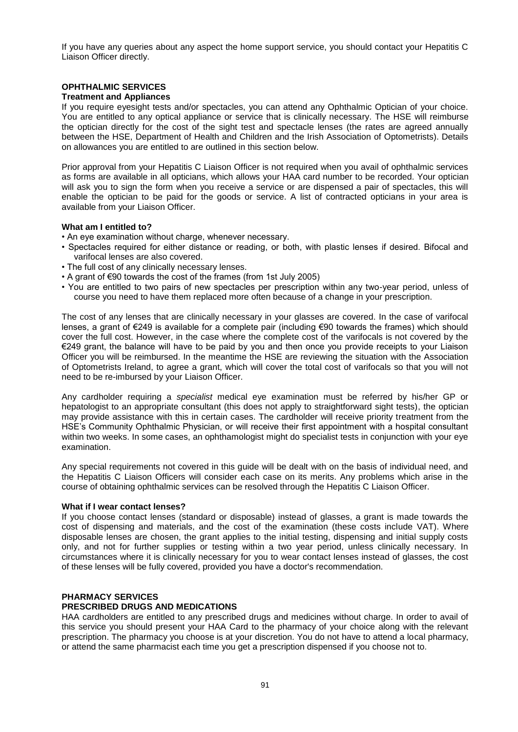If you have any queries about any aspect the home support service, you should contact your Hepatitis C Liaison Officer directly.

# **OPHTHALMIC SERVICES**

## **Treatment and Appliances**

If you require eyesight tests and/or spectacles, you can attend any Ophthalmic Optician of your choice. You are entitled to any optical appliance or service that is clinically necessary. The HSE will reimburse the optician directly for the cost of the sight test and spectacle lenses (the rates are agreed annually between the HSE, Department of Health and Children and the Irish Association of Optometrists). Details on allowances you are entitled to are outlined in this section below.

Prior approval from your Hepatitis C Liaison Officer is not required when you avail of ophthalmic services as forms are available in all opticians, which allows your HAA card number to be recorded. Your optician will ask you to sign the form when you receive a service or are dispensed a pair of spectacles, this will enable the optician to be paid for the goods or service. A list of contracted opticians in your area is available from your Liaison Officer.

## **What am I entitled to?**

- An eye examination without charge, whenever necessary.
- Spectacles required for either distance or reading, or both, with plastic lenses if desired. Bifocal and varifocal lenses are also covered.
- The full cost of any clinically necessary lenses.
- A grant of €90 towards the cost of the frames (from 1st July 2005)
- You are entitled to two pairs of new spectacles per prescription within any two-year period, unless of course you need to have them replaced more often because of a change in your prescription.

The cost of any lenses that are clinically necessary in your glasses are covered. In the case of varifocal lenses, a grant of €249 is available for a complete pair (including €90 towards the frames) which should cover the full cost. However, in the case where the complete cost of the varifocals is not covered by the €249 grant, the balance will have to be paid by you and then once you provide receipts to your Liaison Officer you will be reimbursed. In the meantime the HSE are reviewing the situation with the Association of Optometrists Ireland, to agree a grant, which will cover the total cost of varifocals so that you will not need to be re-imbursed by your Liaison Officer.

Any cardholder requiring a *specialist* medical eye examination must be referred by his/her GP or hepatologist to an appropriate consultant (this does not apply to straightforward sight tests), the optician may provide assistance with this in certain cases. The cardholder will receive priority treatment from the HSE's Community Ophthalmic Physician, or will receive their first appointment with a hospital consultant within two weeks. In some cases, an ophthamologist might do specialist tests in conjunction with your eye examination.

Any special requirements not covered in this guide will be dealt with on the basis of individual need, and the Hepatitis C Liaison Officers will consider each case on its merits. Any problems which arise in the course of obtaining ophthalmic services can be resolved through the Hepatitis C Liaison Officer.

#### **What if I wear contact lenses?**

If you choose contact lenses (standard or disposable) instead of glasses, a grant is made towards the cost of dispensing and materials, and the cost of the examination (these costs include VAT). Where disposable lenses are chosen, the grant applies to the initial testing, dispensing and initial supply costs only, and not for further supplies or testing within a two year period, unless clinically necessary. In circumstances where it is clinically necessary for you to wear contact lenses instead of glasses, the cost of these lenses will be fully covered, provided you have a doctor's recommendation.

# **PHARMACY SERVICES**

# **PRESCRIBED DRUGS AND MEDICATIONS**

HAA cardholders are entitled to any prescribed drugs and medicines without charge. In order to avail of this service you should present your HAA Card to the pharmacy of your choice along with the relevant prescription. The pharmacy you choose is at your discretion. You do not have to attend a local pharmacy, or attend the same pharmacist each time you get a prescription dispensed if you choose not to.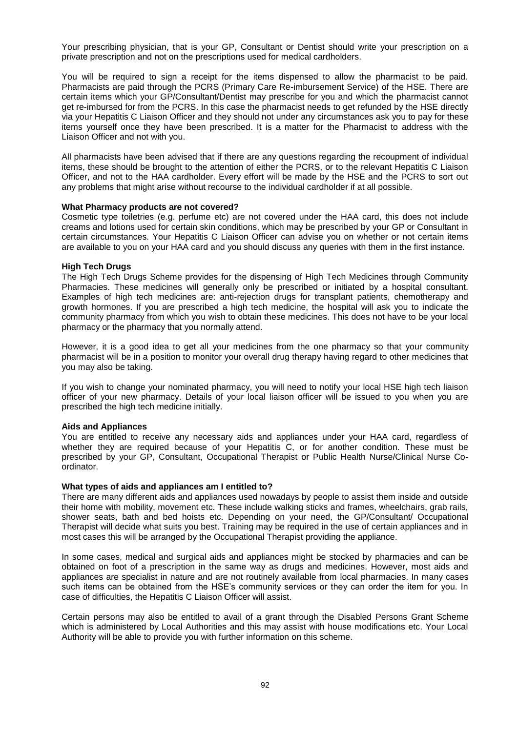Your prescribing physician, that is your GP, Consultant or Dentist should write your prescription on a private prescription and not on the prescriptions used for medical cardholders.

You will be required to sign a receipt for the items dispensed to allow the pharmacist to be paid. Pharmacists are paid through the PCRS (Primary Care Re-imbursement Service) of the HSE. There are certain items which your GP/Consultant/Dentist may prescribe for you and which the pharmacist cannot get re-imbursed for from the PCRS. In this case the pharmacist needs to get refunded by the HSE directly via your Hepatitis C Liaison Officer and they should not under any circumstances ask you to pay for these items yourself once they have been prescribed. It is a matter for the Pharmacist to address with the Liaison Officer and not with you.

All pharmacists have been advised that if there are any questions regarding the recoupment of individual items, these should be brought to the attention of either the PCRS, or to the relevant Hepatitis C Liaison Officer, and not to the HAA cardholder. Every effort will be made by the HSE and the PCRS to sort out any problems that might arise without recourse to the individual cardholder if at all possible.

#### **What Pharmacy products are not covered?**

Cosmetic type toiletries (e.g. perfume etc) are not covered under the HAA card, this does not include creams and lotions used for certain skin conditions, which may be prescribed by your GP or Consultant in certain circumstances. Your Hepatitis C Liaison Officer can advise you on whether or not certain items are available to you on your HAA card and you should discuss any queries with them in the first instance.

#### **High Tech Drugs**

The High Tech Drugs Scheme provides for the dispensing of High Tech Medicines through Community Pharmacies. These medicines will generally only be prescribed or initiated by a hospital consultant. Examples of high tech medicines are: anti-rejection drugs for transplant patients, chemotherapy and growth hormones. If you are prescribed a high tech medicine, the hospital will ask you to indicate the community pharmacy from which you wish to obtain these medicines. This does not have to be your local pharmacy or the pharmacy that you normally attend.

However, it is a good idea to get all your medicines from the one pharmacy so that your community pharmacist will be in a position to monitor your overall drug therapy having regard to other medicines that you may also be taking.

If you wish to change your nominated pharmacy, you will need to notify your local HSE high tech liaison officer of your new pharmacy. Details of your local liaison officer will be issued to you when you are prescribed the high tech medicine initially.

#### **Aids and Appliances**

You are entitled to receive any necessary aids and appliances under your HAA card, regardless of whether they are required because of your Hepatitis C, or for another condition. These must be prescribed by your GP, Consultant, Occupational Therapist or Public Health Nurse/Clinical Nurse Coordinator.

#### **What types of aids and appliances am I entitled to?**

There are many different aids and appliances used nowadays by people to assist them inside and outside their home with mobility, movement etc. These include walking sticks and frames, wheelchairs, grab rails, shower seats, bath and bed hoists etc. Depending on your need, the GP/Consultant/ Occupational Therapist will decide what suits you best. Training may be required in the use of certain appliances and in most cases this will be arranged by the Occupational Therapist providing the appliance.

In some cases, medical and surgical aids and appliances might be stocked by pharmacies and can be obtained on foot of a prescription in the same way as drugs and medicines. However, most aids and appliances are specialist in nature and are not routinely available from local pharmacies. In many cases such items can be obtained from the HSE's community services or they can order the item for you. In case of difficulties, the Hepatitis C Liaison Officer will assist.

Certain persons may also be entitled to avail of a grant through the Disabled Persons Grant Scheme which is administered by Local Authorities and this may assist with house modifications etc. Your Local Authority will be able to provide you with further information on this scheme.